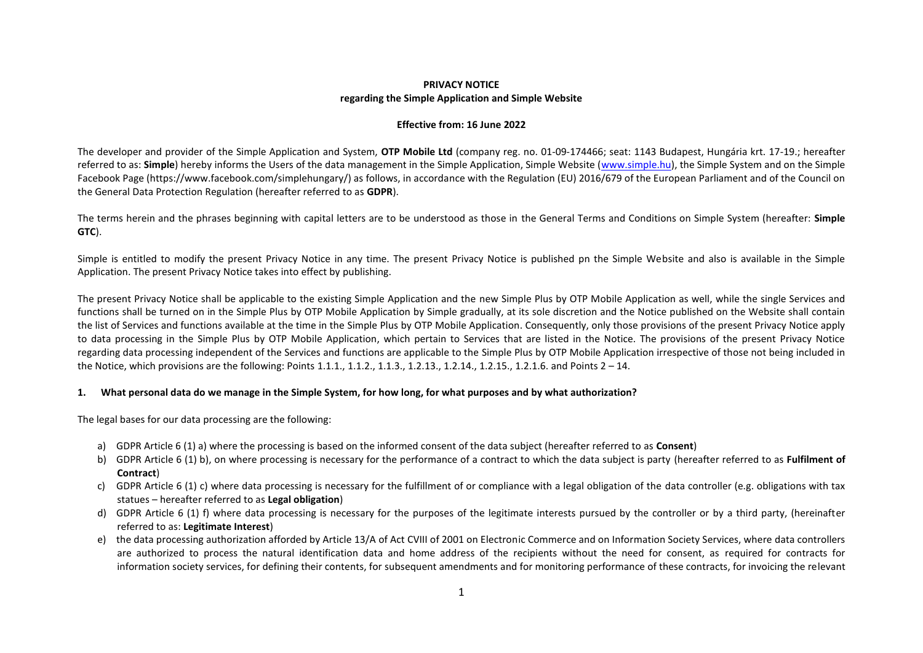## **PRIVACY NOTICE regarding the Simple Application and Simple Website**

### **Effective from: 16 June 2022**

The developer and provider of the Simple Application and System, **OTP Mobile Ltd** (company reg. no. 01-09-174466; seat: 1143 Budapest, Hungária krt. 17-19.; hereafter referred to as: **Simple**) hereby informs the Users of the data management in the Simple Application, Simple Website (www.simple.hu), the Simple System and on the Simple Facebook Page (https://www.facebook.com/simplehungary/) as follows, in accordance with the Regulation (EU) 2016/679 of the European Parliament and of the Council on the General Data Protection Regulation (hereafter referred to as **GDPR**).

The terms herein and the phrases beginning with capital letters are to be understood as those in the General Terms and Conditions on Simple System (hereafter: **Simple GTC**).

Simple is entitled to modify the present Privacy Notice in any time. The present Privacy Notice is published pn the Simple Website and also is available in the Simple Application. The present Privacy Notice takes into effect by publishing.

The present Privacy Notice shall be applicable to the existing Simple Application and the new Simple Plus by OTP Mobile Application as well, while the single Services and functions shall be turned on in the Simple Plus by OTP Mobile Application by Simple gradually, at its sole discretion and the Notice published on the Website shall contain the list of Services and functions available at the time in the Simple Plus by OTP Mobile Application. Consequently, only those provisions of the present Privacy Notice apply to data processing in the Simple Plus by OTP Mobile Application, which pertain to Services that are listed in the Notice. The provisions of the present Privacy Notice regarding data processing independent of the Services and functions are applicable to the Simple Plus by OTP Mobile Application irrespective of those not being included in the Notice, which provisions are the following: Points 1.1.1., 1.1.2., 1.1.3., 1.2.13., 1.2.14., 1.2.15., 1.2.1.6. and Points 2 – 14.

## **1. What personal data do we manage in the Simple System, for how long, for what purposes and by what authorization?**

The legal bases for our data processing are the following:

- a) GDPR Article 6 (1) a) where the processing is based on the informed consent of the data subject (hereafter referred to as **Consent**)
- b) GDPR Article 6 (1) b), on where processing is necessary for the performance of a contract to which the data subject is party (hereafter referred to as **Fulfilment of Contract**)
- c) GDPR Article 6 (1) c) where data processing is necessary for the fulfillment of or compliance with a legal obligation of the data controller (e.g. obligations with tax statues – hereafter referred to as **Legal obligation**)
- d) GDPR Article 6 (1) f) where data processing is necessary for the purposes of the legitimate interests pursued by the controller or by a third party, (hereinafter referred to as: **Legitimate Interest**)
- e) the data processing authorization afforded by Article 13/A of Act CVIII of 2001 on Electronic Commerce and on Information Society Services, where data controllers are authorized to process the natural identification data and home address of the recipients without the need for consent, as required for contracts for information society services, for defining their contents, for subsequent amendments and for monitoring performance of these contracts, for invoicing the relevant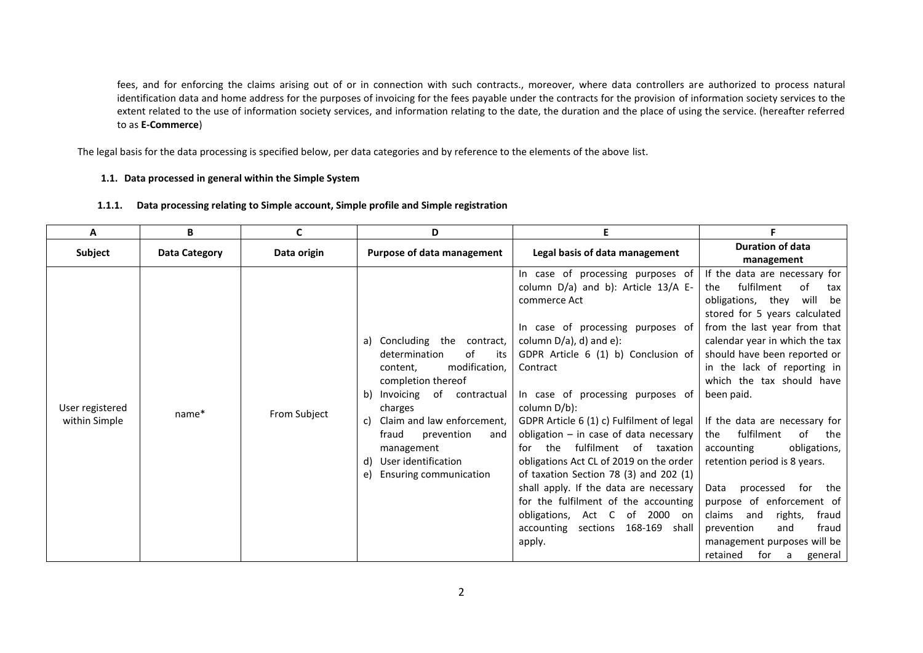fees, and for enforcing the claims arising out of or in connection with such contracts., moreover, where data controllers are authorized to process natural identification data and home address for the purposes of invoicing for the fees payable under the contracts for the provision of information society services to the extent related to the use of information society services, and information relating to the date, the duration and the place of using the service. (hereafter referred to as **E-Commerce**)

The legal basis for the data processing is specified below, per data categories and by reference to the elements of the above list.

## **1.1. Data processed in general within the Simple System**

|  | 1.1.1. Data processing relating to Simple account, Simple profile and Simple registration |  |
|--|-------------------------------------------------------------------------------------------|--|
|--|-------------------------------------------------------------------------------------------|--|

| A                                | B                    | C            | D                                                                                                                                                                                                                                                                                          | Е                                                                                                                                                                                                                                                                                                                                                                                                                                                                                                                                                                                                                                                        |                                                                                                                                                                                                                                                                                                                                                                                                                                                                                                                                                                                                                                           |
|----------------------------------|----------------------|--------------|--------------------------------------------------------------------------------------------------------------------------------------------------------------------------------------------------------------------------------------------------------------------------------------------|----------------------------------------------------------------------------------------------------------------------------------------------------------------------------------------------------------------------------------------------------------------------------------------------------------------------------------------------------------------------------------------------------------------------------------------------------------------------------------------------------------------------------------------------------------------------------------------------------------------------------------------------------------|-------------------------------------------------------------------------------------------------------------------------------------------------------------------------------------------------------------------------------------------------------------------------------------------------------------------------------------------------------------------------------------------------------------------------------------------------------------------------------------------------------------------------------------------------------------------------------------------------------------------------------------------|
| <b>Subject</b>                   | <b>Data Category</b> | Data origin  | Purpose of data management                                                                                                                                                                                                                                                                 | Legal basis of data management                                                                                                                                                                                                                                                                                                                                                                                                                                                                                                                                                                                                                           | <b>Duration of data</b><br>management                                                                                                                                                                                                                                                                                                                                                                                                                                                                                                                                                                                                     |
| User registered<br>within Simple | name*                | From Subject | a) Concluding the contract,<br>determination<br>of<br>its<br>modification,<br>content,<br>completion thereof<br>b) Invoicing of contractual<br>charges<br>c) Claim and law enforcement,<br>prevention<br>fraud<br>and<br>management<br>d) User identification<br>e) Ensuring communication | In case of processing purposes of<br>column D/a) and b): Article 13/A E-<br>commerce Act<br>In case of processing purposes of<br>column $D/a$ ), d) and e):<br>GDPR Article 6 (1) b) Conclusion of<br>Contract<br>In case of processing purposes of<br>column D/b):<br>GDPR Article 6 (1) c) Fulfilment of legal<br>obligation $-$ in case of data necessary<br>for the fulfilment of taxation<br>obligations Act CL of 2019 on the order<br>of taxation Section 78 (3) and 202 (1)<br>shall apply. If the data are necessary<br>for the fulfilment of the accounting<br>obligations, Act C of 2000 on<br>accounting sections 168-169<br>shall<br>apply. | If the data are necessary for<br>fulfilment<br>of<br>the<br>tax<br>will be<br>obligations, they<br>stored for 5 years calculated<br>from the last year from that<br>calendar year in which the tax<br>should have been reported or<br>in the lack of reporting in<br>which the tax should have<br>been paid.<br>If the data are necessary for<br>fulfilment<br>of<br>the<br>the<br>accounting<br>obligations,<br>retention period is 8 years.<br>processed for<br>Data<br>the<br>purpose of enforcement of<br>rights,<br>fraud<br>claims and<br>prevention<br>fraud<br>and<br>management purposes will be<br>retained<br>for a<br>general |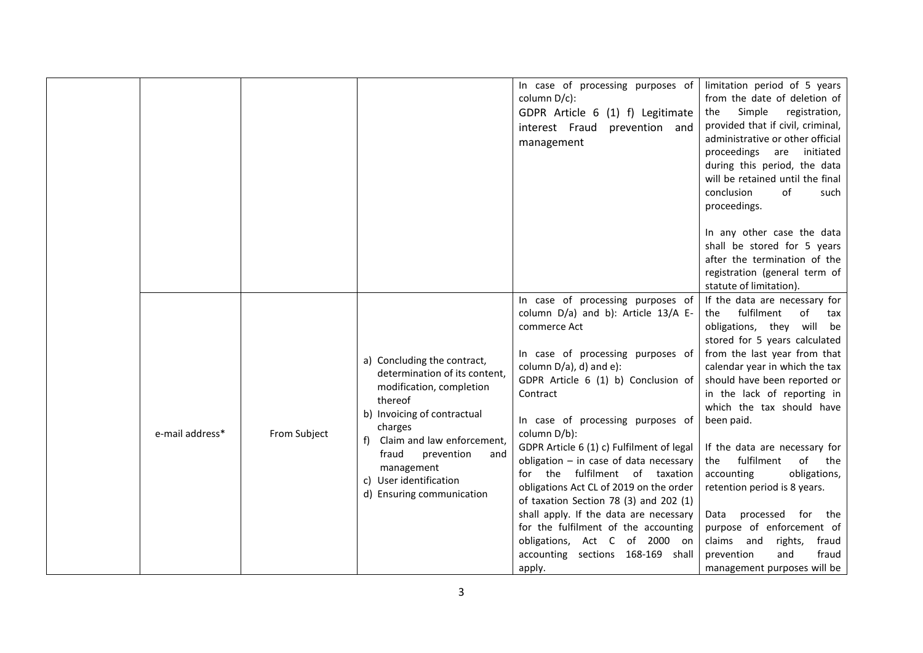|                 |              |                                                                                                                                                                                                                                                                                | In case of processing purposes of<br>column D/c):<br>GDPR Article 6 (1) f) Legitimate<br>interest Fraud prevention and<br>management                                                                                                                                                                                                                                                                                                                                                                                                                                                                                                               | limitation period of 5 years<br>from the date of deletion of<br>Simple<br>registration,<br>the<br>provided that if civil, criminal,<br>administrative or other official<br>proceedings are<br>initiated<br>during this period, the data<br>will be retained until the final<br>conclusion<br>of<br>such<br>proceedings.                                                                                                                                                                                                                                                                                   |
|-----------------|--------------|--------------------------------------------------------------------------------------------------------------------------------------------------------------------------------------------------------------------------------------------------------------------------------|----------------------------------------------------------------------------------------------------------------------------------------------------------------------------------------------------------------------------------------------------------------------------------------------------------------------------------------------------------------------------------------------------------------------------------------------------------------------------------------------------------------------------------------------------------------------------------------------------------------------------------------------------|-----------------------------------------------------------------------------------------------------------------------------------------------------------------------------------------------------------------------------------------------------------------------------------------------------------------------------------------------------------------------------------------------------------------------------------------------------------------------------------------------------------------------------------------------------------------------------------------------------------|
|                 |              |                                                                                                                                                                                                                                                                                |                                                                                                                                                                                                                                                                                                                                                                                                                                                                                                                                                                                                                                                    | In any other case the data<br>shall be stored for 5 years<br>after the termination of the<br>registration (general term of<br>statute of limitation).                                                                                                                                                                                                                                                                                                                                                                                                                                                     |
| e-mail address* | From Subject | a) Concluding the contract,<br>determination of its content,<br>modification, completion<br>thereof<br>b) Invoicing of contractual<br>charges<br>Claim and law enforcement,<br>fraud<br>prevention<br>and<br>management<br>c) User identification<br>d) Ensuring communication | In case of processing purposes of<br>column D/a) and b): Article 13/A E-<br>commerce Act<br>In case of processing purposes of<br>column D/a), d) and e):<br>GDPR Article 6 (1) b) Conclusion of<br>Contract<br>In case of processing purposes of<br>column D/b):<br>GDPR Article 6 (1) c) Fulfilment of legal<br>obligation $-$ in case of data necessary<br>for the fulfilment of taxation<br>obligations Act CL of 2019 on the order<br>of taxation Section 78 (3) and 202 (1)<br>shall apply. If the data are necessary<br>for the fulfilment of the accounting<br>obligations, Act C of 2000 on<br>accounting sections 168-169 shall<br>apply. | If the data are necessary for<br>fulfilment<br>of<br>the<br>tax<br>obligations, they will be<br>stored for 5 years calculated<br>from the last year from that<br>calendar year in which the tax<br>should have been reported or<br>in the lack of reporting in<br>which the tax should have<br>been paid.<br>If the data are necessary for<br>fulfilment<br>of<br>the<br>the<br>obligations,<br>accounting<br>retention period is 8 years.<br>processed<br>for<br>the<br>Data<br>purpose of enforcement of<br>claims and<br>rights,<br>fraud<br>fraud<br>prevention<br>and<br>management purposes will be |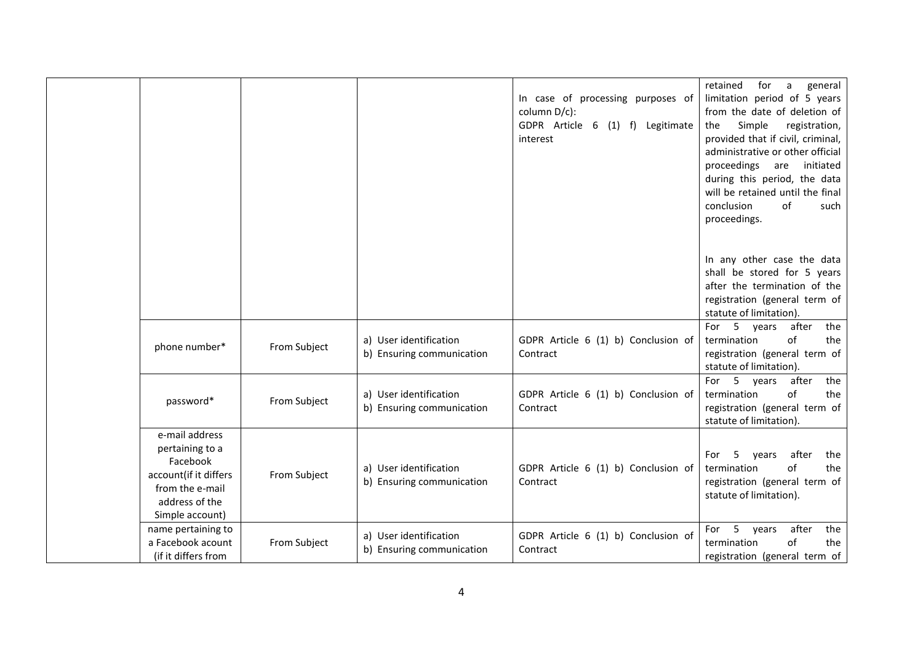|                                                                                                                                |              |                                                     | In case of processing purposes of<br>column D/c):<br>GDPR Article 6 (1) f) Legitimate<br>interest | for<br>retained<br>a<br>general<br>limitation period of 5 years<br>from the date of deletion of<br>Simple<br>registration,<br>the<br>provided that if civil, criminal,<br>administrative or other official<br>proceedings are<br>initiated<br>during this period, the data<br>will be retained until the final<br>of<br>conclusion<br>such<br>proceedings.<br>In any other case the data<br>shall be stored for 5 years<br>after the termination of the |
|--------------------------------------------------------------------------------------------------------------------------------|--------------|-----------------------------------------------------|---------------------------------------------------------------------------------------------------|---------------------------------------------------------------------------------------------------------------------------------------------------------------------------------------------------------------------------------------------------------------------------------------------------------------------------------------------------------------------------------------------------------------------------------------------------------|
|                                                                                                                                |              |                                                     |                                                                                                   | registration (general term of<br>statute of limitation).                                                                                                                                                                                                                                                                                                                                                                                                |
| phone number*                                                                                                                  | From Subject | a) User identification<br>b) Ensuring communication | GDPR Article 6 (1) b) Conclusion of<br>Contract                                                   | For 5 years after<br>the<br>of<br>termination<br>the<br>registration (general term of<br>statute of limitation).                                                                                                                                                                                                                                                                                                                                        |
| password*                                                                                                                      | From Subject | a) User identification<br>b) Ensuring communication | GDPR Article 6 (1) b) Conclusion of<br>Contract                                                   | after<br>the<br>For 5 years<br>of<br>termination<br>the<br>registration (general term of<br>statute of limitation).                                                                                                                                                                                                                                                                                                                                     |
| e-mail address<br>pertaining to a<br>Facebook<br>account(if it differs<br>from the e-mail<br>address of the<br>Simple account) | From Subject | a) User identification<br>b) Ensuring communication | GDPR Article 6 (1) b) Conclusion of<br>Contract                                                   | after<br>5<br>For<br>years<br>the<br>termination<br>οf<br>the<br>registration (general term of<br>statute of limitation).                                                                                                                                                                                                                                                                                                                               |
| name pertaining to<br>a Facebook acount<br>(if it differs from                                                                 | From Subject | a) User identification<br>b) Ensuring communication | GDPR Article 6 (1) b) Conclusion of<br>Contract                                                   | 5 years<br>after<br>the<br>For<br>of<br>termination<br>the<br>registration (general term of                                                                                                                                                                                                                                                                                                                                                             |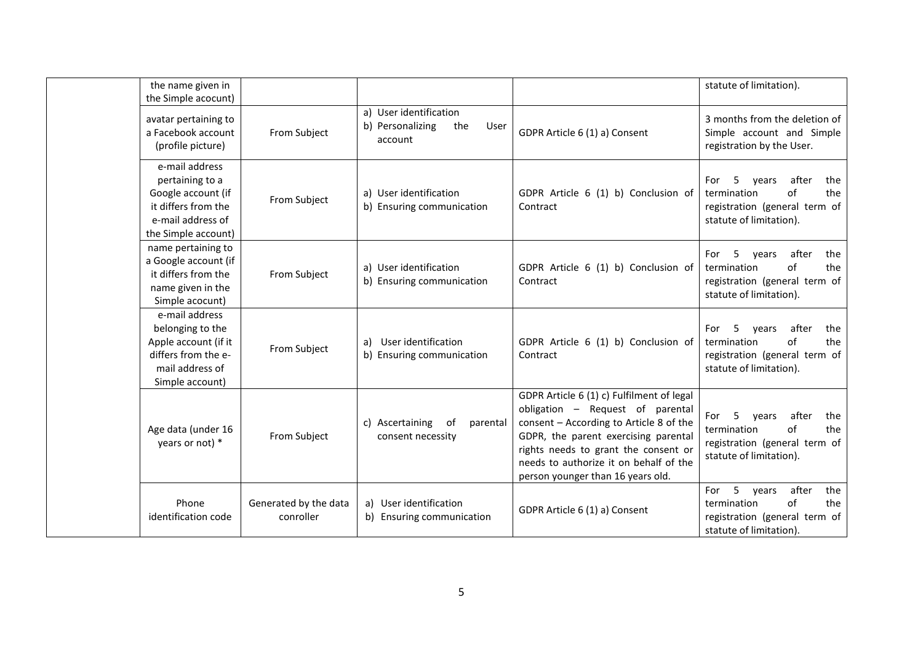| the name given in<br>the Simple acocunt)                                                                                   |                                    |                                                                      |                                                                                                                                                                                                                                                                                         | statute of limitation).                                                                                                           |
|----------------------------------------------------------------------------------------------------------------------------|------------------------------------|----------------------------------------------------------------------|-----------------------------------------------------------------------------------------------------------------------------------------------------------------------------------------------------------------------------------------------------------------------------------------|-----------------------------------------------------------------------------------------------------------------------------------|
| avatar pertaining to<br>a Facebook account<br>(profile picture)                                                            | From Subject                       | a) User identification<br>b) Personalizing<br>the<br>User<br>account | GDPR Article 6 (1) a) Consent                                                                                                                                                                                                                                                           | 3 months from the deletion of<br>Simple account and Simple<br>registration by the User.                                           |
| e-mail address<br>pertaining to a<br>Google account (if<br>it differs from the<br>e-mail address of<br>the Simple account) | From Subject                       | a) User identification<br>b) Ensuring communication                  | GDPR Article 6 (1) b) Conclusion of<br>Contract                                                                                                                                                                                                                                         | 5<br>after<br>For<br>the<br>years<br>the<br>termination<br>of<br>registration (general term of<br>statute of limitation).         |
| name pertaining to<br>a Google account (if<br>it differs from the<br>name given in the<br>Simple acocunt)                  | From Subject                       | a) User identification<br>b) Ensuring communication                  | GDPR Article 6 (1) b) Conclusion of<br>Contract                                                                                                                                                                                                                                         | 5<br>after<br>For<br>vears<br>the<br>the<br>termination<br>of<br>registration (general term of<br>statute of limitation).         |
| e-mail address<br>belonging to the<br>Apple account (if it<br>differs from the e-<br>mail address of<br>Simple account)    | From Subject                       | User identification<br>a)<br>b) Ensuring communication               | GDPR Article 6 (1) b) Conclusion of<br>Contract                                                                                                                                                                                                                                         | after<br>5<br>For<br>years<br>the<br>$\alpha$ f<br>the<br>termination<br>registration (general term of<br>statute of limitation). |
| Age data (under 16<br>years or not) *                                                                                      | From Subject                       | c) Ascertaining<br>of<br>parental<br>consent necessity               | GDPR Article 6 (1) c) Fulfilment of legal<br>obligation - Request of parental<br>consent - According to Article 8 of the<br>GDPR, the parent exercising parental<br>rights needs to grant the consent or<br>needs to authorize it on behalf of the<br>person younger than 16 years old. | after<br>5<br>vears<br>the<br>For<br>$\alpha$ f<br>the<br>termination<br>registration (general term of<br>statute of limitation). |
| Phone<br>identification code                                                                                               | Generated by the data<br>conroller | a) User identification<br>b) Ensuring communication                  | GDPR Article 6 (1) a) Consent                                                                                                                                                                                                                                                           | 5<br>after<br>the<br>For<br>years<br>of<br>the<br>termination<br>registration (general term of<br>statute of limitation).         |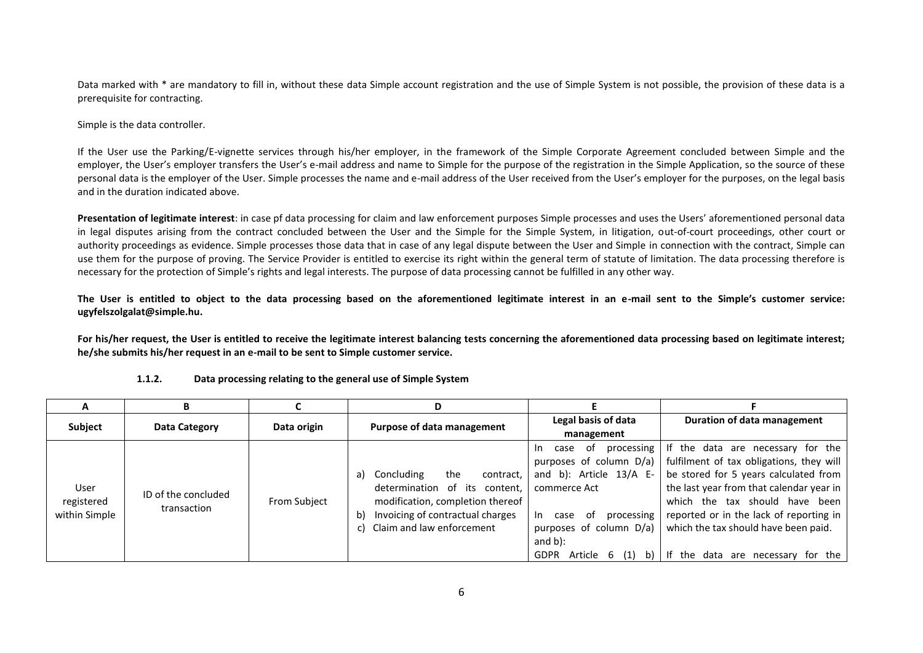Data marked with \* are mandatory to fill in, without these data Simple account registration and the use of Simple System is not possible, the provision of these data is a prerequisite for contracting.

Simple is the data controller.

If the User use the Parking/E-vignette services through his/her employer, in the framework of the Simple Corporate Agreement concluded between Simple and the employer, the User's employer transfers the User's e-mail address and name to Simple for the purpose of the registration in the Simple Application, so the source of these personal data is the employer of the User. Simple processes the name and e-mail address of the User received from the User's employer for the purposes, on the legal basis and in the duration indicated above.

**Presentation of legitimate interest**: in case pf data processing for claim and law enforcement purposes Simple processes and uses the Users' aforementioned personal data in legal disputes arising from the contract concluded between the User and the Simple for the Simple System, in litigation, out-of-court proceedings, other court or authority proceedings as evidence. Simple processes those data that in case of any legal dispute between the User and Simple in connection with the contract, Simple can use them for the purpose of proving. The Service Provider is entitled to exercise its right within the general term of statute of limitation. The data processing therefore is necessary for the protection of Simple's rights and legal interests. The purpose of data processing cannot be fulfilled in any other way.

**The User is entitled to object to the data processing based on the aforementioned legitimate interest in an e-mail sent to the Simple's customer service: ugyfelszolgalat@simple.hu.**

For his/her request, the User is entitled to receive the legitimate interest balancing tests concerning the aforementioned data processing based on legitimate interest; **he/she submits his/her request in an e-mail to be sent to Simple customer service.**

|                                     | В                                  |                     | D                                                                                                                                                                                         |                                                                                                                                                                                          |                                                                                                                                                                                                                                                                                                                                                                           |
|-------------------------------------|------------------------------------|---------------------|-------------------------------------------------------------------------------------------------------------------------------------------------------------------------------------------|------------------------------------------------------------------------------------------------------------------------------------------------------------------------------------------|---------------------------------------------------------------------------------------------------------------------------------------------------------------------------------------------------------------------------------------------------------------------------------------------------------------------------------------------------------------------------|
| Subject                             | Data Category                      | Data origin         | Purpose of data management                                                                                                                                                                | Legal basis of data                                                                                                                                                                      | Duration of data management                                                                                                                                                                                                                                                                                                                                               |
| User<br>registered<br>within Simple | ID of the concluded<br>transaction | <b>From Subject</b> | the<br>Concluding<br>contract,<br>a)<br>determination of<br>its content.<br>modification, completion thereof<br>Invoicing of contractual charges<br>b)<br>Claim and law enforcement<br>C) | management<br>case of<br>In In<br>and b): Article $13/A$ E-<br>commerce Act<br>of.<br>processing<br>case<br>In.<br>purposes of column D/a)<br>and $b$ ):<br>Article 6 (1)<br><b>GDPR</b> | processing If the data are necessary for the<br>purposes of column $D/a$ )   fulfilment of tax obligations, they will<br>be stored for 5 years calculated from<br>the last year from that calendar year in<br>which the tax should have been<br>reported or in the lack of reporting in<br>which the tax should have been paid.<br>b) I If the data are necessary for the |

## **1.1.2. Data processing relating to the general use of Simple System**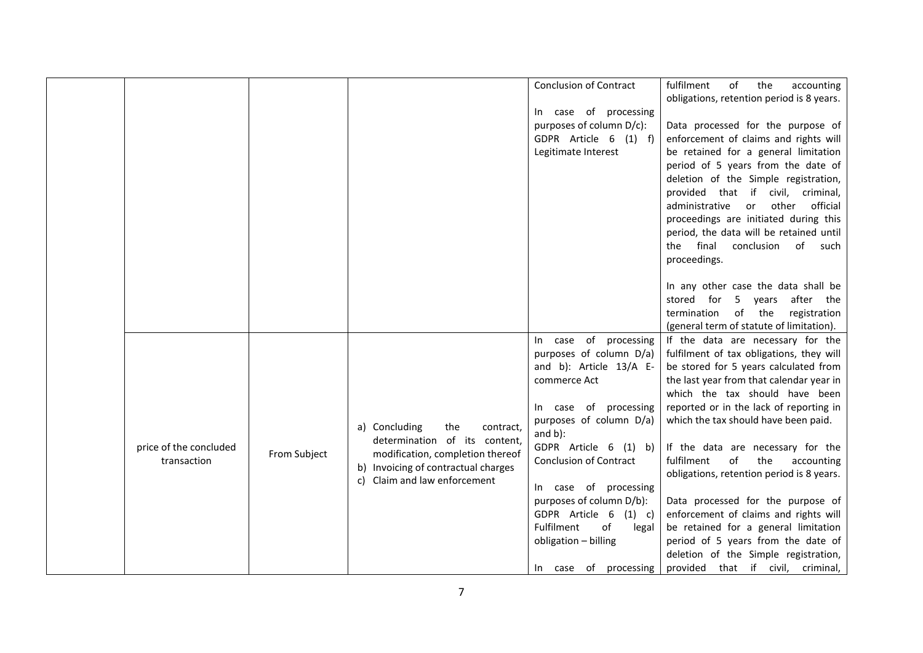|                        |              |                                     | <b>Conclusion of Contract</b> | fulfilment<br>of<br>the<br>accounting     |
|------------------------|--------------|-------------------------------------|-------------------------------|-------------------------------------------|
|                        |              |                                     |                               | obligations, retention period is 8 years. |
|                        |              |                                     | In case of processing         |                                           |
|                        |              |                                     | purposes of column D/c):      | Data processed for the purpose of         |
|                        |              |                                     | GDPR Article 6 (1) f)         | enforcement of claims and rights will     |
|                        |              |                                     | Legitimate Interest           | be retained for a general limitation      |
|                        |              |                                     |                               | period of 5 years from the date of        |
|                        |              |                                     |                               | deletion of the Simple registration,      |
|                        |              |                                     |                               | provided that if civil, criminal,         |
|                        |              |                                     |                               | other<br>official<br>administrative<br>or |
|                        |              |                                     |                               | proceedings are initiated during this     |
|                        |              |                                     |                               | period, the data will be retained until   |
|                        |              |                                     |                               | final<br>conclusion of<br>the<br>such     |
|                        |              |                                     |                               | proceedings.                              |
|                        |              |                                     |                               |                                           |
|                        |              |                                     |                               | In any other case the data shall be       |
|                        |              |                                     |                               | 5 years<br>after the<br>stored for        |
|                        |              |                                     |                               | of the<br>registration<br>termination     |
|                        |              |                                     |                               | (general term of statute of limitation).  |
|                        |              |                                     | In case of processing         | If the data are necessary for the         |
|                        |              |                                     | purposes of column D/a)       | fulfilment of tax obligations, they will  |
|                        |              |                                     | and b): Article 13/A E-       | be stored for 5 years calculated from     |
|                        |              |                                     | commerce Act                  | the last year from that calendar year in  |
|                        |              |                                     |                               | which the tax should have been            |
|                        |              |                                     | In case of processing         | reported or in the lack of reporting in   |
|                        |              | a) Concluding<br>the<br>contract,   | purposes of column D/a)       | which the tax should have been paid.      |
|                        |              | determination of its content,       | and $b$ ):                    |                                           |
| price of the concluded | From Subject | modification, completion thereof    | GDPR Article 6 (1) b)         | If the data are necessary for the         |
| transaction            |              | b) Invoicing of contractual charges | <b>Conclusion of Contract</b> | of<br>fulfilment<br>the<br>accounting     |
|                        |              | c) Claim and law enforcement        |                               | obligations, retention period is 8 years. |
|                        |              |                                     | In case of processing         |                                           |
|                        |              |                                     | purposes of column D/b):      | Data processed for the purpose of         |
|                        |              |                                     | GDPR Article 6<br>$(1)$ c)    | enforcement of claims and rights will     |
|                        |              |                                     | of<br>Fulfilment<br>legal     | be retained for a general limitation      |
|                        |              |                                     | obligation - billing          | period of 5 years from the date of        |
|                        |              |                                     |                               | deletion of the Simple registration,      |
|                        |              |                                     | In case of processing         | provided that if civil, criminal,         |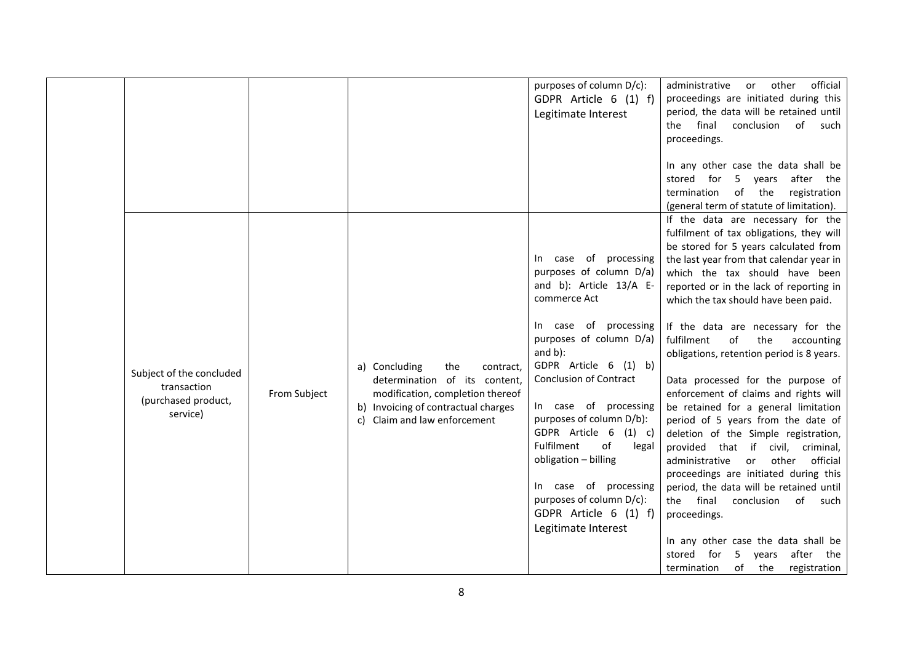|                                                                            |              |                                                                                                                                                                               | purposes of column D/c):<br>GDPR Article 6 (1) f)<br>Legitimate Interest                                                                                                                                                                                                                                                                                                                                                                                             | official<br>administrative<br>other<br>or<br>proceedings are initiated during this<br>period, the data will be retained until<br>final<br>conclusion<br>of such<br>the<br>proceedings.<br>In any other case the data shall be<br>after the<br>stored for<br>5 years<br>of the<br>termination<br>registration<br>(general term of statute of limitation).                                                                                                                                                                                                                                                                                                                                                                                                                                                                                                                                                                                                                       |
|----------------------------------------------------------------------------|--------------|-------------------------------------------------------------------------------------------------------------------------------------------------------------------------------|----------------------------------------------------------------------------------------------------------------------------------------------------------------------------------------------------------------------------------------------------------------------------------------------------------------------------------------------------------------------------------------------------------------------------------------------------------------------|--------------------------------------------------------------------------------------------------------------------------------------------------------------------------------------------------------------------------------------------------------------------------------------------------------------------------------------------------------------------------------------------------------------------------------------------------------------------------------------------------------------------------------------------------------------------------------------------------------------------------------------------------------------------------------------------------------------------------------------------------------------------------------------------------------------------------------------------------------------------------------------------------------------------------------------------------------------------------------|
| Subject of the concluded<br>transaction<br>(purchased product,<br>service) | From Subject | a) Concluding<br>the<br>contract,<br>determination of its content,<br>modification, completion thereof<br>b) Invoicing of contractual charges<br>c) Claim and law enforcement | In case of processing<br>purposes of column D/a)<br>and b): Article 13/A E-<br>commerce Act<br>In case of processing<br>purposes of column D/a)<br>and $b$ ):<br>GDPR Article 6 (1) b)<br><b>Conclusion of Contract</b><br>In case of processing<br>purposes of column D/b):<br>GDPR Article 6<br>$(1)$ c)<br>of<br>Fulfilment<br>legal<br>obligation - billing<br>In case of processing<br>purposes of column D/c):<br>GDPR Article 6 (1) f)<br>Legitimate Interest | If the data are necessary for the<br>fulfilment of tax obligations, they will<br>be stored for 5 years calculated from<br>the last year from that calendar year in<br>which the tax should have been<br>reported or in the lack of reporting in<br>which the tax should have been paid.<br>If the data are necessary for the<br>fulfilment<br>of<br>the<br>accounting<br>obligations, retention period is 8 years.<br>Data processed for the purpose of<br>enforcement of claims and rights will<br>be retained for a general limitation<br>period of 5 years from the date of<br>deletion of the Simple registration,<br>provided that if civil, criminal,<br>administrative<br>other<br>official<br>or<br>proceedings are initiated during this<br>period, the data will be retained until<br>the final<br>conclusion<br>of<br>such<br>proceedings.<br>In any other case the data shall be<br>after the<br>stored for<br>5 years<br>of<br>the<br>registration<br>termination |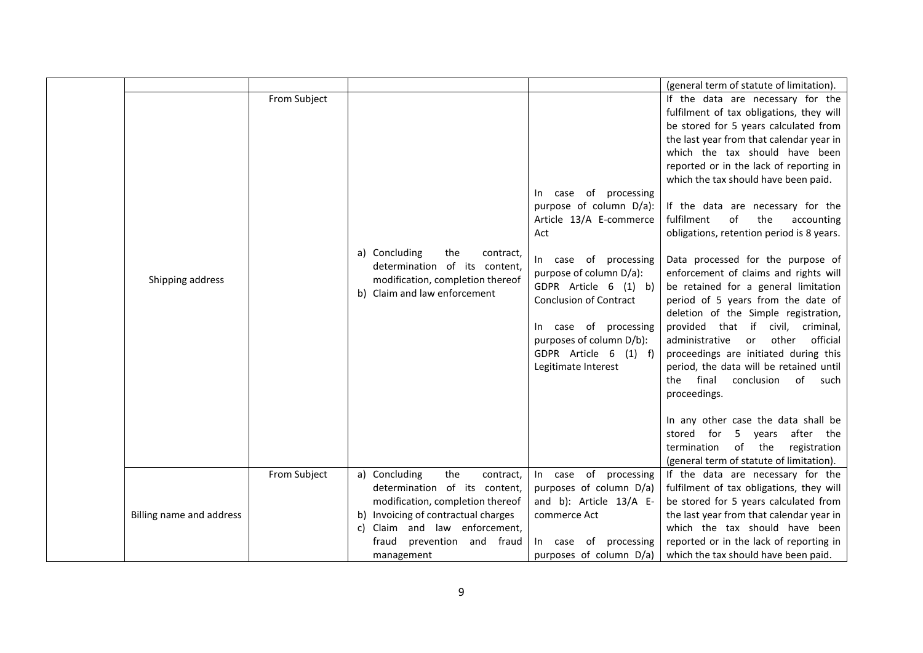|                          |              |                                                                                                                                                                                                                                  |                                                                                                                                                                                                                                                                                                                 | (general term of statute of limitation).                                                                                                                                                                                                                                                                                                                                                                                                                                                                                                                                                                                                                                                                                                                                                                                                                                                                                                                                                                             |
|--------------------------|--------------|----------------------------------------------------------------------------------------------------------------------------------------------------------------------------------------------------------------------------------|-----------------------------------------------------------------------------------------------------------------------------------------------------------------------------------------------------------------------------------------------------------------------------------------------------------------|----------------------------------------------------------------------------------------------------------------------------------------------------------------------------------------------------------------------------------------------------------------------------------------------------------------------------------------------------------------------------------------------------------------------------------------------------------------------------------------------------------------------------------------------------------------------------------------------------------------------------------------------------------------------------------------------------------------------------------------------------------------------------------------------------------------------------------------------------------------------------------------------------------------------------------------------------------------------------------------------------------------------|
| Shipping address         | From Subject | a) Concluding<br>the<br>contract,<br>determination of its content,<br>modification, completion thereof<br>b) Claim and law enforcement                                                                                           | of<br>processing<br>case<br>In.<br>purpose of column D/a):<br>Article 13/A E-commerce<br>Act<br>In case of processing<br>purpose of column D/a):<br>GDPR Article 6 (1) b)<br><b>Conclusion of Contract</b><br>In case of processing<br>purposes of column D/b):<br>GDPR Article 6 (1) f)<br>Legitimate Interest | If the data are necessary for the<br>fulfilment of tax obligations, they will<br>be stored for 5 years calculated from<br>the last year from that calendar year in<br>which the tax should have been<br>reported or in the lack of reporting in<br>which the tax should have been paid.<br>If the data are necessary for the<br>of<br>fulfilment<br>the<br>accounting<br>obligations, retention period is 8 years.<br>Data processed for the purpose of<br>enforcement of claims and rights will<br>be retained for a general limitation<br>period of 5 years from the date of<br>deletion of the Simple registration,<br>provided that if civil, criminal,<br>administrative<br>other<br>official<br>or<br>proceedings are initiated during this<br>period, the data will be retained until<br>final<br>conclusion<br>of such<br>the<br>proceedings.<br>In any other case the data shall be<br>after the<br>stored for<br>5 years<br>termination of the<br>registration<br>(general term of statute of limitation). |
| Billing name and address | From Subject | a) Concluding<br>the<br>contract,<br>determination of its content,<br>modification, completion thereof<br>b) Invoicing of contractual charges<br>Claim and law enforcement,<br>c)<br>prevention and fraud<br>fraud<br>management | In case of<br>processing<br>purposes of column D/a)<br>and b): Article 13/A E-<br>commerce Act<br>In case of<br>processing<br>purposes of column D/a)                                                                                                                                                           | If the data are necessary for the<br>fulfilment of tax obligations, they will<br>be stored for 5 years calculated from<br>the last year from that calendar year in<br>which the tax should have been<br>reported or in the lack of reporting in<br>which the tax should have been paid.                                                                                                                                                                                                                                                                                                                                                                                                                                                                                                                                                                                                                                                                                                                              |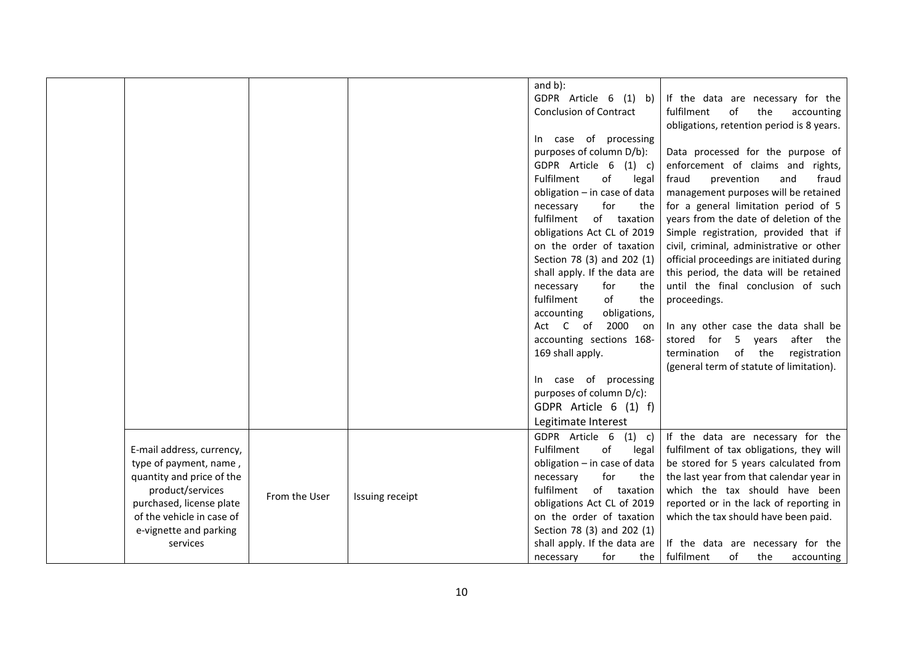|                           |               |                 | and $b$ ):                    |                                           |
|---------------------------|---------------|-----------------|-------------------------------|-------------------------------------------|
|                           |               |                 | GDPR Article 6 (1) b)         | If the data are necessary for the         |
|                           |               |                 | <b>Conclusion of Contract</b> | fulfilment<br>of<br>the<br>accounting     |
|                           |               |                 |                               | obligations, retention period is 8 years. |
|                           |               |                 | In case of processing         |                                           |
|                           |               |                 | purposes of column D/b):      | Data processed for the purpose of         |
|                           |               |                 | GDPR Article 6<br>$(1)$ c)    | enforcement of claims and rights,         |
|                           |               |                 | of<br>Fulfilment<br>legal     | fraud<br>prevention<br>and<br>fraud       |
|                           |               |                 | obligation - in case of data  | management purposes will be retained      |
|                           |               |                 | for<br>necessary<br>the       | for a general limitation period of 5      |
|                           |               |                 | fulfilment<br>of taxation     | years from the date of deletion of the    |
|                           |               |                 | obligations Act CL of 2019    | Simple registration, provided that if     |
|                           |               |                 | on the order of taxation      | civil, criminal, administrative or other  |
|                           |               |                 | Section 78 (3) and 202 (1)    | official proceedings are initiated during |
|                           |               |                 | shall apply. If the data are  | this period, the data will be retained    |
|                           |               |                 | necessary<br>for<br>the       | until the final conclusion of such        |
|                           |               |                 | fulfilment<br>of<br>the       | proceedings.                              |
|                           |               |                 | accounting<br>obligations,    |                                           |
|                           |               |                 | Act C of<br>2000<br>on        | In any other case the data shall be       |
|                           |               |                 | accounting sections 168-      | stored for<br>5 years<br>after the        |
|                           |               |                 | 169 shall apply.              | termination<br>of the<br>registration     |
|                           |               |                 |                               | (general term of statute of limitation).  |
|                           |               |                 | In case of processing         |                                           |
|                           |               |                 | purposes of column D/c):      |                                           |
|                           |               |                 | GDPR Article 6 (1) f)         |                                           |
|                           |               |                 | Legitimate Interest           |                                           |
|                           |               |                 | GDPR Article 6<br>$(1)$ c)    | If the data are necessary for the         |
| E-mail address, currency, |               |                 | of<br>Fulfilment<br>legal     | fulfilment of tax obligations, they will  |
| type of payment, name,    |               |                 | obligation - in case of data  | be stored for 5 years calculated from     |
| quantity and price of the |               |                 | for<br>necessary<br>the       | the last year from that calendar year in  |
| product/services          |               |                 | fulfilment<br>of taxation     | which the tax should have been            |
| purchased, license plate  | From the User | Issuing receipt | obligations Act CL of 2019    | reported or in the lack of reporting in   |
| of the vehicle in case of |               |                 | on the order of taxation      | which the tax should have been paid.      |
| e-vignette and parking    |               |                 | Section 78 (3) and 202 (1)    |                                           |
| services                  |               |                 | shall apply. If the data are  | If the data are necessary for the         |
|                           |               |                 | necessary<br>for<br>the       | fulfilment<br>of<br>the<br>accounting     |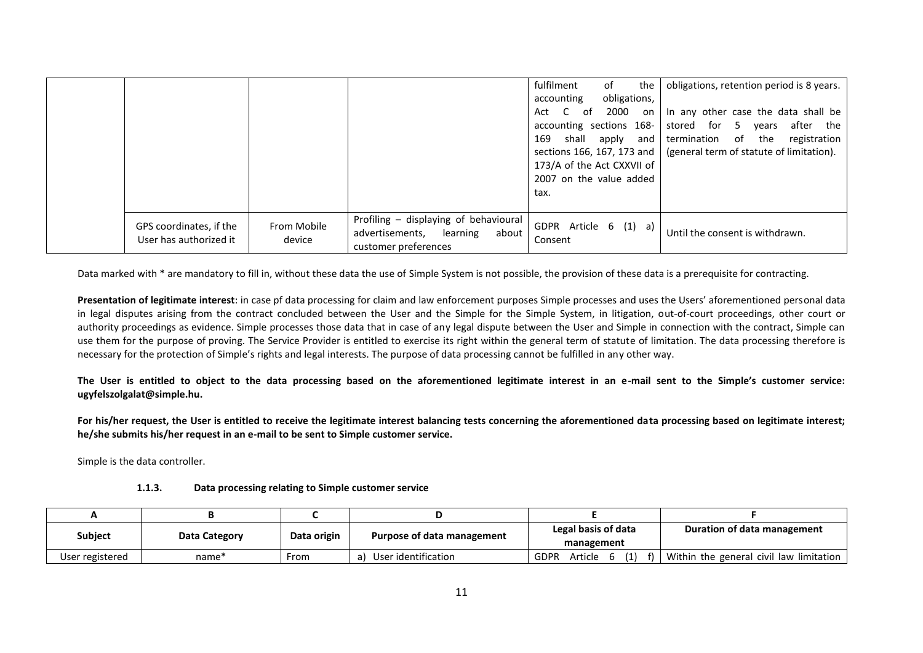|                                                   |                       |                                                                                                       | fulfilment<br>the<br>of<br>obligations,<br>accounting                                                                                                                     | obligations, retention period is 8 years.                                                                                                                      |
|---------------------------------------------------|-----------------------|-------------------------------------------------------------------------------------------------------|---------------------------------------------------------------------------------------------------------------------------------------------------------------------------|----------------------------------------------------------------------------------------------------------------------------------------------------------------|
|                                                   |                       |                                                                                                       | 2000 on<br>of<br>Act<br>accounting sections 168-<br>shall apply and<br>169<br>sections 166, 167, 173 and<br>173/A of the Act CXXVII of<br>2007 on the value added<br>tax. | In any other case the data shall be<br>stored for 5<br>after the<br>vears<br>termination of<br>registration<br>the<br>(general term of statute of limitation). |
| GPS coordinates, if the<br>User has authorized it | From Mobile<br>device | Profiling - displaying of behavioural<br>advertisements,<br>about<br>learning<br>customer preferences | GDPR Article 6 (1) a)<br>Consent                                                                                                                                          | Until the consent is withdrawn.                                                                                                                                |

Data marked with \* are mandatory to fill in, without these data the use of Simple System is not possible, the provision of these data is a prerequisite for contracting.

**Presentation of legitimate interest**: in case pf data processing for claim and law enforcement purposes Simple processes and uses the Users' aforementioned personal data in legal disputes arising from the contract concluded between the User and the Simple for the Simple System, in litigation, out-of-court proceedings, other court or authority proceedings as evidence. Simple processes those data that in case of any legal dispute between the User and Simple in connection with the contract, Simple can use them for the purpose of proving. The Service Provider is entitled to exercise its right within the general term of statute of limitation. The data processing therefore is necessary for the protection of Simple's rights and legal interests. The purpose of data processing cannot be fulfilled in any other way.

**The User is entitled to object to the data processing based on the aforementioned legitimate interest in an e-mail sent to the Simple's customer service: ugyfelszolgalat@simple.hu.**

For his/her request, the User is entitled to receive the legitimate interest balancing tests concerning the aforementioned data processing based on legitimate interest; **he/she submits his/her request in an e-mail to be sent to Simple customer service.**

Simple is the data controller.

| 1.1.3. | Data processing relating to Simple customer service |
|--------|-----------------------------------------------------|
|--------|-----------------------------------------------------|

| <b>Subject</b>  | Data Category | Data origin | Purpose of data management | Legal basis of data<br>management | Duration of data management             |
|-----------------|---------------|-------------|----------------------------|-----------------------------------|-----------------------------------------|
| User registered | name*         | From        | User identification        | <b>GDPR</b><br>Article            | Within the general civil law limitation |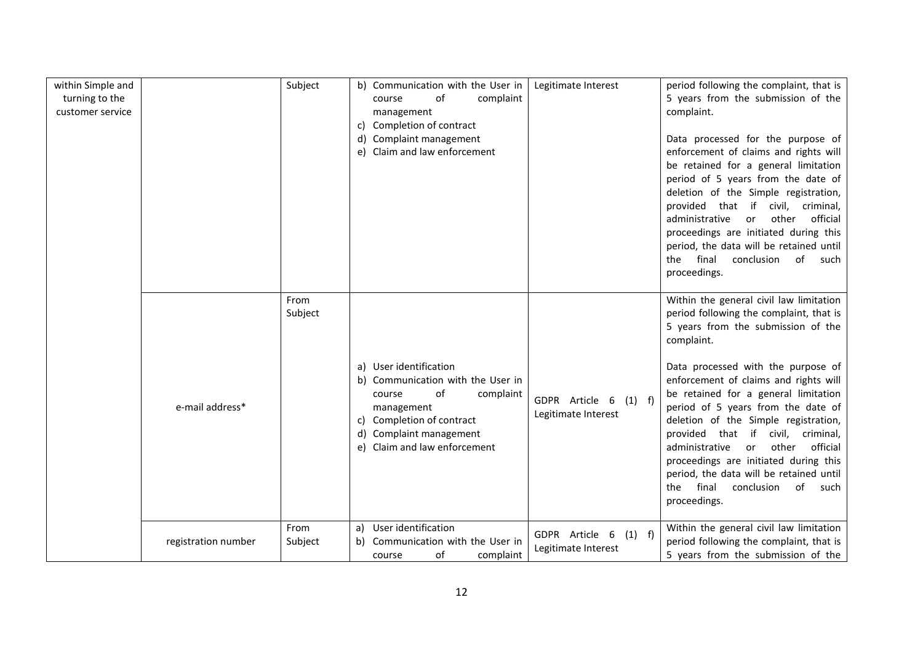| within Simple and<br>turning to the<br>customer service |                     | Subject         | b) Communication with the User in<br>of<br>complaint<br>course<br>management<br>Completion of contract<br>C)<br>d) Complaint management<br>Claim and law enforcement<br>e)                  | Legitimate Interest                               | period following the complaint, that is<br>5 years from the submission of the<br>complaint.<br>Data processed for the purpose of<br>enforcement of claims and rights will<br>be retained for a general limitation<br>period of 5 years from the date of<br>deletion of the Simple registration,<br>provided that if<br>civil,<br>criminal,<br>official<br>administrative<br>other<br>or<br>proceedings are initiated during this<br>period, the data will be retained until<br>final<br>conclusion<br>of<br>the<br>such<br>proceedings.                                             |
|---------------------------------------------------------|---------------------|-----------------|---------------------------------------------------------------------------------------------------------------------------------------------------------------------------------------------|---------------------------------------------------|-------------------------------------------------------------------------------------------------------------------------------------------------------------------------------------------------------------------------------------------------------------------------------------------------------------------------------------------------------------------------------------------------------------------------------------------------------------------------------------------------------------------------------------------------------------------------------------|
|                                                         | e-mail address*     | From<br>Subject | a) User identification<br>b) Communication with the User in<br>of<br>complaint<br>course<br>management<br>Completion of contract<br>Complaint management<br>Claim and law enforcement<br>e) | GDPR Article 6<br>$(1)$ f)<br>Legitimate Interest | Within the general civil law limitation<br>period following the complaint, that is<br>5 years from the submission of the<br>complaint.<br>Data processed with the purpose of<br>enforcement of claims and rights will<br>be retained for a general limitation<br>period of 5 years from the date of<br>deletion of the Simple registration,<br>provided that if<br>civil,<br>criminal,<br>administrative<br>other<br>official<br>or<br>proceedings are initiated during this<br>period, the data will be retained until<br>final<br>of<br>conclusion<br>the<br>such<br>proceedings. |
|                                                         | registration number | From<br>Subject | a) User identification<br>Communication with the User in<br>b)<br>of<br>complaint<br>course                                                                                                 | GDPR Article 6<br>$(1)$ f)<br>Legitimate Interest | Within the general civil law limitation<br>period following the complaint, that is<br>5 years from the submission of the                                                                                                                                                                                                                                                                                                                                                                                                                                                            |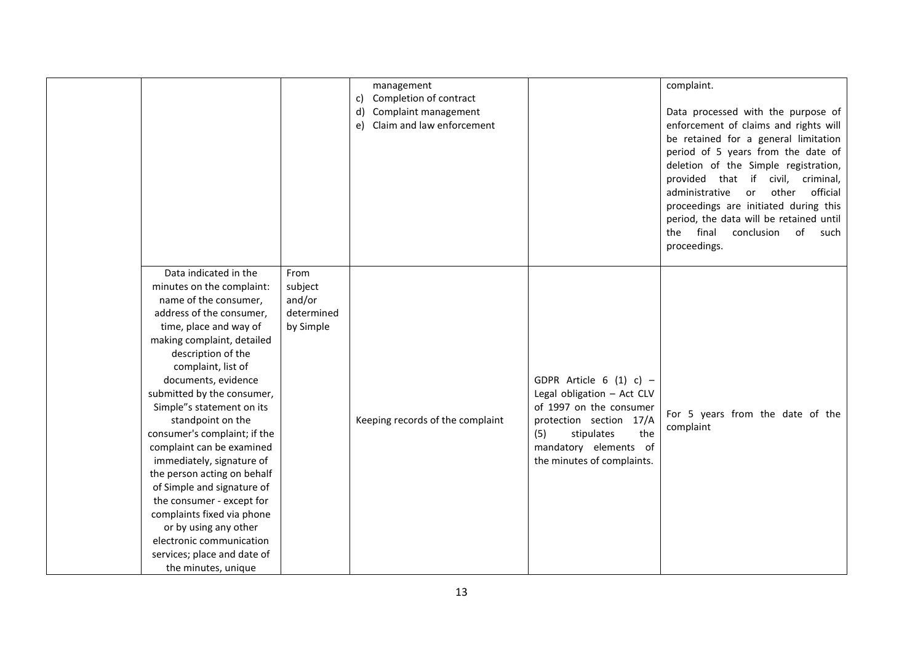| Data indicated in the                                                                                                                                                                                                                                                                                                                                                                                                                                                                                                                                                                                                  | From                                         | management<br>Completion of contract<br>c)<br>Complaint management<br>d)<br>Claim and law enforcement<br>e) |                                                                                                                                                                                                  | complaint.<br>Data processed with the purpose of<br>enforcement of claims and rights will<br>be retained for a general limitation<br>period of 5 years from the date of<br>deletion of the Simple registration,<br>provided that if civil, criminal,<br>official<br>administrative<br>other<br>or<br>proceedings are initiated during this<br>period, the data will be retained until<br>final<br>conclusion<br>of<br>the<br>such<br>proceedings. |
|------------------------------------------------------------------------------------------------------------------------------------------------------------------------------------------------------------------------------------------------------------------------------------------------------------------------------------------------------------------------------------------------------------------------------------------------------------------------------------------------------------------------------------------------------------------------------------------------------------------------|----------------------------------------------|-------------------------------------------------------------------------------------------------------------|--------------------------------------------------------------------------------------------------------------------------------------------------------------------------------------------------|---------------------------------------------------------------------------------------------------------------------------------------------------------------------------------------------------------------------------------------------------------------------------------------------------------------------------------------------------------------------------------------------------------------------------------------------------|
| minutes on the complaint:<br>name of the consumer,<br>address of the consumer,<br>time, place and way of<br>making complaint, detailed<br>description of the<br>complaint, list of<br>documents, evidence<br>submitted by the consumer,<br>Simple"s statement on its<br>standpoint on the<br>consumer's complaint; if the<br>complaint can be examined<br>immediately, signature of<br>the person acting on behalf<br>of Simple and signature of<br>the consumer - except for<br>complaints fixed via phone<br>or by using any other<br>electronic communication<br>services; place and date of<br>the minutes, unique | subject<br>and/or<br>determined<br>by Simple | Keeping records of the complaint                                                                            | GDPR Article 6 (1) c) $-$<br>Legal obligation - Act CLV<br>of 1997 on the consumer<br>protection section 17/A<br>the<br>(5)<br>stipulates<br>mandatory elements of<br>the minutes of complaints. | For 5 years from the date of the<br>complaint                                                                                                                                                                                                                                                                                                                                                                                                     |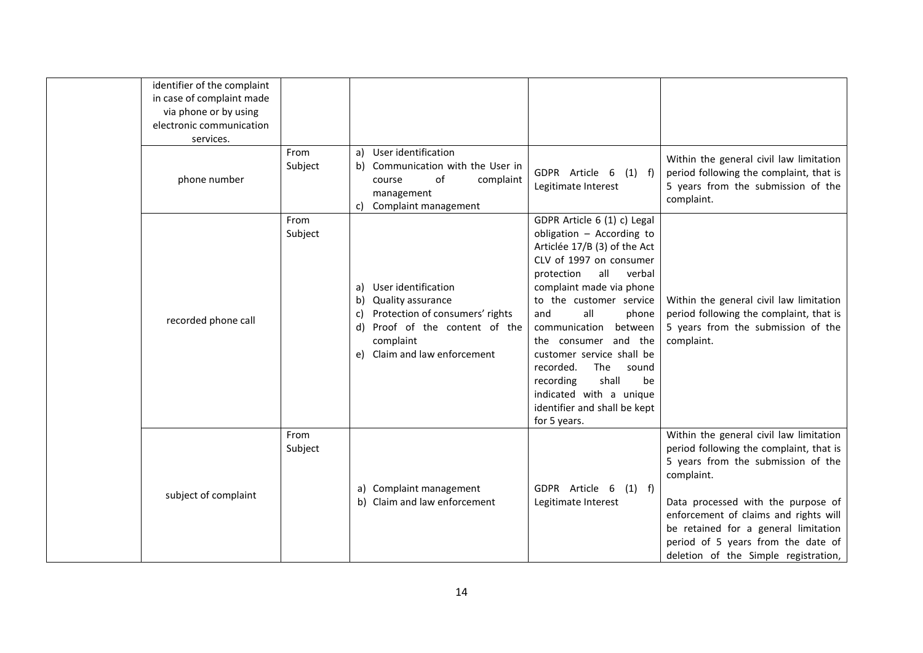| identifier of the complaint<br>in case of complaint made<br>via phone or by using<br>electronic communication |                 |                                                                                                                                                                           |                                                                                                                                                                                                                                                                                                                                                                                                                                                       |                                                                                                                                                                                                                                                                                                                                             |
|---------------------------------------------------------------------------------------------------------------|-----------------|---------------------------------------------------------------------------------------------------------------------------------------------------------------------------|-------------------------------------------------------------------------------------------------------------------------------------------------------------------------------------------------------------------------------------------------------------------------------------------------------------------------------------------------------------------------------------------------------------------------------------------------------|---------------------------------------------------------------------------------------------------------------------------------------------------------------------------------------------------------------------------------------------------------------------------------------------------------------------------------------------|
| services.                                                                                                     |                 |                                                                                                                                                                           |                                                                                                                                                                                                                                                                                                                                                                                                                                                       |                                                                                                                                                                                                                                                                                                                                             |
| phone number                                                                                                  | From<br>Subject | a) User identification<br>b) Communication with the User in<br>of<br>complaint<br>course<br>management<br>c) Complaint management                                         | GDPR Article 6<br>$(1)$ f)<br>Legitimate Interest                                                                                                                                                                                                                                                                                                                                                                                                     | Within the general civil law limitation<br>period following the complaint, that is<br>5 years from the submission of the<br>complaint.                                                                                                                                                                                                      |
| recorded phone call                                                                                           | From<br>Subject | User identification<br>a)<br>b) Quality assurance<br>Protection of consumers' rights<br>C)<br>d) Proof of the content of the<br>complaint<br>e) Claim and law enforcement | GDPR Article 6 (1) c) Legal<br>obligation - According to<br>Articlée 17/B (3) of the Act<br>CLV of 1997 on consumer<br>protection<br>all<br>verbal<br>complaint made via phone<br>to the customer service<br>all<br>and<br>phone<br>communication<br>between<br>the consumer and the<br>customer service shall be<br>recorded.<br>The<br>sound<br>shall<br>be<br>recording<br>indicated with a unique<br>identifier and shall be kept<br>for 5 years. | Within the general civil law limitation<br>period following the complaint, that is<br>5 years from the submission of the<br>complaint.                                                                                                                                                                                                      |
| subject of complaint                                                                                          | From<br>Subject | a) Complaint management<br>b) Claim and law enforcement                                                                                                                   | GDPR Article 6 (1) f)<br>Legitimate Interest                                                                                                                                                                                                                                                                                                                                                                                                          | Within the general civil law limitation<br>period following the complaint, that is<br>5 years from the submission of the<br>complaint.<br>Data processed with the purpose of<br>enforcement of claims and rights will<br>be retained for a general limitation<br>period of 5 years from the date of<br>deletion of the Simple registration, |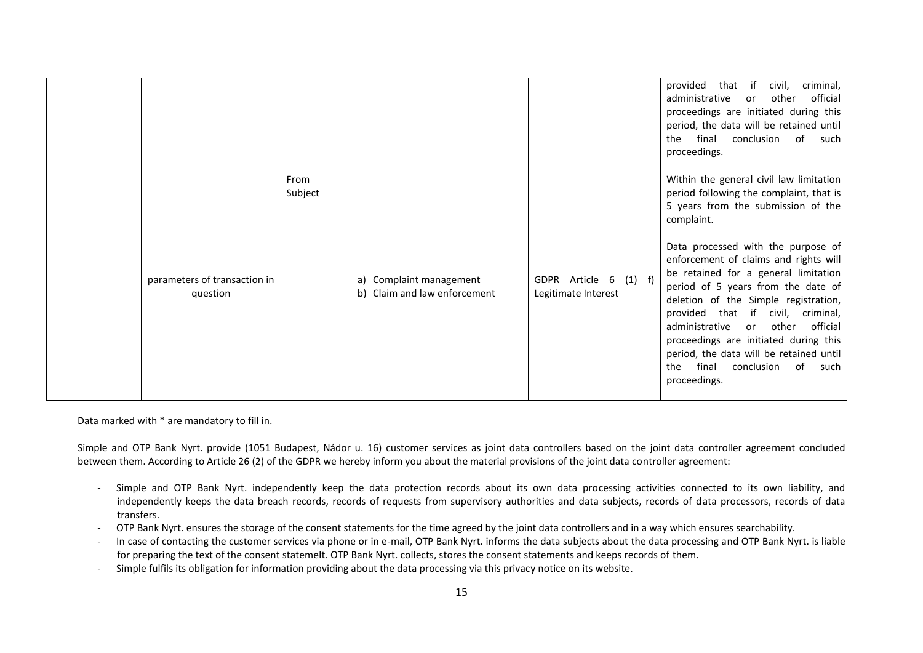|                                          |                 |                                                            |                                              | that if<br>criminal,<br>provided<br>civil,<br>official<br>administrative<br>other<br>or<br>proceedings are initiated during this<br>period, the data will be retained until<br>final<br>conclusion<br>of<br>the<br>such<br>proceedings.                                                                                                                                                                                                                                                                                                                                                 |
|------------------------------------------|-----------------|------------------------------------------------------------|----------------------------------------------|-----------------------------------------------------------------------------------------------------------------------------------------------------------------------------------------------------------------------------------------------------------------------------------------------------------------------------------------------------------------------------------------------------------------------------------------------------------------------------------------------------------------------------------------------------------------------------------------|
| parameters of transaction in<br>question | From<br>Subject | Complaint management<br>a)<br>b) Claim and law enforcement | GDPR Article 6 (1) f)<br>Legitimate Interest | Within the general civil law limitation<br>period following the complaint, that is<br>5 years from the submission of the<br>complaint.<br>Data processed with the purpose of<br>enforcement of claims and rights will<br>be retained for a general limitation<br>period of 5 years from the date of<br>deletion of the Simple registration,<br>provided that if<br>civil, criminal,<br>official<br>administrative<br>other<br>or <b>or</b><br>proceedings are initiated during this<br>period, the data will be retained until<br>conclusion of<br>the<br>final<br>such<br>proceedings. |

Data marked with \* are mandatory to fill in.

Simple and OTP Bank Nyrt. provide (1051 Budapest, Nádor u. 16) customer services as joint data controllers based on the joint data controller agreement concluded between them. According to Article 26 (2) of the GDPR we hereby inform you about the material provisions of the joint data controller agreement:

- Simple and OTP Bank Nyrt. independently keep the data protection records about its own data processing activities connected to its own liability, and independently keeps the data breach records, records of requests from supervisory authorities and data subjects, records of data processors, records of data transfers.
- OTP Bank Nyrt. ensures the storage of the consent statements for the time agreed by the joint data controllers and in a way which ensures searchability.
- In case of contacting the customer services via phone or in e-mail, OTP Bank Nyrt. informs the data subjects about the data processing and OTP Bank Nyrt. is liable for preparing the text of the consent statemeIt. OTP Bank Nyrt. collects, stores the consent statements and keeps records of them.
- Simple fulfils its obligation for information providing about the data processing via this privacy notice on its website.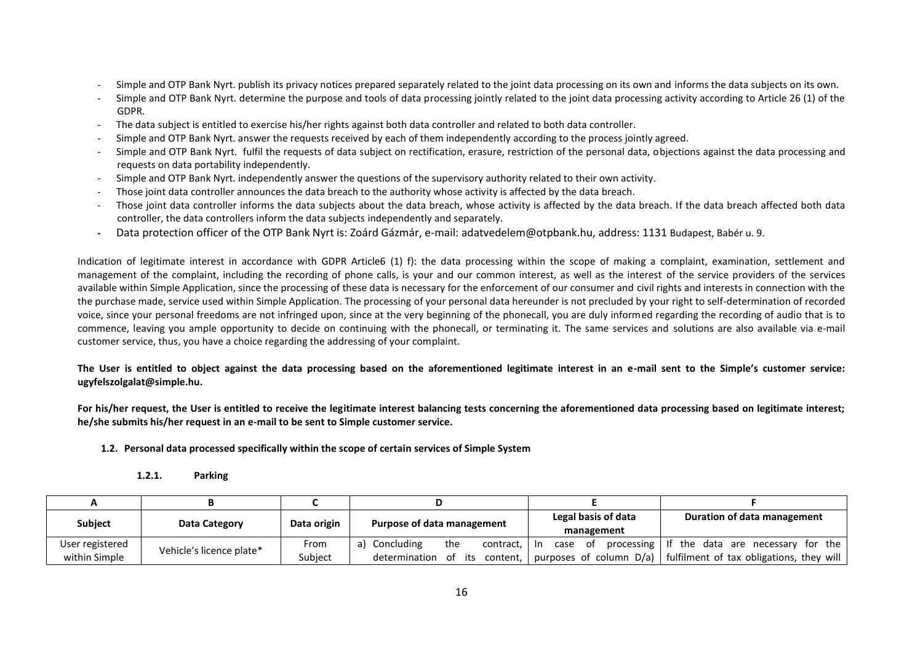- Simple and OTP Bank Nyrt. publish its privacy notices prepared separately related to the joint data processing on its own and informs the data subjects on its own.
- Simple and OTP Bank Nyrt. determine the purpose and tools of data processing jointly related to the joint data processing activity according to Article 26 (1) of the GDPR.
- The data subject is entitled to exercise his/her rights against both data controller and related to both data controller.
- Simple and OTP Bank Nyrt. answer the requests received by each of them independently according to the process jointly agreed.
- Simple and OTP Bank Nyrt. fulfil the requests of data subject on rectification, erasure, restriction of the personal data, objections against the data processing and requests on data portability independently.
- Simple and OTP Bank Nyrt. independently answer the questions of the supervisory authority related to their own activity.
- Those joint data controller announces the data breach to the authority whose activity is affected by the data breach.
- Those joint data controller informs the data subjects about the data breach, whose activity is affected by the data breach. If the data breach affected both data controller, the data controllers inform the data subjects independently and separately.
- **-** Data protection officer of the OTP Bank Nyrt is: Zoárd Gázmár, e-mail: adatvedelem@otpbank.hu, address: 1131 Budapest, Babér u. 9.

Indication of legitimate interest in accordance with GDPR Article6 (1) f): the data processing within the scope of making a complaint, examination, settlement and management of the complaint, including the recording of phone calls, is your and our common interest, as well as the interest of the service providers of the services available within Simple Application, since the processing of these data is necessary for the enforcement of our consumer and civil rights and interests in connection with the the purchase made, service used within Simple Application. The processing of your personal data hereunder is not precluded by your right to self-determination of recorded voice, since your personal freedoms are not infringed upon, since at the very beginning of the phonecall, you are duly informed regarding the recording of audio that is to commence, leaving you ample opportunity to decide on continuing with the phonecall, or terminating it. The same services and solutions are also available via e-mail customer service, thus, you have a choice regarding the addressing of your complaint.

**The User is entitled to object against the data processing based on the aforementioned legitimate interest in an e-mail sent to the Simple's customer service: ugyfelszolgalat@simple.hu.**

**For his/her request, the User is entitled to receive the legitimate interest balancing tests concerning the aforementioned data processing based on legitimate interest; he/she submits his/her request in an e-mail to be sent to Simple customer service.**

**1.2. Personal data processed specifically within the scope of certain services of Simple System** 

**1.2.1. Parking**

| Subject         |                          | Data origin | Purpose of data management |                       | Legal basis of data | Duration of data management                                           |
|-----------------|--------------------------|-------------|----------------------------|-----------------------|---------------------|-----------------------------------------------------------------------|
|                 | Data Category            |             |                            |                       | management          |                                                                       |
| User registered |                          | From        | Concluding                 | the<br>contract, I In | case of             | processing If the data are necessary for the                          |
| within Simple   | Vehicle's licence plate* | Subiect     | determination of its       | content.              |                     | purposes of column $D/a$ )   fulfilment of tax obligations, they will |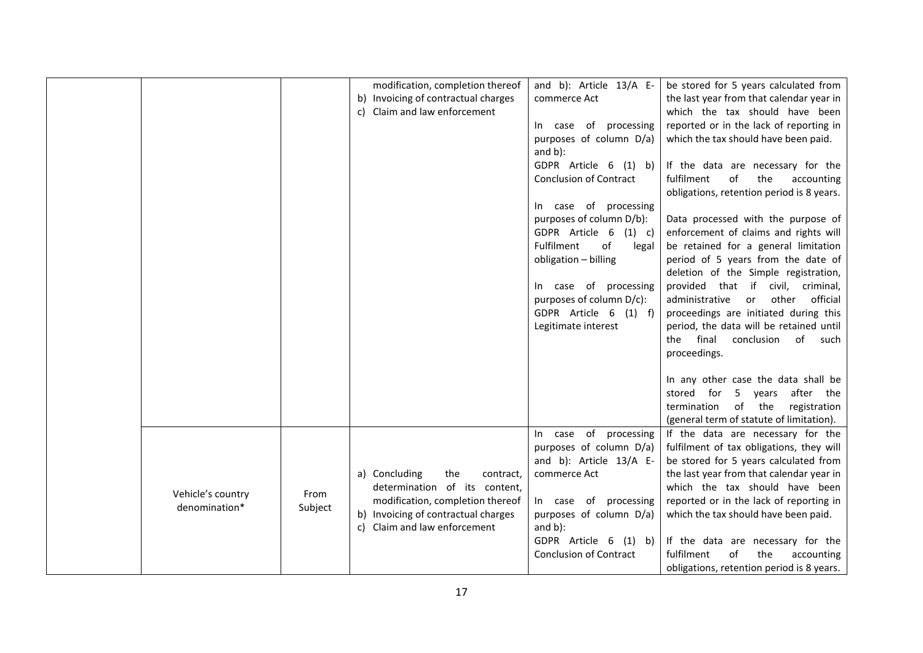|                                    |                 | modification, completion thereof<br>b) Invoicing of contractual charges<br>Claim and law enforcement<br>C)                                                                    | and b): Article 13/A E-<br>commerce Act<br>In case of processing<br>purposes of column D/a)<br>and $b$ ):<br>GDPR Article 6 (1) b)<br><b>Conclusion of Contract</b><br>In case of processing<br>purposes of column D/b):<br>GDPR Article 6<br>$(1)$ c)<br>Fulfilment<br>of<br>legal<br>obligation - billing<br>In case of processing<br>purposes of column D/c):<br>GDPR Article 6 (1) f)<br>Legitimate interest | be stored for 5 years calculated from<br>the last year from that calendar year in<br>which the tax should have been<br>reported or in the lack of reporting in<br>which the tax should have been paid.<br>If the data are necessary for the<br>fulfilment<br>of<br>the<br>accounting<br>obligations, retention period is 8 years.<br>Data processed with the purpose of<br>enforcement of claims and rights will<br>be retained for a general limitation<br>period of 5 years from the date of<br>deletion of the Simple registration,<br>provided that if civil, criminal,<br>other<br>official<br>administrative<br>or<br>proceedings are initiated during this<br>period, the data will be retained until<br>final<br>conclusion<br>of<br>such<br>the<br>proceedings.<br>In any other case the data shall be<br>after the<br>5 years<br>stored for<br>of the<br>termination<br>registration |
|------------------------------------|-----------------|-------------------------------------------------------------------------------------------------------------------------------------------------------------------------------|------------------------------------------------------------------------------------------------------------------------------------------------------------------------------------------------------------------------------------------------------------------------------------------------------------------------------------------------------------------------------------------------------------------|------------------------------------------------------------------------------------------------------------------------------------------------------------------------------------------------------------------------------------------------------------------------------------------------------------------------------------------------------------------------------------------------------------------------------------------------------------------------------------------------------------------------------------------------------------------------------------------------------------------------------------------------------------------------------------------------------------------------------------------------------------------------------------------------------------------------------------------------------------------------------------------------|
| Vehicle's country<br>denomination* | From<br>Subject | a) Concluding<br>the<br>contract,<br>determination of its content,<br>modification, completion thereof<br>b) Invoicing of contractual charges<br>c) Claim and law enforcement | In case of<br>processing<br>purposes of column D/a)<br>and b): Article 13/A E-<br>commerce Act<br>In case of<br>processing<br>purposes of column D/a)<br>and $b$ ):<br>GDPR Article 6<br>$(1)$ b)<br><b>Conclusion of Contract</b>                                                                                                                                                                               | (general term of statute of limitation).<br>If the data are necessary for the<br>fulfilment of tax obligations, they will<br>be stored for 5 years calculated from<br>the last year from that calendar year in<br>which the tax should have been<br>reported or in the lack of reporting in<br>which the tax should have been paid.<br>If the data are necessary for the<br>of<br>fulfilment<br>the<br>accounting<br>obligations, retention period is 8 years.                                                                                                                                                                                                                                                                                                                                                                                                                                 |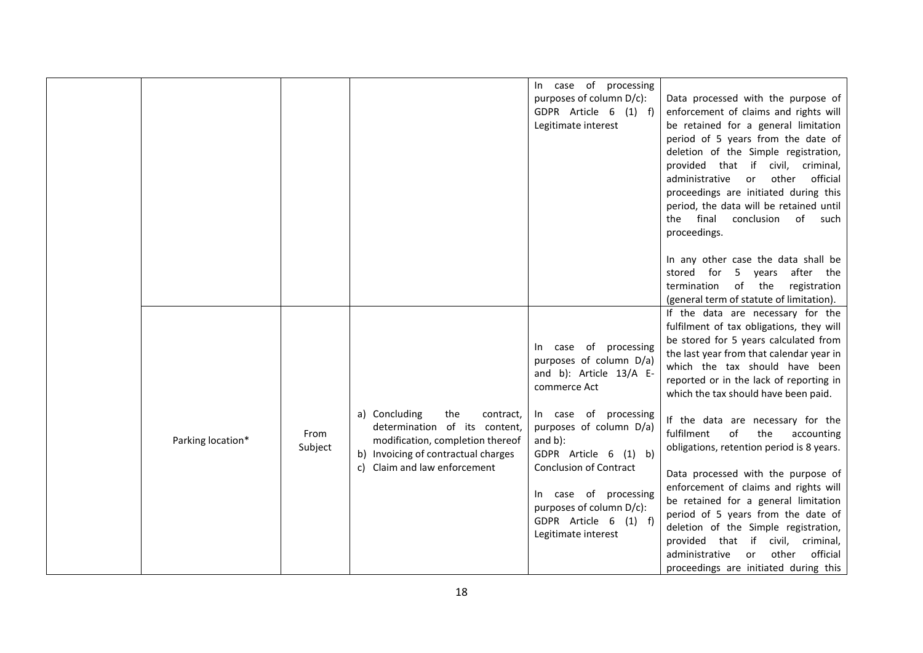|                   |                 |                                                                                                                                                                               | In case of processing<br>purposes of column D/c):<br>GDPR Article 6 (1) f)<br>Legitimate interest                                                                                                                                                                                                                            | Data processed with the purpose of<br>enforcement of claims and rights will<br>be retained for a general limitation<br>period of 5 years from the date of<br>deletion of the Simple registration,<br>provided that if civil, criminal,<br>official<br>administrative<br>other<br>or<br>proceedings are initiated during this<br>period, the data will be retained until<br>final<br>conclusion of such<br>the<br>proceedings.<br>In any other case the data shall be<br>stored for 5 years after the<br>of the<br>termination<br>registration                                                                                                                                                                                                                                                         |
|-------------------|-----------------|-------------------------------------------------------------------------------------------------------------------------------------------------------------------------------|------------------------------------------------------------------------------------------------------------------------------------------------------------------------------------------------------------------------------------------------------------------------------------------------------------------------------|-------------------------------------------------------------------------------------------------------------------------------------------------------------------------------------------------------------------------------------------------------------------------------------------------------------------------------------------------------------------------------------------------------------------------------------------------------------------------------------------------------------------------------------------------------------------------------------------------------------------------------------------------------------------------------------------------------------------------------------------------------------------------------------------------------|
| Parking location* | From<br>Subject | a) Concluding<br>the<br>contract,<br>determination of its content,<br>modification, completion thereof<br>b) Invoicing of contractual charges<br>c) Claim and law enforcement | In case of processing<br>purposes of column D/a)<br>and b): Article 13/A E-<br>commerce Act<br>In case of processing<br>purposes of column D/a)<br>and $b$ ):<br>GDPR Article 6 (1) b)<br><b>Conclusion of Contract</b><br>In case of processing<br>purposes of column D/c):<br>GDPR Article 6 (1) f)<br>Legitimate interest | (general term of statute of limitation).<br>If the data are necessary for the<br>fulfilment of tax obligations, they will<br>be stored for 5 years calculated from<br>the last year from that calendar year in<br>which the tax should have been<br>reported or in the lack of reporting in<br>which the tax should have been paid.<br>If the data are necessary for the<br>fulfilment<br>of<br>the<br>accounting<br>obligations, retention period is 8 years.<br>Data processed with the purpose of<br>enforcement of claims and rights will<br>be retained for a general limitation<br>period of 5 years from the date of<br>deletion of the Simple registration,<br>provided that if civil, criminal,<br>official<br>administrative<br><b>or</b><br>other<br>proceedings are initiated during this |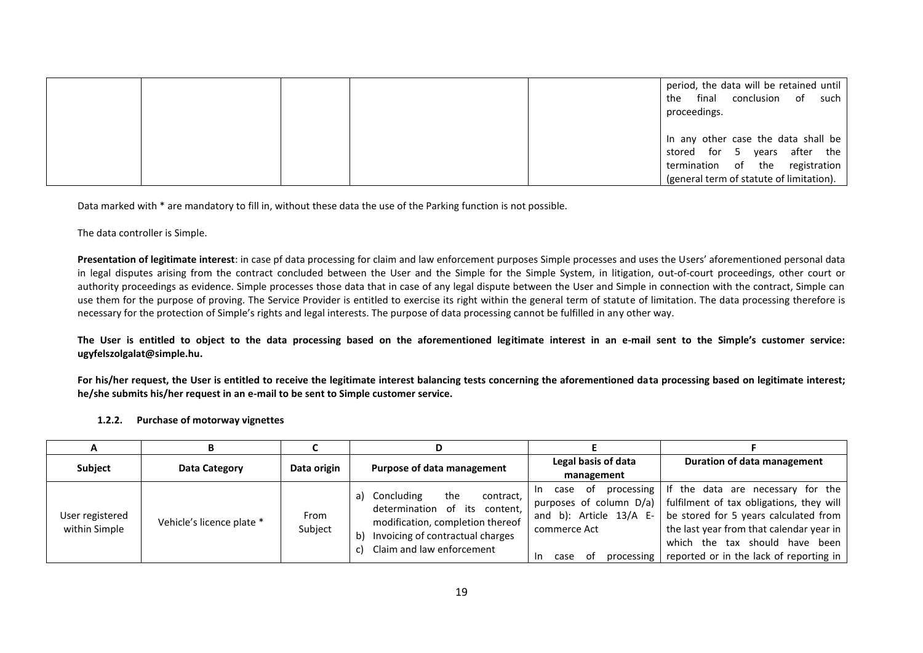|  |  | period, the data will be retained until<br>conclusion of such<br>final<br>the<br>proceedings. |
|--|--|-----------------------------------------------------------------------------------------------|
|  |  | In any other case the data shall be                                                           |
|  |  | stored for 5 years after the                                                                  |
|  |  | termination of the registration                                                               |
|  |  | (general term of statute of limitation).                                                      |

Data marked with \* are mandatory to fill in, without these data the use of the Parking function is not possible.

The data controller is Simple.

Presentation of legitimate interest: in case pf data processing for claim and law enforcement purposes Simple processes and uses the Users' aforementioned personal data in legal disputes arising from the contract concluded between the User and the Simple for the Simple System, in litigation, out-of-court proceedings, other court or authority proceedings as evidence. Simple processes those data that in case of any legal dispute between the User and Simple in connection with the contract, Simple can use them for the purpose of proving. The Service Provider is entitled to exercise its right within the general term of statute of limitation. The data processing therefore is necessary for the protection of Simple's rights and legal interests. The purpose of data processing cannot be fulfilled in any other way.

**The User is entitled to object to the data processing based on the aforementioned legitimate interest in an e-mail sent to the Simple's customer service: ugyfelszolgalat@simple.hu.**

For his/her request, the User is entitled to receive the legitimate interest balancing tests concerning the aforementioned data processing based on legitimate interest; **he/she submits his/her request in an e-mail to be sent to Simple customer service.**

**1.2.2. Purchase of motorway vignettes**

| A                                |                           |                 |                                                                                                                                                                                     |                                                                                         |                                                                                                                                                                                                                                                                                                      |
|----------------------------------|---------------------------|-----------------|-------------------------------------------------------------------------------------------------------------------------------------------------------------------------------------|-----------------------------------------------------------------------------------------|------------------------------------------------------------------------------------------------------------------------------------------------------------------------------------------------------------------------------------------------------------------------------------------------------|
| <b>Subject</b>                   | Data Category             | Data origin     | Purpose of data management                                                                                                                                                          | Legal basis of data                                                                     | Duration of data management                                                                                                                                                                                                                                                                          |
|                                  |                           |                 |                                                                                                                                                                                     | management                                                                              |                                                                                                                                                                                                                                                                                                      |
| User registered<br>within Simple | Vehicle's licence plate * | From<br>Subject | the<br>Concluding<br>contract,<br>a)<br>determination of its<br>content,<br>modification, completion thereof<br>Invoicing of contractual charges<br>b)<br>Claim and law enforcement | - of<br>case<br>In.<br>and b): Article $13/A$ E-<br>commerce Act<br>case<br>. of<br>In. | processing I If the data are necessary for the<br>purposes of column $D/a$ ) fulfilment of tax obligations, they will<br>be stored for 5 years calculated from<br>the last year from that calendar year in<br>which the tax should have been<br>processing   reported or in the lack of reporting in |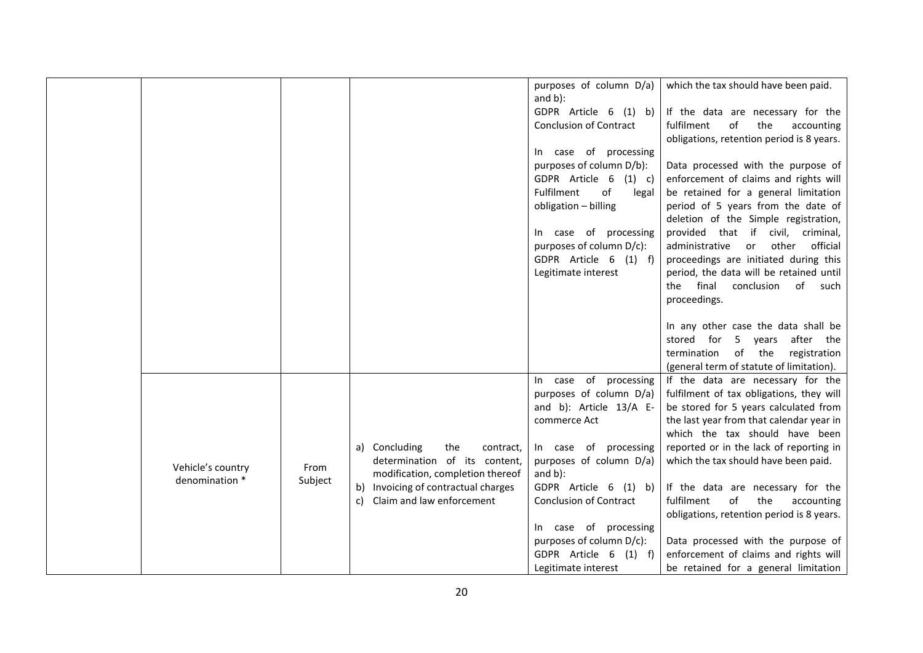|                   |         |                                     | purposes of column D/a)<br>and $b$ ): | which the tax should have been paid.                                  |
|-------------------|---------|-------------------------------------|---------------------------------------|-----------------------------------------------------------------------|
|                   |         |                                     | GDPR Article 6 (1) b)                 | If the data are necessary for the                                     |
|                   |         |                                     | <b>Conclusion of Contract</b>         | fulfilment<br>of<br>the<br>accounting                                 |
|                   |         |                                     |                                       | obligations, retention period is 8 years.                             |
|                   |         |                                     | In case of processing                 |                                                                       |
|                   |         |                                     | purposes of column D/b):              | Data processed with the purpose of                                    |
|                   |         |                                     | GDPR Article 6<br>$(1)$ c)            | enforcement of claims and rights will                                 |
|                   |         |                                     | of<br>Fulfilment<br>legal             | be retained for a general limitation                                  |
|                   |         |                                     | obligation - billing                  | period of 5 years from the date of                                    |
|                   |         |                                     |                                       | deletion of the Simple registration,                                  |
|                   |         |                                     | In case of processing                 | provided that if civil, criminal,                                     |
|                   |         |                                     | purposes of column D/c):              | administrative<br>or<br>other<br>official                             |
|                   |         |                                     | GDPR Article 6 (1) f)                 | proceedings are initiated during this                                 |
|                   |         |                                     | Legitimate interest                   | period, the data will be retained until                               |
|                   |         |                                     |                                       | the final<br>conclusion<br>of such                                    |
|                   |         |                                     |                                       | proceedings.                                                          |
|                   |         |                                     |                                       |                                                                       |
|                   |         |                                     |                                       | In any other case the data shall be                                   |
|                   |         |                                     |                                       | stored for 5 years after the<br>of the<br>termination<br>registration |
|                   |         |                                     |                                       | (general term of statute of limitation).                              |
|                   |         |                                     | In case of processing                 | If the data are necessary for the                                     |
|                   |         |                                     | purposes of column D/a)               | fulfilment of tax obligations, they will                              |
|                   |         |                                     | and b): Article 13/A E-               | be stored for 5 years calculated from                                 |
|                   |         |                                     | commerce Act                          | the last year from that calendar year in                              |
|                   |         |                                     |                                       | which the tax should have been                                        |
|                   |         | a) Concluding<br>the<br>contract,   | In case of processing                 | reported or in the lack of reporting in                               |
| Vehicle's country | From    | determination of its content,       | purposes of column D/a)               | which the tax should have been paid.                                  |
| denomination *    | Subject | modification, completion thereof    | and $b$ ):                            |                                                                       |
|                   |         | b) Invoicing of contractual charges | GDPR Article 6 (1) b)                 | If the data are necessary for the                                     |
|                   |         | Claim and law enforcement<br>c)     | <b>Conclusion of Contract</b>         | of<br>fulfilment<br>the<br>accounting                                 |
|                   |         |                                     |                                       | obligations, retention period is 8 years.                             |
|                   |         |                                     | In case of processing                 |                                                                       |
|                   |         |                                     | purposes of column D/c):              | Data processed with the purpose of                                    |
|                   |         |                                     | GDPR Article 6<br>$(1)$ f)            | enforcement of claims and rights will                                 |
|                   |         |                                     | Legitimate interest                   | be retained for a general limitation                                  |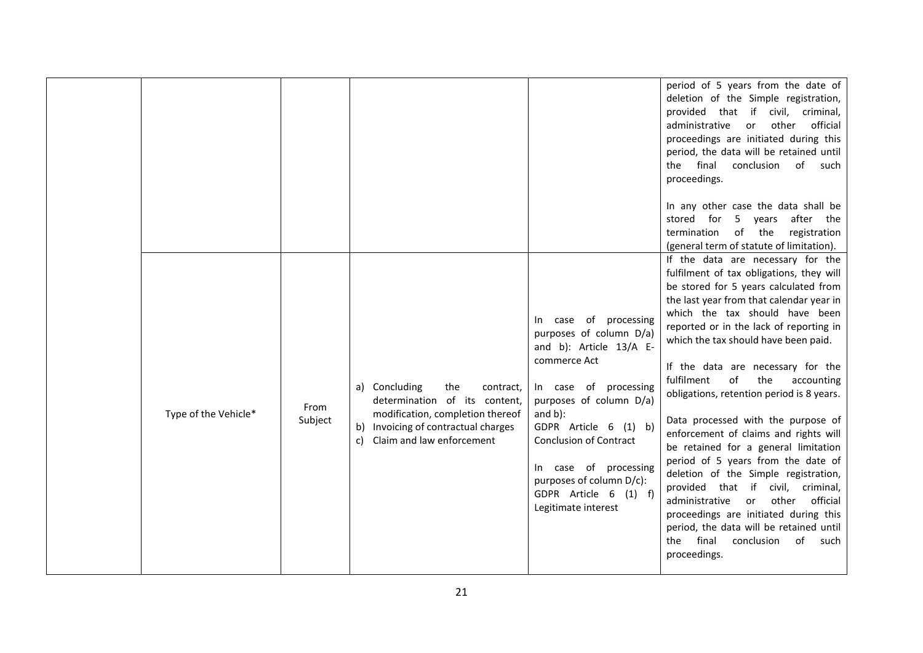|                      |                 |                                                                                                                                                                                  |                                                                                                                                                                                                                                                                                                                              | period of 5 years from the date of<br>deletion of the Simple registration,<br>provided that if civil, criminal,<br>official<br>administrative<br>other<br>or<br>proceedings are initiated during this<br>period, the data will be retained until<br>final<br>conclusion of such<br>the<br>proceedings.<br>In any other case the data shall be<br>stored for<br>5 years after<br>the<br>of the<br>registration<br>termination<br>(general term of statute of limitation).<br>If the data are necessary for the                                                                                                                                                                                                                                                                                                        |
|----------------------|-----------------|----------------------------------------------------------------------------------------------------------------------------------------------------------------------------------|------------------------------------------------------------------------------------------------------------------------------------------------------------------------------------------------------------------------------------------------------------------------------------------------------------------------------|----------------------------------------------------------------------------------------------------------------------------------------------------------------------------------------------------------------------------------------------------------------------------------------------------------------------------------------------------------------------------------------------------------------------------------------------------------------------------------------------------------------------------------------------------------------------------------------------------------------------------------------------------------------------------------------------------------------------------------------------------------------------------------------------------------------------|
| Type of the Vehicle* | From<br>Subject | a) Concluding<br>the<br>contract,<br>determination of its content,<br>modification, completion thereof<br>b) Invoicing of contractual charges<br>Claim and law enforcement<br>c) | In case of processing<br>purposes of column D/a)<br>and b): Article 13/A E-<br>commerce Act<br>In case of processing<br>purposes of column D/a)<br>and $b$ ):<br>GDPR Article 6 (1) b)<br><b>Conclusion of Contract</b><br>In case of processing<br>purposes of column D/c):<br>GDPR Article 6 (1) f)<br>Legitimate interest | fulfilment of tax obligations, they will<br>be stored for 5 years calculated from<br>the last year from that calendar year in<br>which the tax should have been<br>reported or in the lack of reporting in<br>which the tax should have been paid.<br>If the data are necessary for the<br>of<br>the<br>fulfilment<br>accounting<br>obligations, retention period is 8 years.<br>Data processed with the purpose of<br>enforcement of claims and rights will<br>be retained for a general limitation<br>period of 5 years from the date of<br>deletion of the Simple registration,<br>provided that if civil, criminal,<br>administrative<br>other<br>official<br>or<br>proceedings are initiated during this<br>period, the data will be retained until<br>conclusion<br>final<br>of<br>the<br>such<br>proceedings. |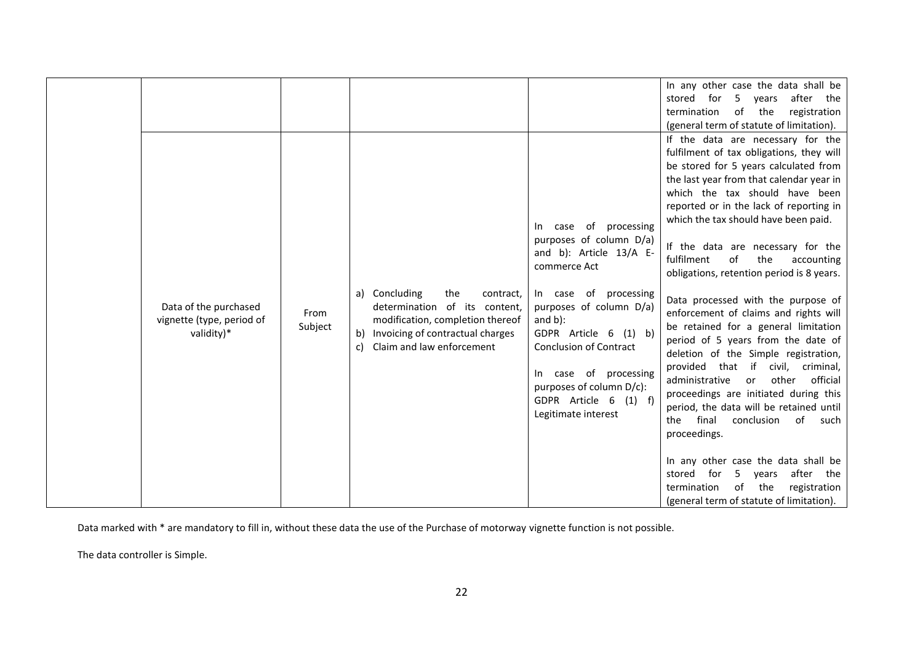|                                                                  |                 |                                                                                                                                                                                  |                                                                                                                                                                                                                                                                                                                                       | In any other case the data shall be<br>stored for<br>5 years<br>after the<br>of the<br>registration<br>termination<br>(general term of statute of limitation).                                                                                                                                                                                                                                                                                                                                                                                                                                                                                                                                                                                                                                                                                                                                                                                                                                                                             |
|------------------------------------------------------------------|-----------------|----------------------------------------------------------------------------------------------------------------------------------------------------------------------------------|---------------------------------------------------------------------------------------------------------------------------------------------------------------------------------------------------------------------------------------------------------------------------------------------------------------------------------------|--------------------------------------------------------------------------------------------------------------------------------------------------------------------------------------------------------------------------------------------------------------------------------------------------------------------------------------------------------------------------------------------------------------------------------------------------------------------------------------------------------------------------------------------------------------------------------------------------------------------------------------------------------------------------------------------------------------------------------------------------------------------------------------------------------------------------------------------------------------------------------------------------------------------------------------------------------------------------------------------------------------------------------------------|
| Data of the purchased<br>vignette (type, period of<br>validity)* | From<br>Subject | a) Concluding<br>the<br>contract,<br>determination of its content,<br>modification, completion thereof<br>b) Invoicing of contractual charges<br>Claim and law enforcement<br>c) | case of processing<br>In.<br>purposes of column D/a)<br>and b): Article 13/A E-<br>commerce Act<br>In case of processing<br>purposes of column D/a)<br>and $b$ ):<br>GDPR Article 6 (1) b)<br><b>Conclusion of Contract</b><br>In case of processing<br>purposes of column D/c):<br>GDPR Article 6<br>$(1)$ f)<br>Legitimate interest | If the data are necessary for the<br>fulfilment of tax obligations, they will<br>be stored for 5 years calculated from<br>the last year from that calendar year in<br>which the tax should have been<br>reported or in the lack of reporting in<br>which the tax should have been paid.<br>If the data are necessary for the<br>fulfilment<br>the<br>of<br>accounting<br>obligations, retention period is 8 years.<br>Data processed with the purpose of<br>enforcement of claims and rights will<br>be retained for a general limitation<br>period of 5 years from the date of<br>deletion of the Simple registration,<br>provided that if<br>civil,<br>criminal,<br>administrative<br>other<br>official<br>or<br>proceedings are initiated during this<br>period, the data will be retained until<br>final<br>conclusion of<br>the<br>such<br>proceedings.<br>In any other case the data shall be<br>after<br>the<br>stored<br>for<br>5<br>years<br>of<br>the<br>registration<br>termination<br>(general term of statute of limitation). |

Data marked with \* are mandatory to fill in, without these data the use of the Purchase of motorway vignette function is not possible.

The data controller is Simple.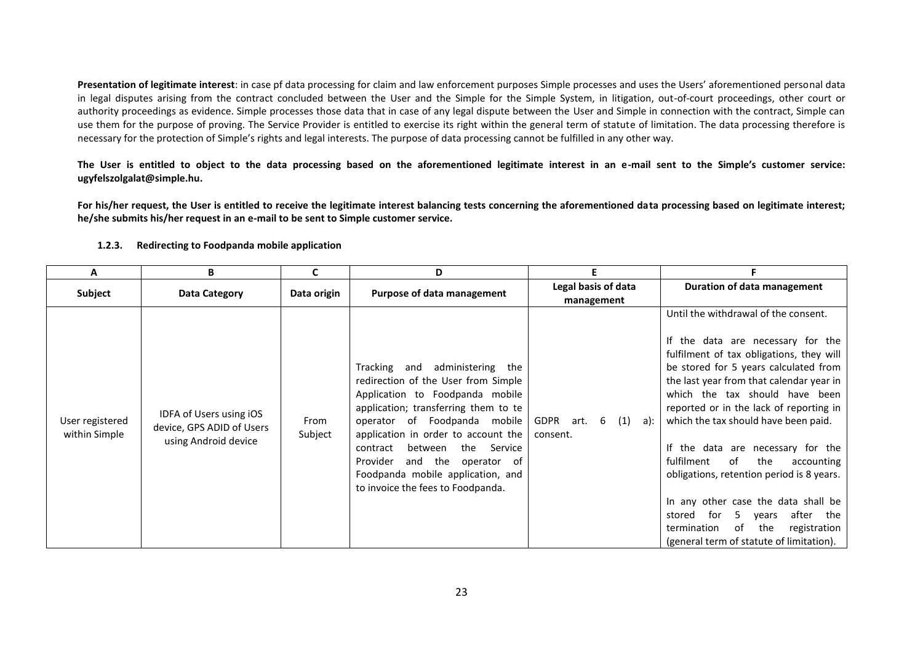**Presentation of legitimate interest**: in case pf data processing for claim and law enforcement purposes Simple processes and uses the Users' aforementioned personal data in legal disputes arising from the contract concluded between the User and the Simple for the Simple System, in litigation, out-of-court proceedings, other court or authority proceedings as evidence. Simple processes those data that in case of any legal dispute between the User and Simple in connection with the contract, Simple can use them for the purpose of proving. The Service Provider is entitled to exercise its right within the general term of statute of limitation. The data processing therefore is necessary for the protection of Simple's rights and legal interests. The purpose of data processing cannot be fulfilled in any other way.

**The User is entitled to object to the data processing based on the aforementioned legitimate interest in an e-mail sent to the Simple's customer service: ugyfelszolgalat@simple.hu.**

For his/her request, the User is entitled to receive the legitimate interest balancing tests concerning the aforementioned data processing based on legitimate interest; **he/she submits his/her request in an e-mail to be sent to Simple customer service.**

| Α                                | B                                                                            |                 | D                                                                                                                                                                                                                                                                                                                                                                                   | E.                                          |                                                                                                                                                                                                                                                                                                                                                                                                                                                                                                                                                                                                                                          |
|----------------------------------|------------------------------------------------------------------------------|-----------------|-------------------------------------------------------------------------------------------------------------------------------------------------------------------------------------------------------------------------------------------------------------------------------------------------------------------------------------------------------------------------------------|---------------------------------------------|------------------------------------------------------------------------------------------------------------------------------------------------------------------------------------------------------------------------------------------------------------------------------------------------------------------------------------------------------------------------------------------------------------------------------------------------------------------------------------------------------------------------------------------------------------------------------------------------------------------------------------------|
| <b>Subject</b>                   | Data Category                                                                | Data origin     | Purpose of data management                                                                                                                                                                                                                                                                                                                                                          | Legal basis of data<br>management           | Duration of data management                                                                                                                                                                                                                                                                                                                                                                                                                                                                                                                                                                                                              |
| User registered<br>within Simple | IDFA of Users using iOS<br>device, GPS ADID of Users<br>using Android device | From<br>Subject | Tracking and administering the<br>redirection of the User from Simple<br>Application to Foodpanda mobile<br>application; transferring them to te<br>of Foodpanda mobile<br>operator<br>application in order to account the<br>the<br>between<br>Service<br>contract<br>and the<br>Provider<br>operator of<br>Foodpanda mobile application, and<br>to invoice the fees to Foodpanda. | GDPR<br>6<br>(1)<br>art.<br>a):<br>consent. | Until the withdrawal of the consent.<br>If the data are necessary for the<br>fulfilment of tax obligations, they will<br>be stored for 5 years calculated from<br>the last year from that calendar year in<br>which the tax should have been<br>reported or in the lack of reporting in<br>which the tax should have been paid.<br>If the data are necessary for the<br>fulfilment<br>of<br>the<br>accounting<br>obligations, retention period is 8 years.<br>In any other case the data shall be<br>after<br>stored<br>for<br>5<br>the<br>vears<br>the<br>registration<br>termination<br>of<br>(general term of statute of limitation). |

#### **1.2.3. Redirecting to Foodpanda mobile application**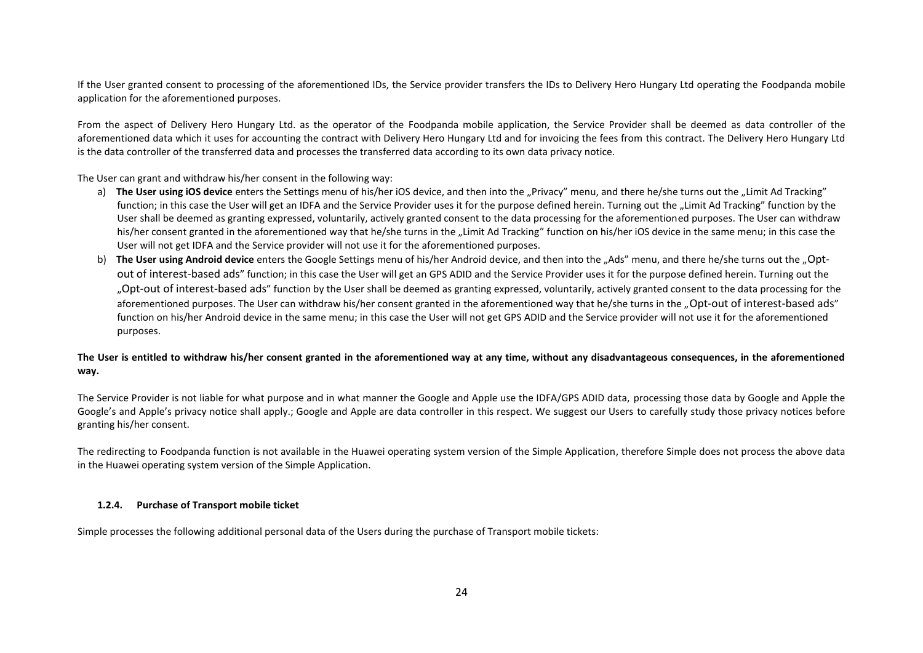If the User granted consent to processing of the aforementioned IDs, the Service provider transfers the IDs to Delivery Hero Hungary Ltd operating the Foodpanda mobile application for the aforementioned purposes.

From the aspect of Delivery Hero Hungary Ltd. as the operator of the Foodpanda mobile application, the Service Provider shall be deemed as data controller of the aforementioned data which it uses for accounting the contract with Delivery Hero Hungary Ltd and for invoicing the fees from this contract. The Delivery Hero Hungary Ltd is the data controller of the transferred data and processes the transferred data according to its own data privacy notice.

The User can grant and withdraw his/her consent in the following way:

- a) **The User using iOS device** enters the Settings menu of his/her iOS device, and then into the "Privacy" menu, and there he/she turns out the "Limit Ad Tracking" function; in this case the User will get an IDFA and the Service Provider uses it for the purpose defined herein. Turning out the "Limit Ad Tracking" function by the User shall be deemed as granting expressed, voluntarily, actively granted consent to the data processing for the aforementioned purposes. The User can withdraw his/her consent granted in the aforementioned way that he/she turns in the "Limit Ad Tracking" function on his/her iOS device in the same menu; in this case the User will not get IDFA and the Service provider will not use it for the aforementioned purposes.
- b) The User using Android device enters the Google Settings menu of his/her Android device, and then into the "Ads" menu, and there he/she turns out the "Optout of interest-based ads" function; in this case the User will get an GPS ADID and the Service Provider uses it for the purpose defined herein. Turning out the "Opt-out of interest-based ads" function by the User shall be deemed as granting expressed, voluntarily, actively granted consent to the data processing for the aforementioned purposes. The User can withdraw his/her consent granted in the aforementioned way that he/she turns in the "Opt-out of interest-based ads" function on his/her Android device in the same menu; in this case the User will not get GPS ADID and the Service provider will not use it for the aforementioned purposes.

## **The User is entitled to withdraw his/her consent granted in the aforementioned way at any time, without any disadvantageous consequences, in the aforementioned way.**

The Service Provider is not liable for what purpose and in what manner the Google and Apple use the IDFA/GPS ADID data, processing those data by Google and Apple the Google's and Apple's privacy notice shall apply.; Google and Apple are data controller in this respect. We suggest our Users to carefully study those privacy notices before granting his/her consent.

The redirecting to Foodpanda function is not available in the Huawei operating system version of the Simple Application, therefore Simple does not process the above data in the Huawei operating system version of the Simple Application.

#### **1.2.4. Purchase of Transport mobile ticket**

Simple processes the following additional personal data of the Users during the purchase of Transport mobile tickets: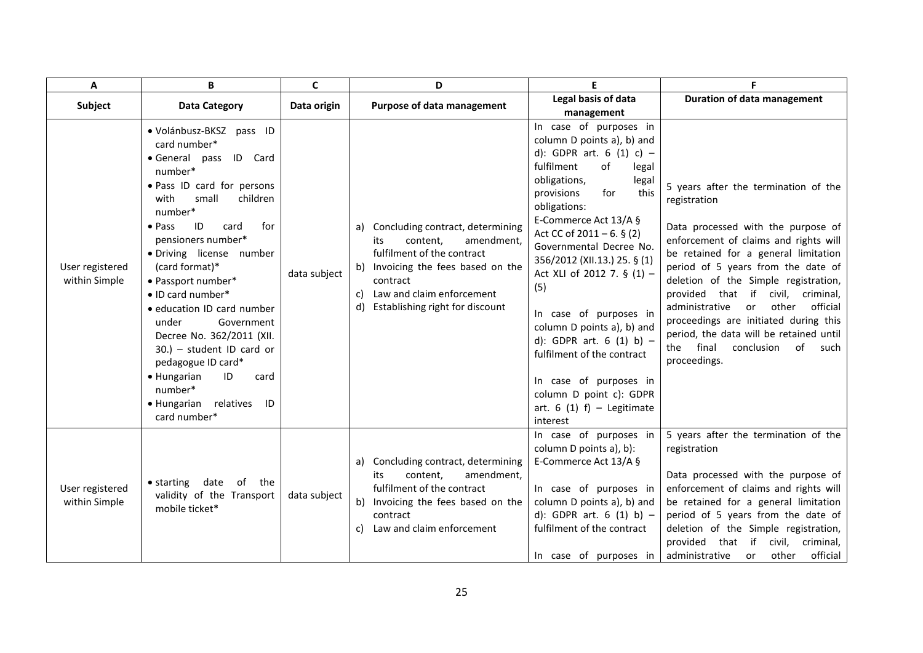| A                                | B                                                                                                                                                                                                                                                                                                                                                                                                                                                                                                                                           | C            | D                                                                                                                                                                                                                                      | E                                                                                                                                                                                                                                                                                                                                                                                                                                                                                                                                                            |                                                                                                                                                                                                                                                                                                                                                                                                                                                                                                |
|----------------------------------|---------------------------------------------------------------------------------------------------------------------------------------------------------------------------------------------------------------------------------------------------------------------------------------------------------------------------------------------------------------------------------------------------------------------------------------------------------------------------------------------------------------------------------------------|--------------|----------------------------------------------------------------------------------------------------------------------------------------------------------------------------------------------------------------------------------------|--------------------------------------------------------------------------------------------------------------------------------------------------------------------------------------------------------------------------------------------------------------------------------------------------------------------------------------------------------------------------------------------------------------------------------------------------------------------------------------------------------------------------------------------------------------|------------------------------------------------------------------------------------------------------------------------------------------------------------------------------------------------------------------------------------------------------------------------------------------------------------------------------------------------------------------------------------------------------------------------------------------------------------------------------------------------|
| Subject                          | <b>Data Category</b>                                                                                                                                                                                                                                                                                                                                                                                                                                                                                                                        | Data origin  | Purpose of data management                                                                                                                                                                                                             | Legal basis of data<br>management                                                                                                                                                                                                                                                                                                                                                                                                                                                                                                                            | <b>Duration of data management</b>                                                                                                                                                                                                                                                                                                                                                                                                                                                             |
| User registered<br>within Simple | · Volánbusz-BKSZ pass ID<br>card number*<br>· General pass ID Card<br>number*<br>· Pass ID card for persons<br>small<br>with<br>children<br>number*<br>$\bullet$ Pass<br>ID<br>card<br>for<br>pensioners number*<br>· Driving license number<br>(card format)*<br>· Passport number*<br>· ID card number*<br>· education ID card number<br>Government<br>under<br>Decree No. 362/2011 (XII.<br>$30.$ ) - student ID card or<br>pedagogue ID card*<br>• Hungarian<br>ID<br>card<br>number*<br>• Hungarian<br>relatives<br>ID<br>card number* | data subject | Concluding contract, determining<br>a)<br>content,<br>amendment,<br>its<br>fulfilment of the contract<br>Invoicing the fees based on the<br>b)<br>contract<br>Law and claim enforcement<br>C)<br>Establishing right for discount<br>d) | In case of purposes in<br>column D points a), b) and<br>d): GDPR art. 6 (1) c) -<br>fulfilment<br>of<br>legal<br>obligations,<br>legal<br>this<br>for<br>provisions<br>obligations:<br>E-Commerce Act 13/A §<br>Act CC of $2011 - 6.$ § (2)<br>Governmental Decree No.<br>356/2012 (XII.13.) 25. § (1)<br>Act XLI of 2012 7. § (1) -<br>(5)<br>In case of purposes in<br>column D points a), b) and<br>d): GDPR art. $6(1) b$ -<br>fulfilment of the contract<br>In case of purposes in<br>column D point c): GDPR<br>art. $6(1) f$ – Legitimate<br>interest | 5 years after the termination of the<br>registration<br>Data processed with the purpose of<br>enforcement of claims and rights will<br>be retained for a general limitation<br>period of 5 years from the date of<br>deletion of the Simple registration,<br>provided that if<br>civil, criminal,<br>administrative<br>other<br>official<br>or<br>proceedings are initiated during this<br>period, the data will be retained until<br>final<br>conclusion<br>of<br>the<br>such<br>proceedings. |
| User registered<br>within Simple | $\bullet$ starting<br>date<br>of the<br>validity of the Transport<br>mobile ticket*                                                                                                                                                                                                                                                                                                                                                                                                                                                         | data subject | a) Concluding contract, determining<br>content.<br>amendment.<br>its<br>fulfilment of the contract<br>Invoicing the fees based on the<br>b)<br>contract<br>Law and claim enforcement<br>C)                                             | In case of purposes in<br>column D points a), b):<br>E-Commerce Act 13/A §<br>In case of purposes in<br>column D points a), b) and<br>d): GDPR art. 6 (1) b) -<br>fulfilment of the contract<br>In case of purposes in                                                                                                                                                                                                                                                                                                                                       | 5 years after the termination of the<br>registration<br>Data processed with the purpose of<br>enforcement of claims and rights will<br>be retained for a general limitation<br>period of 5 years from the date of<br>deletion of the Simple registration,<br>provided that if<br>civil, criminal,<br>official<br>administrative<br>other<br>or                                                                                                                                                 |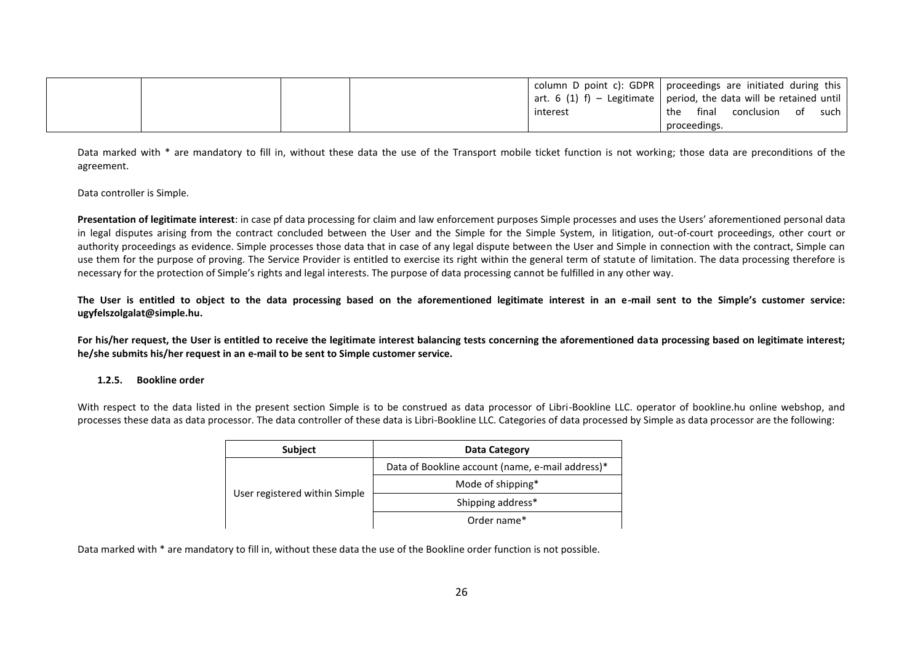|  |  | column D point c): GDPR   proceedings are initiated during this                    |              |       |               |      |
|--|--|------------------------------------------------------------------------------------|--------------|-------|---------------|------|
|  |  | $\frac{1}{2}$ art. 6 (1) f) – Legitimate   period, the data will be retained until |              |       |               |      |
|  |  | interest                                                                           | the          | final | conclusion of | such |
|  |  |                                                                                    | proceedings. |       |               |      |

Data marked with \* are mandatory to fill in, without these data the use of the Transport mobile ticket function is not working; those data are preconditions of the agreement.

Data controller is Simple.

**Presentation of legitimate interest**: in case pf data processing for claim and law enforcement purposes Simple processes and uses the Users' aforementioned personal data in legal disputes arising from the contract concluded between the User and the Simple for the Simple System, in litigation, out-of-court proceedings, other court or authority proceedings as evidence. Simple processes those data that in case of any legal dispute between the User and Simple in connection with the contract, Simple can use them for the purpose of proving. The Service Provider is entitled to exercise its right within the general term of statute of limitation. The data processing therefore is necessary for the protection of Simple's rights and legal interests. The purpose of data processing cannot be fulfilled in any other way.

**The User is entitled to object to the data processing based on the aforementioned legitimate interest in an e-mail sent to the Simple's customer service: ugyfelszolgalat@simple.hu.**

For his/her request, the User is entitled to receive the legitimate interest balancing tests concerning the aforementioned data processing based on legitimate interest; **he/she submits his/her request in an e-mail to be sent to Simple customer service.**

#### **1.2.5. Bookline order**

With respect to the data listed in the present section Simple is to be construed as data processor of Libri-Bookline LLC. operator of bookline.hu online webshop, and processes these data as data processor. The data controller of these data is Libri-Bookline LLC. Categories of data processed by Simple as data processor are the following:

| <b>Subject</b>                | Data Category                                    |
|-------------------------------|--------------------------------------------------|
|                               | Data of Bookline account (name, e-mail address)* |
| User registered within Simple | Mode of shipping*                                |
|                               | Shipping address*                                |
|                               | Order name*                                      |

Data marked with \* are mandatory to fill in, without these data the use of the Bookline order function is not possible.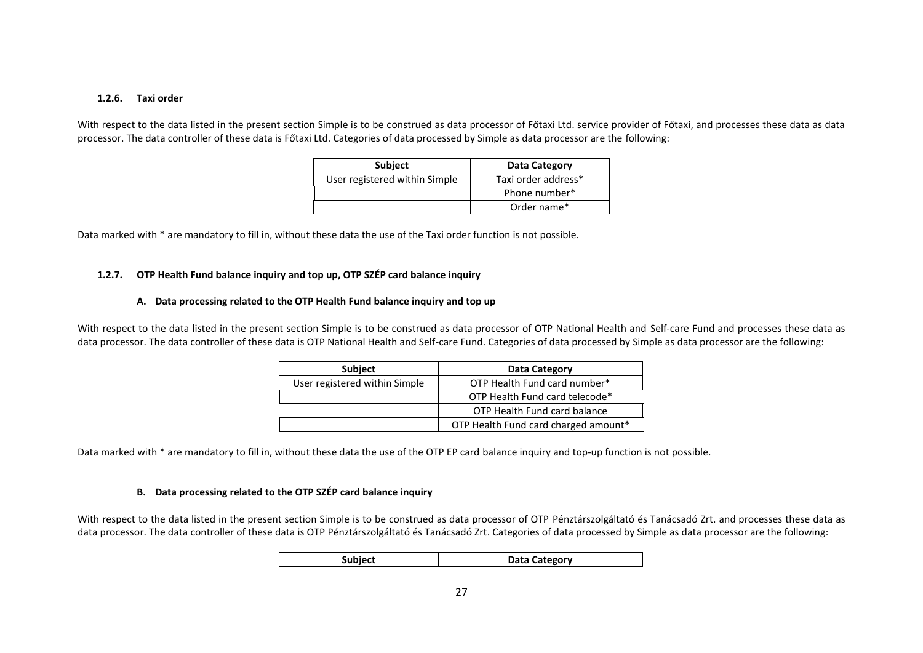#### **1.2.6. Taxi order**

With respect to the data listed in the present section Simple is to be construed as data processor of Főtaxi Ltd. service provider of Főtaxi, and processes these data as data processor. The data controller of these data is Főtaxi Ltd. Categories of data processed by Simple as data processor are the following:

| Subject                       | Data Category       |
|-------------------------------|---------------------|
| User registered within Simple | Taxi order address* |
|                               | Phone number*       |
|                               | Order name*         |

Data marked with \* are mandatory to fill in, without these data the use of the Taxi order function is not possible.

# **1.2.7. OTP Health Fund balance inquiry and top up, OTP SZÉP card balance inquiry**

### **A. Data processing related to the OTP Health Fund balance inquiry and top up**

With respect to the data listed in the present section Simple is to be construed as data processor of OTP National Health and Self-care Fund and processes these data as data processor. The data controller of these data is OTP National Health and Self-care Fund. Categories of data processed by Simple as data processor are the following:

| <b>Subject</b>                | Data Category                        |
|-------------------------------|--------------------------------------|
| User registered within Simple | OTP Health Fund card number*         |
|                               | OTP Health Fund card telecode*       |
|                               | OTP Health Fund card balance         |
|                               | OTP Health Fund card charged amount* |

Data marked with \* are mandatory to fill in, without these data the use of the OTP EP card balance inquiry and top-up function is not possible.

#### **B. Data processing related to the OTP SZÉP card balance inquiry**

With respect to the data listed in the present section Simple is to be construed as data processor of OTP Pénztárszolgáltató és Tanácsadó Zrt. and processes these data as data processor. The data controller of these data is OTP Pénztárszolgáltató és Tanácsadó Zrt. Categories of data processed by Simple as data processor are the following:

| <b>Subject</b> | Data Category |
|----------------|---------------|
|----------------|---------------|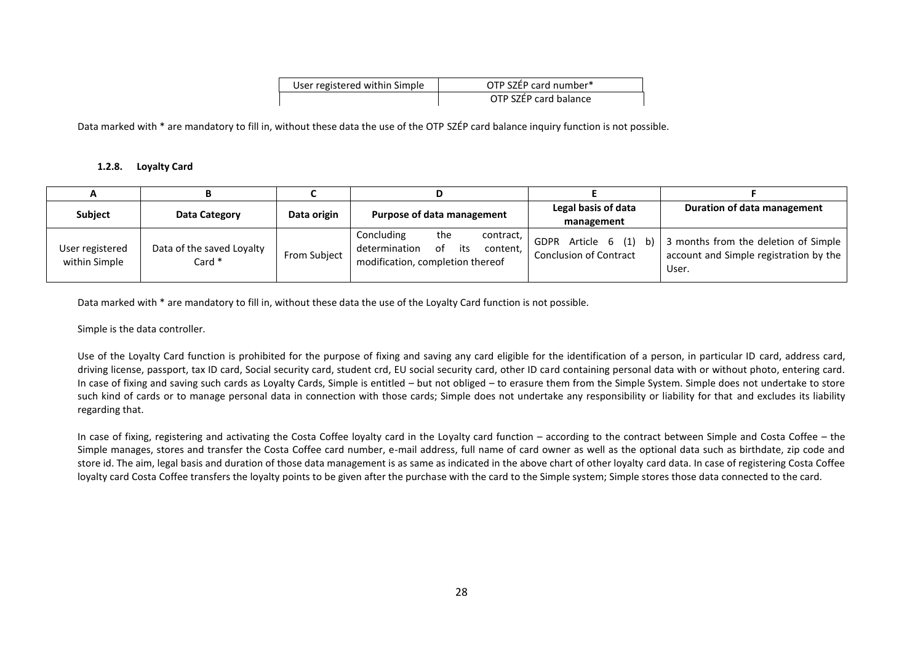| User registered within Simple | OTP SZÉP card number* |
|-------------------------------|-----------------------|
|                               | OTP SZÉP card balance |

Data marked with \* are mandatory to fill in, without these data the use of the OTP SZÉP card balance inquiry function is not possible.

### **1.2.8. Loyalty Card**

| <b>Subject</b>                   | Data Category                       | Data origin  | Purpose of data management                                                                                   | Legal basis of data<br>management                            | Duration of data management                                                             |
|----------------------------------|-------------------------------------|--------------|--------------------------------------------------------------------------------------------------------------|--------------------------------------------------------------|-----------------------------------------------------------------------------------------|
| User registered<br>within Simple | Data of the saved Loyalty<br>Card * | From Subject | Concluding<br>the<br>contract,<br>determination<br>content,<br>its<br>of<br>modification, completion thereof | Article 6 (1)<br>GDPR<br>b)<br><b>Conclusion of Contract</b> | 3 months from the deletion of Simple<br>account and Simple registration by the<br>User. |

Data marked with \* are mandatory to fill in, without these data the use of the Loyalty Card function is not possible.

Simple is the data controller.

Use of the Loyalty Card function is prohibited for the purpose of fixing and saving any card eligible for the identification of a person, in particular ID card, address card, driving license, passport, tax ID card, Social security card, student crd, EU social security card, other ID card containing personal data with or without photo, entering card. In case of fixing and saving such cards as Loyalty Cards, Simple is entitled – but not obliged – to erasure them from the Simple System. Simple does not undertake to store such kind of cards or to manage personal data in connection with those cards: Simple does not undertake any responsibility or liability for that and excludes its liability regarding that.

In case of fixing, registering and activating the Costa Coffee loyalty card in the Loyalty card function – according to the contract between Simple and Costa Coffee – the Simple manages, stores and transfer the Costa Coffee card number, e-mail address, full name of card owner as well as the optional data such as birthdate, zip code and store id. The aim, legal basis and duration of those data management is as same as indicated in the above chart of other loyalty card data. In case of registering Costa Coffee loyalty card Costa Coffee transfers the loyalty points to be given after the purchase with the card to the Simple system; Simple stores those data connected to the card.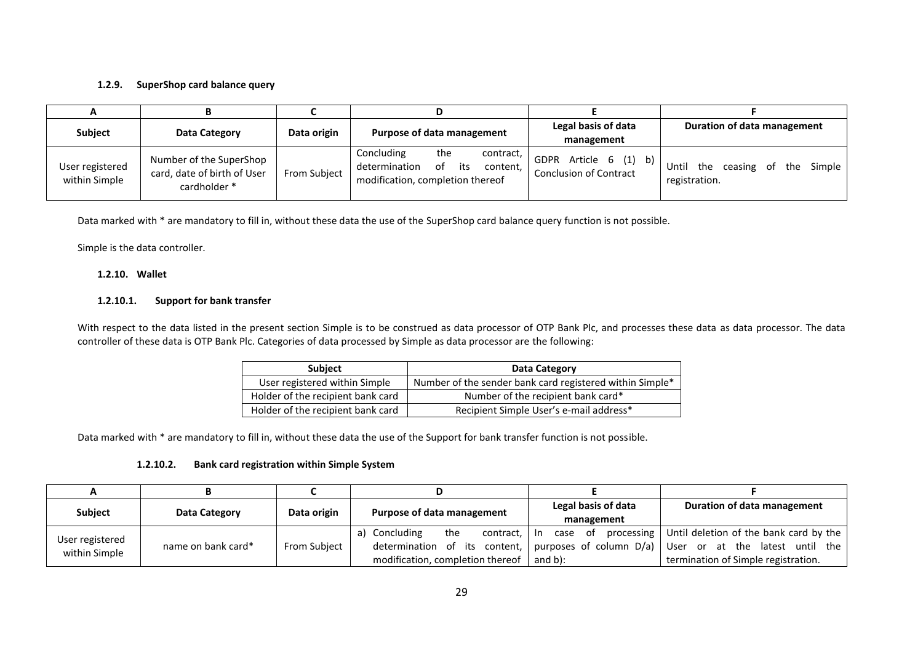## **1.2.9. SuperShop card balance query**

| А                                |                                                                        |              |                                                                                                              |                                                                                |                                                        |
|----------------------------------|------------------------------------------------------------------------|--------------|--------------------------------------------------------------------------------------------------------------|--------------------------------------------------------------------------------|--------------------------------------------------------|
| <b>Subject</b>                   | Data Category                                                          | Data origin  | Purpose of data management                                                                                   | Legal basis of data<br>management                                              | Duration of data management                            |
| User registered<br>within Simple | Number of the SuperShop<br>card, date of birth of User<br>cardholder * | From Subject | Concluding<br>the<br>contract,<br>determination<br>its<br>of<br>content,<br>modification, completion thereof | Article $6(1)$ b) <sup>1</sup><br><b>GDPR</b><br><b>Conclusion of Contract</b> | ceasing of the Simple<br>Until<br>the<br>registration. |

Data marked with \* are mandatory to fill in, without these data the use of the SuperShop card balance query function is not possible.

Simple is the data controller.

## **1.2.10. Wallet**

### **1.2.10.1. Support for bank transfer**

With respect to the data listed in the present section Simple is to be construed as data processor of OTP Bank Plc, and processes these data as data processor. The data controller of these data is OTP Bank Plc. Categories of data processed by Simple as data processor are the following:

| <b>Subject</b>                    | Data Category                                            |
|-----------------------------------|----------------------------------------------------------|
| User registered within Simple     | Number of the sender bank card registered within Simple* |
| Holder of the recipient bank card | Number of the recipient bank card*                       |
| Holder of the recipient bank card | Recipient Simple User's e-mail address*                  |

Data marked with \* are mandatory to fill in, without these data the use of the Support for bank transfer function is not possible.

# **1.2.10.2. Bank card registration within Simple System**

| <b>Subject</b>                   | Data Category      | Data origin  | Purpose of data management                                                                                  | Legal basis of data<br>management | Duration of data management                                                                                                                                         |
|----------------------------------|--------------------|--------------|-------------------------------------------------------------------------------------------------------------|-----------------------------------|---------------------------------------------------------------------------------------------------------------------------------------------------------------------|
| User registered<br>within Simple | name on bank card* | From Subject | Concluding<br>the<br>contract, I<br>a)<br>determination of its content,<br>modification, completion thereof | and $b$ :                         | In case of processing   Until deletion of the bank card by the<br>purposes of column $D/a$ ) User or at the latest until the<br>termination of Simple registration. |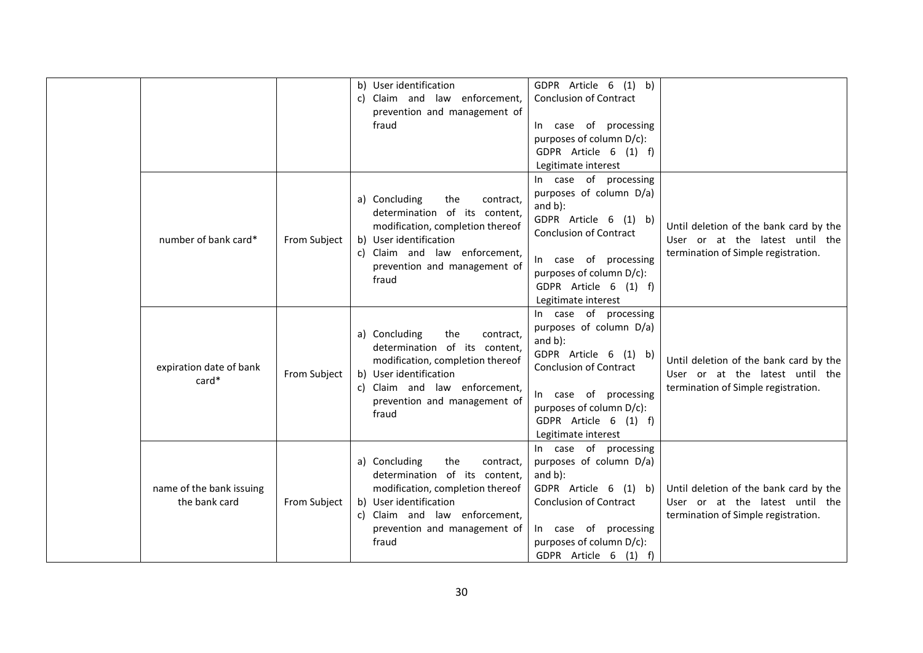|                                           |              | b) User identification<br>c) Claim and law enforcement,<br>prevention and management of<br>fraud                                                                                                           | GDPR Article 6 (1) b)<br><b>Conclusion of Contract</b><br>In case of processing<br>purposes of column D/c):<br>GDPR Article 6 (1) f)<br>Legitimate interest                                                                   |                                                                                                                  |
|-------------------------------------------|--------------|------------------------------------------------------------------------------------------------------------------------------------------------------------------------------------------------------------|-------------------------------------------------------------------------------------------------------------------------------------------------------------------------------------------------------------------------------|------------------------------------------------------------------------------------------------------------------|
| number of bank card*                      | From Subject | a) Concluding<br>the<br>contract,<br>determination of its content,<br>modification, completion thereof<br>b) User identification<br>c) Claim and law enforcement,<br>prevention and management of<br>fraud | In case of processing<br>purposes of column D/a)<br>and $b$ ):<br>GDPR Article 6 (1) b)<br><b>Conclusion of Contract</b><br>In case of processing<br>purposes of column D/c):<br>GDPR Article 6 (1) f)<br>Legitimate interest | Until deletion of the bank card by the<br>User or at the latest until the<br>termination of Simple registration. |
| expiration date of bank<br>$card*$        | From Subject | a) Concluding<br>the<br>contract,<br>determination of its content,<br>modification, completion thereof<br>b) User identification<br>c) Claim and law enforcement,<br>prevention and management of<br>fraud | In case of processing<br>purposes of column D/a)<br>and $b$ ):<br>GDPR Article 6 (1) b)<br><b>Conclusion of Contract</b><br>In case of processing<br>purposes of column D/c):<br>GDPR Article 6 (1) f)<br>Legitimate interest | Until deletion of the bank card by the<br>User or at the latest until the<br>termination of Simple registration. |
| name of the bank issuing<br>the bank card | From Subject | a) Concluding<br>the<br>contract,<br>determination of its content,<br>modification, completion thereof<br>b) User identification<br>c) Claim and law enforcement,<br>prevention and management of<br>fraud | In case of processing<br>purposes of column D/a)<br>and $b$ ):<br>GDPR Article 6 (1) b)<br><b>Conclusion of Contract</b><br>In case of processing<br>purposes of column D/c):<br>GDPR Article 6 (1) f)                        | Until deletion of the bank card by the<br>User or at the latest until the<br>termination of Simple registration. |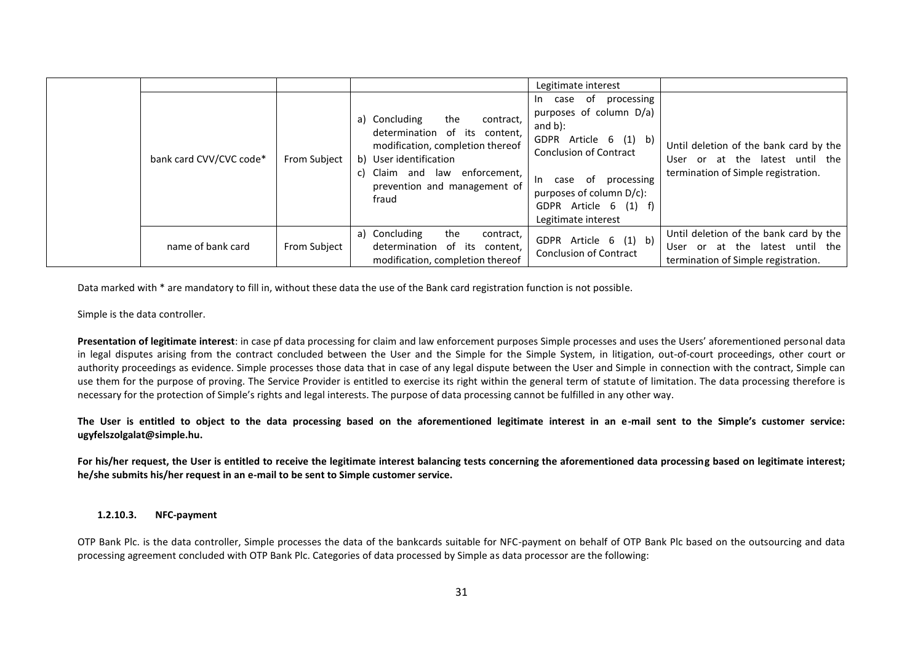|                         |                     |                                                                                                                                                                                                                        | Legitimate interest                                                                                                                                                                                                                             |                                                                                                                  |
|-------------------------|---------------------|------------------------------------------------------------------------------------------------------------------------------------------------------------------------------------------------------------------------|-------------------------------------------------------------------------------------------------------------------------------------------------------------------------------------------------------------------------------------------------|------------------------------------------------------------------------------------------------------------------|
| bank card CVV/CVC code* | <b>From Subject</b> | a) Concluding<br>the<br>contract,<br>determination of its content,<br>modification, completion thereof<br>b) User identification<br>enforcement,<br>Claim<br>and<br>law<br>C)<br>prevention and management of<br>fraud | processing<br>case of<br>In In<br>purposes of column D/a)<br>and $b$ ):<br>GDPR Article 6 (1) b)<br><b>Conclusion of Contract</b><br>processing<br>case of<br>-In<br>purposes of column $D/c$ :<br>GDPR Article 6 (1) f)<br>Legitimate interest | Until deletion of the bank card by the<br>User or at the latest until the<br>termination of Simple registration. |
| name of bank card       | From Subject        | the<br>a) Concluding<br>contract,<br>determination of its<br>content,<br>modification, completion thereof                                                                                                              | GDPR Article 6 (1) b)<br><b>Conclusion of Contract</b>                                                                                                                                                                                          | Until deletion of the bank card by the<br>User or at the latest until the<br>termination of Simple registration. |

Data marked with \* are mandatory to fill in, without these data the use of the Bank card registration function is not possible.

Simple is the data controller.

**Presentation of legitimate interest**: in case pf data processing for claim and law enforcement purposes Simple processes and uses the Users' aforementioned personal data in legal disputes arising from the contract concluded between the User and the Simple for the Simple System, in litigation, out-of-court proceedings, other court or authority proceedings as evidence. Simple processes those data that in case of any legal dispute between the User and Simple in connection with the contract, Simple can use them for the purpose of proving. The Service Provider is entitled to exercise its right within the general term of statute of limitation. The data processing therefore is necessary for the protection of Simple's rights and legal interests. The purpose of data processing cannot be fulfilled in any other way.

**The User is entitled to object to the data processing based on the aforementioned legitimate interest in an e-mail sent to the Simple's customer service: ugyfelszolgalat@simple.hu.**

**For his/her request, the User is entitled to receive the legitimate interest balancing tests concerning the aforementioned data processing based on legitimate interest; he/she submits his/her request in an e-mail to be sent to Simple customer service.**

#### **1.2.10.3. NFC-payment**

OTP Bank Plc. is the data controller, Simple processes the data of the bankcards suitable for NFC-payment on behalf of OTP Bank Plc based on the outsourcing and data processing agreement concluded with OTP Bank Plc. Categories of data processed by Simple as data processor are the following: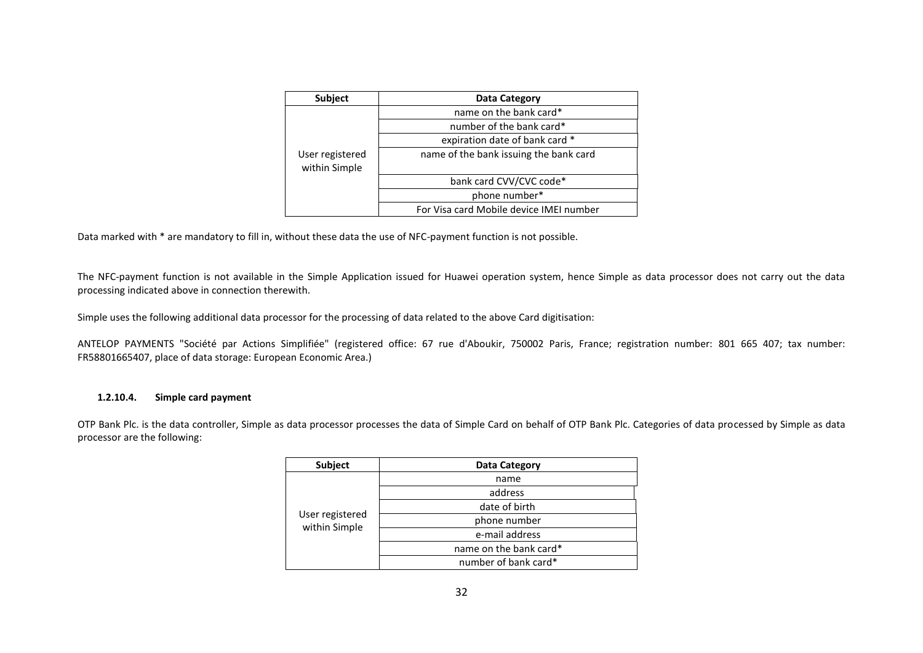| Subject                          | Data Category                           |  |  |  |
|----------------------------------|-----------------------------------------|--|--|--|
|                                  | name on the bank card*                  |  |  |  |
|                                  | number of the bank card*                |  |  |  |
|                                  | expiration date of bank card *          |  |  |  |
| User registered<br>within Simple | name of the bank issuing the bank card  |  |  |  |
|                                  | bank card CVV/CVC code*                 |  |  |  |
|                                  | phone number*                           |  |  |  |
|                                  | For Visa card Mobile device IMEI number |  |  |  |

Data marked with \* are mandatory to fill in, without these data the use of NFC-payment function is not possible.

The NFC-payment function is not available in the Simple Application issued for Huawei operation system, hence Simple as data processor does not carry out the data processing indicated above in connection therewith.

Simple uses the following additional data processor for the processing of data related to the above Card digitisation:

ANTELOP PAYMENTS "Société par Actions Simplifiée" (registered office: 67 rue d'Aboukir, 750002 Paris, France; registration number: 801 665 407; tax number: FR58801665407, place of data storage: European Economic Area.)

#### **1.2.10.4. Simple card payment**

OTP Bank Plc. is the data controller, Simple as data processor processes the data of Simple Card on behalf of OTP Bank Plc. Categories of data processed by Simple as data processor are the following:

| Subject         | Data Category          |  |
|-----------------|------------------------|--|
|                 | name                   |  |
|                 | address                |  |
|                 | date of birth          |  |
| User registered | phone number           |  |
| within Simple   | e-mail address         |  |
|                 | name on the bank card* |  |
|                 | number of bank card*   |  |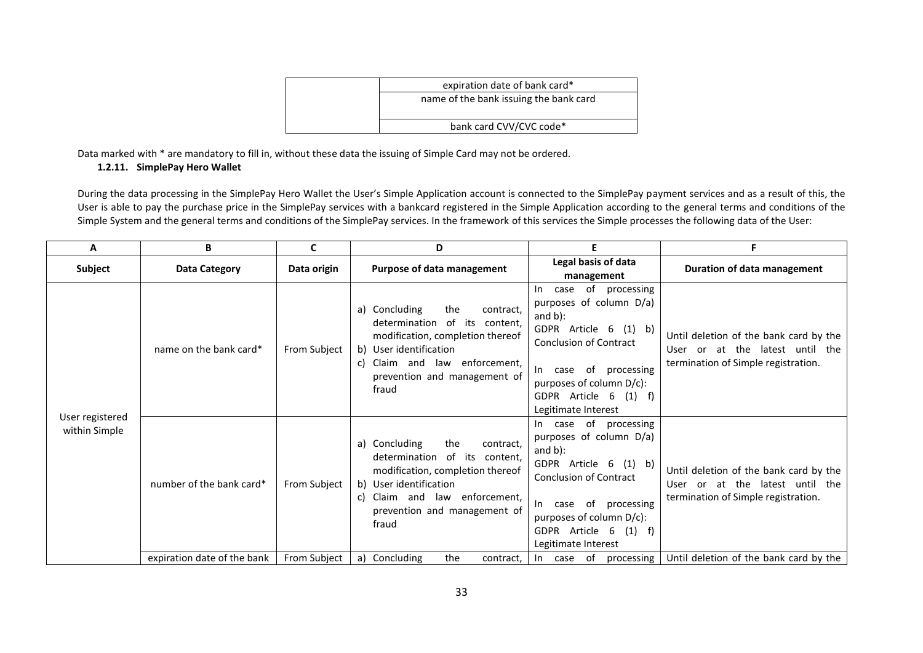| expiration date of bank card*          |  |  |  |
|----------------------------------------|--|--|--|
| name of the bank issuing the bank card |  |  |  |
| bank card CVV/CVC code*                |  |  |  |

Data marked with \* are mandatory to fill in, without these data the issuing of Simple Card may not be ordered.

# **1.2.11. SimplePay Hero Wallet**

During the data processing in the SimplePay Hero Wallet the User's Simple Application account is connected to the SimplePay payment services and as a result of this, the User is able to pay the purchase price in the SimplePay services with a bankcard registered in the Simple Application according to the general terms and conditions of the Simple System and the general terms and conditions of the SimplePay services. In the framework of this services the Simple processes the following data of the User:

| A                                | В                           | C            | D                                                                                                                                                                                                                   | F                                                                                                                                                                                                                                       | F                                                                                                                   |
|----------------------------------|-----------------------------|--------------|---------------------------------------------------------------------------------------------------------------------------------------------------------------------------------------------------------------------|-----------------------------------------------------------------------------------------------------------------------------------------------------------------------------------------------------------------------------------------|---------------------------------------------------------------------------------------------------------------------|
| <b>Subject</b>                   | <b>Data Category</b>        | Data origin  | Purpose of data management                                                                                                                                                                                          | Legal basis of data<br>management                                                                                                                                                                                                       | Duration of data management                                                                                         |
|                                  | name on the bank card*      | From Subject | a) Concluding<br>the<br>contract,<br>determination of its content,<br>modification, completion thereof<br>User identification<br>b)<br>Claim and law enforcement,<br>C)<br>prevention and management of<br>fraud    | case of processing<br>In.<br>purposes of column D/a)<br>and $b$ ):<br>GDPR Article 6 (1) b)<br><b>Conclusion of Contract</b><br>case of processing<br>In In<br>purposes of column D/c):<br>GDPR Article 6 (1) f)<br>Legitimate Interest | Until deletion of the bank card by the<br>User or at the latest until the<br>termination of Simple registration.    |
| User registered<br>within Simple | number of the bank card*    | From Subject | a) Concluding<br>the<br>contract,<br>determination<br>of its content,<br>modification, completion thereof<br>User identification<br>b)<br>Claim and law enforcement,<br>C)<br>prevention and management of<br>fraud | In case of processing<br>purposes of column D/a)<br>and $b$ ):<br>GDPR Article 6 (1) b)<br><b>Conclusion of Contract</b><br>case of processing<br>$\ln$<br>purposes of column D/c):<br>GDPR Article 6 (1) f)<br>Legitimate Interest     | Until deletion of the bank card by the<br>or at the latest until the<br>User<br>termination of Simple registration. |
|                                  | expiration date of the bank | From Subject | Concluding<br>the<br>a)<br>contract,                                                                                                                                                                                |                                                                                                                                                                                                                                         | In case of processing $\vert$ Until deletion of the bank card by the                                                |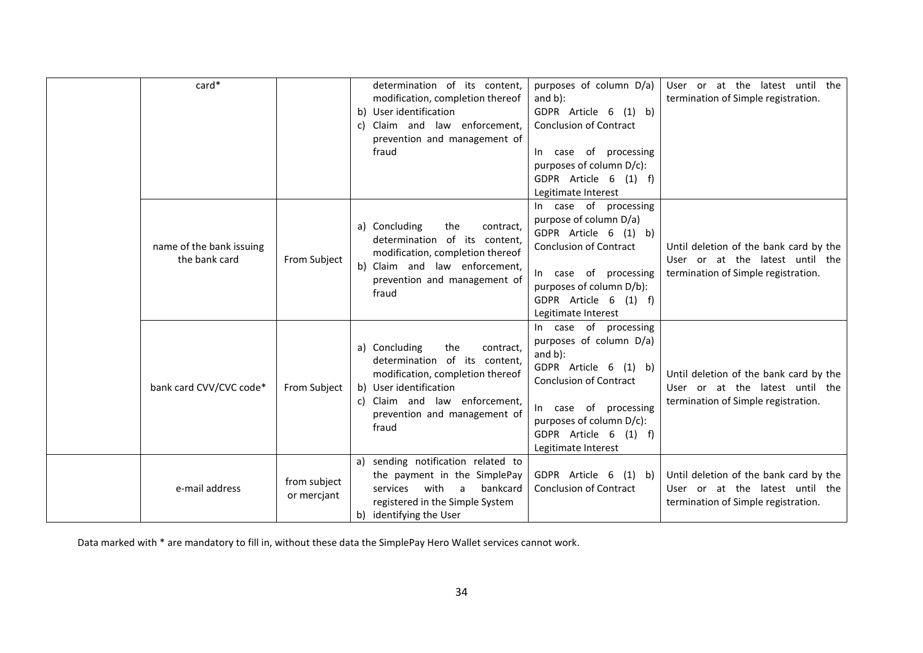| card*                                     |                             | determination of its content,<br>modification, completion thereof<br>User identification<br>b)<br>Claim and law enforcement,<br>C)<br>prevention and management of<br>fraud                                   | purposes of column D/a)<br>and $b$ ):<br>GDPR Article 6 (1) b)<br><b>Conclusion of Contract</b><br>In case of processing<br>purposes of column D/c):<br>GDPR Article 6 (1) f)<br>Legitimate Interest                          | User or at the latest until the<br>termination of Simple registration.                                           |
|-------------------------------------------|-----------------------------|---------------------------------------------------------------------------------------------------------------------------------------------------------------------------------------------------------------|-------------------------------------------------------------------------------------------------------------------------------------------------------------------------------------------------------------------------------|------------------------------------------------------------------------------------------------------------------|
| name of the bank issuing<br>the bank card | From Subject                | a) Concluding<br>the<br>contract,<br>determination of its content,<br>modification, completion thereof<br>Claim and law enforcement,<br>b)<br>prevention and management of<br>fraud                           | In case of processing<br>purpose of column D/a)<br>GDPR Article 6 (1) b)<br><b>Conclusion of Contract</b><br>In case of processing<br>purposes of column D/b):<br>GDPR Article 6 (1) f)<br>Legitimate Interest                | Until deletion of the bank card by the<br>User or at the latest until the<br>termination of Simple registration. |
| bank card CVV/CVC code*                   | From Subject                | a) Concluding<br>the<br>contract,<br>determination of its content,<br>modification, completion thereof<br>b) User identification<br>Claim and law enforcement,<br>C)<br>prevention and management of<br>fraud | In case of processing<br>purposes of column D/a)<br>and $b$ ):<br>GDPR Article 6 (1) b)<br><b>Conclusion of Contract</b><br>In case of processing<br>purposes of column D/c):<br>GDPR Article 6 (1) f)<br>Legitimate Interest | Until deletion of the bank card by the<br>User or at the latest until the<br>termination of Simple registration. |
| e-mail address                            | from subject<br>or mercjant | sending notification related to<br>a)<br>the payment in the SimplePay<br>bankcard<br>services<br>with<br>$\overline{a}$<br>registered in the Simple System<br>b) identifying the User                         | GDPR Article 6 (1) b)<br><b>Conclusion of Contract</b>                                                                                                                                                                        | Until deletion of the bank card by the<br>User or at the latest until the<br>termination of Simple registration. |

Data marked with \* are mandatory to fill in, without these data the SimplePay Hero Wallet services cannot work.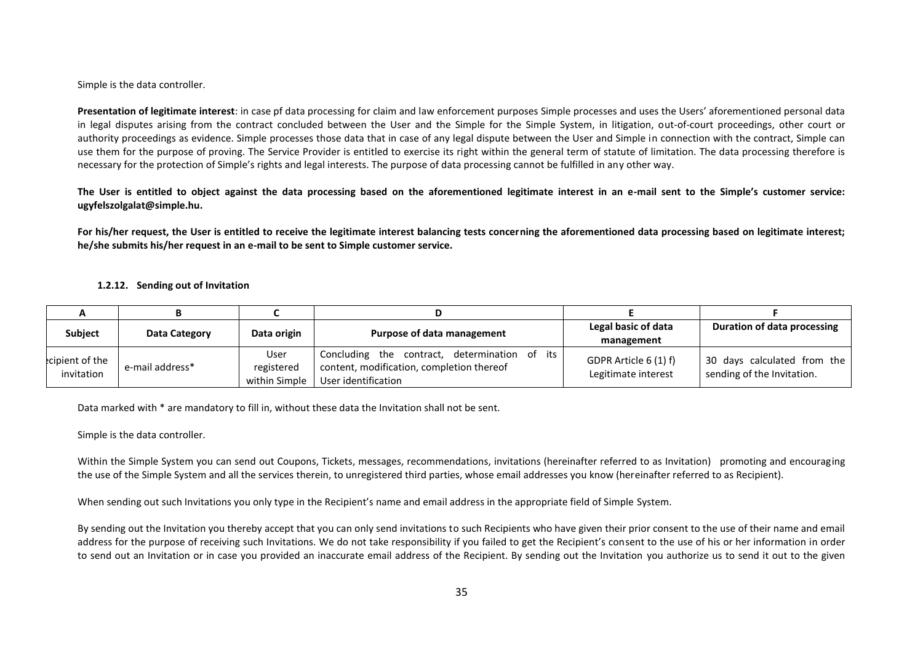Simple is the data controller.

**Presentation of legitimate interest**: in case pf data processing for claim and law enforcement purposes Simple processes and uses the Users' aforementioned personal data in legal disputes arising from the contract concluded between the User and the Simple for the Simple System, in litigation, out-of-court proceedings, other court or authority proceedings as evidence. Simple processes those data that in case of any legal dispute between the User and Simple in connection with the contract, Simple can use them for the purpose of proving. The Service Provider is entitled to exercise its right within the general term of statute of limitation. The data processing therefore is necessary for the protection of Simple's rights and legal interests. The purpose of data processing cannot be fulfilled in any other way.

**The User is entitled to object against the data processing based on the aforementioned legitimate interest in an e-mail sent to the Simple's customer service: ugyfelszolgalat@simple.hu.**

**For his/her request, the User is entitled to receive the legitimate interest balancing tests concerning the aforementioned data processing based on legitimate interest; he/she submits his/her request in an e-mail to be sent to Simple customer service.**

#### **1.2.12. Sending out of Invitation**

| <b>Subject</b>               | Data Category   | Data origin        | Purpose of data management                                                                 | Legal basic of data                          | Duration of data processing                               |
|------------------------------|-----------------|--------------------|--------------------------------------------------------------------------------------------|----------------------------------------------|-----------------------------------------------------------|
|                              |                 |                    |                                                                                            | management                                   |                                                           |
| cipient of the<br>invitation | e-mail address* | User<br>registered | Concluding the contract, determination of its<br>content, modification, completion thereof | GDPR Article 6 (1) f)<br>Legitimate interest | 30 days calculated from the<br>sending of the Invitation. |
|                              |                 | within Simple      | User identification                                                                        |                                              |                                                           |

Data marked with \* are mandatory to fill in, without these data the Invitation shall not be sent.

Simple is the data controller.

Within the Simple System you can send out Coupons, Tickets, messages, recommendations, invitations (hereinafter referred to as Invitation) promoting and encouraging the use of the Simple System and all the services therein, to unregistered third parties, whose email addresses you know (hereinafter referred to as Recipient).

When sending out such Invitations you only type in the Recipient's name and email address in the appropriate field of Simple System.

By sending out the Invitation you thereby accept that you can only send invitations to such Recipients who have given their prior consent to the use of their name and email address for the purpose of receiving such Invitations. We do not take responsibility if you failed to get the Recipient's consent to the use of his or her information in order to send out an Invitation or in case you provided an inaccurate email address of the Recipient. By sending out the Invitation you authorize us to send it out to the given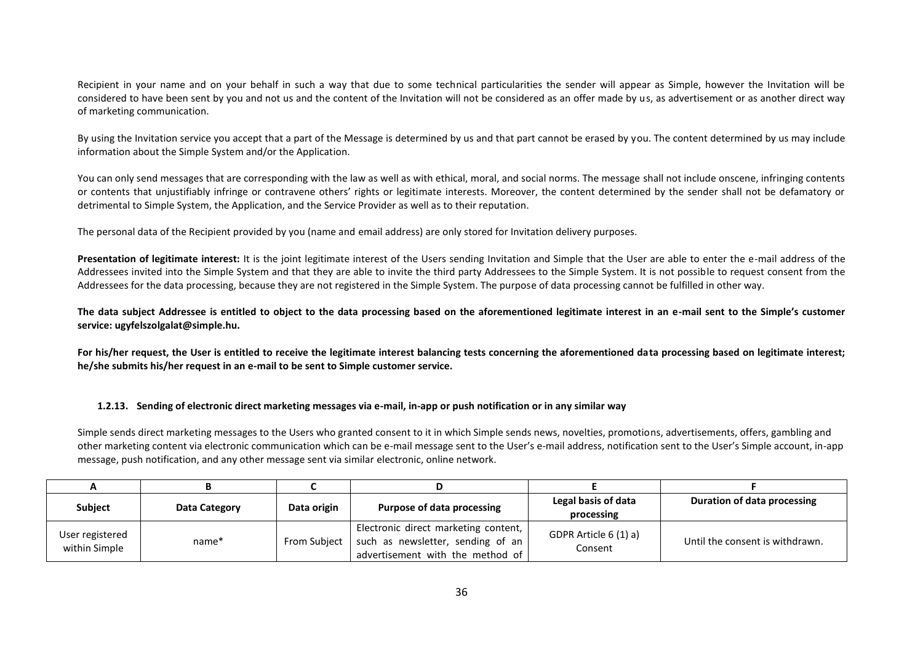Recipient in your name and on your behalf in such a way that due to some technical particularities the sender will appear as Simple, however the Invitation will be considered to have been sent by you and not us and the content of the Invitation will not be considered as an offer made by us, as advertisement or as another direct way of marketing communication.

By using the Invitation service you accept that a part of the Message is determined by us and that part cannot be erased by you. The content determined by us may include information about the Simple System and/or the Application.

You can only send messages that are corresponding with the law as well as with ethical, moral, and social norms. The message shall not include onscene, infringing contents or contents that unjustifiably infringe or contravene others' rights or legitimate interests. Moreover, the content determined by the sender shall not be defamatory or detrimental to Simple System, the Application, and the Service Provider as well as to their reputation.

The personal data of the Recipient provided by you (name and email address) are only stored for Invitation delivery purposes.

**Presentation of legitimate interest:** It is the joint legitimate interest of the Users sending Invitation and Simple that the User are able to enter the e-mail address of the Addressees invited into the Simple System and that they are able to invite the third party Addressees to the Simple System. It is not possible to request consent from the Addressees for the data processing, because they are not registered in the Simple System. The purpose of data processing cannot be fulfilled in other way.

**The data subject Addressee is entitled to object to the data processing based on the aforementioned legitimate interest in an e-mail sent to the Simple's customer service: ugyfelszolgalat@simple.hu.**

For his/her request, the User is entitled to receive the legitimate interest balancing tests concerning the aforementioned data processing based on legitimate interest; **he/she submits his/her request in an e-mail to be sent to Simple customer service.**

#### **1.2.13. Sending of electronic direct marketing messages via e-mail, in-app or push notification or in any similar way**

Simple sends direct marketing messages to the Users who granted consent to it in which Simple sends news, novelties, promotions, advertisements, offers, gambling and other marketing content via electronic communication which can be e-mail message sent to the User's e-mail address, notification sent to the User's Simple account, in-app message, push notification, and any other message sent via similar electronic, online network.

| <b>Subject</b>                   | Data Category     | Data origin  | <b>Purpose of data processing</b>                                                                             | Legal basis of data<br>processing | Duration of data processing     |
|----------------------------------|-------------------|--------------|---------------------------------------------------------------------------------------------------------------|-----------------------------------|---------------------------------|
| User registered<br>within Simple | name <sup>*</sup> | From Subject | Electronic direct marketing content,<br>such as newsletter, sending of an<br>advertisement with the method of | GDPR Article 6 (1) a)<br>Consent  | Until the consent is withdrawn. |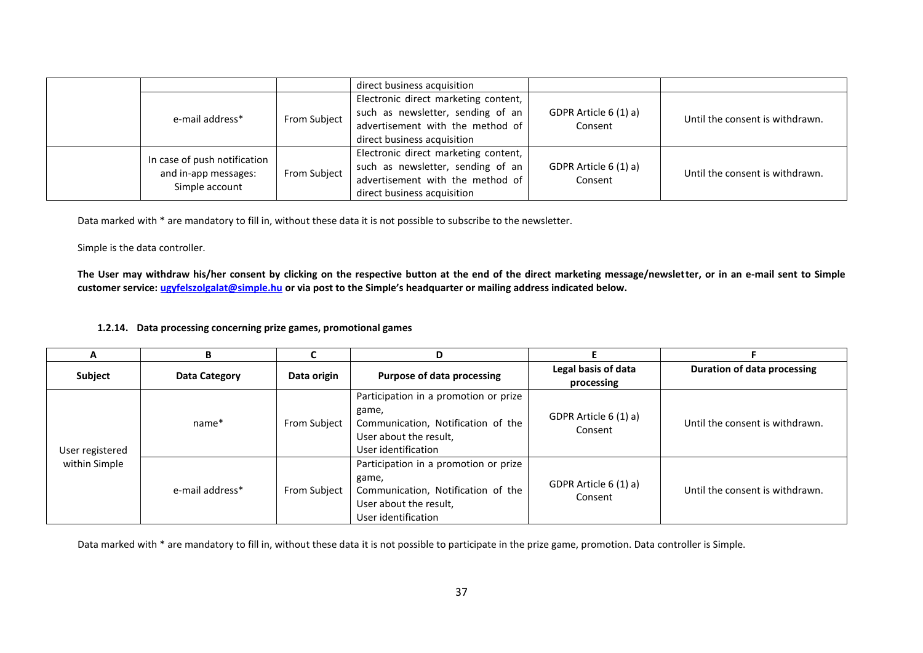|  |                                                                        |              | direct business acquisition          |                                  |                                 |
|--|------------------------------------------------------------------------|--------------|--------------------------------------|----------------------------------|---------------------------------|
|  |                                                                        |              | Electronic direct marketing content, |                                  |                                 |
|  | e-mail address*                                                        |              | such as newsletter, sending of an    | GDPR Article 6 (1) a)<br>Consent | Until the consent is withdrawn. |
|  |                                                                        | From Subject | advertisement with the method of     |                                  |                                 |
|  |                                                                        |              | direct business acquisition          |                                  |                                 |
|  | In case of push notification<br>and in-app messages:<br>Simple account | From Subject | Electronic direct marketing content, |                                  |                                 |
|  |                                                                        |              | such as newsletter, sending of an    | GDPR Article 6 (1) a)            | Until the consent is withdrawn. |
|  |                                                                        |              | advertisement with the method of     | Consent                          |                                 |
|  |                                                                        |              | direct business acquisition          |                                  |                                 |

Data marked with \* are mandatory to fill in, without these data it is not possible to subscribe to the newsletter.

Simple is the data controller.

**The User may withdraw his/her consent by clicking on the respective button at the end of the direct marketing message/newsletter, or in an e-mail sent to Simple customer service: ugyfelszolgalat@simple.hu or via post to the Simple's headquarter or mailing address indicated below.**

# **1.2.14. Data processing concerning prize games, promotional games**

| A                                | в               |                     |                                                                                                                                       |                                   |                                    |
|----------------------------------|-----------------|---------------------|---------------------------------------------------------------------------------------------------------------------------------------|-----------------------------------|------------------------------------|
| Subject                          | Data Category   | Data origin         | Purpose of data processing                                                                                                            | Legal basis of data<br>processing | <b>Duration of data processing</b> |
| User registered<br>within Simple | name*           | <b>From Subject</b> | Participation in a promotion or prize<br>game,<br>Communication, Notification of the<br>User about the result.<br>User identification | GDPR Article 6 (1) a)<br>Consent  | Until the consent is withdrawn.    |
|                                  | e-mail address* | From Subject        | Participation in a promotion or prize<br>game,<br>Communication, Notification of the<br>User about the result,<br>User identification | GDPR Article 6 (1) a)<br>Consent  | Until the consent is withdrawn.    |

Data marked with \* are mandatory to fill in, without these data it is not possible to participate in the prize game, promotion. Data controller is Simple.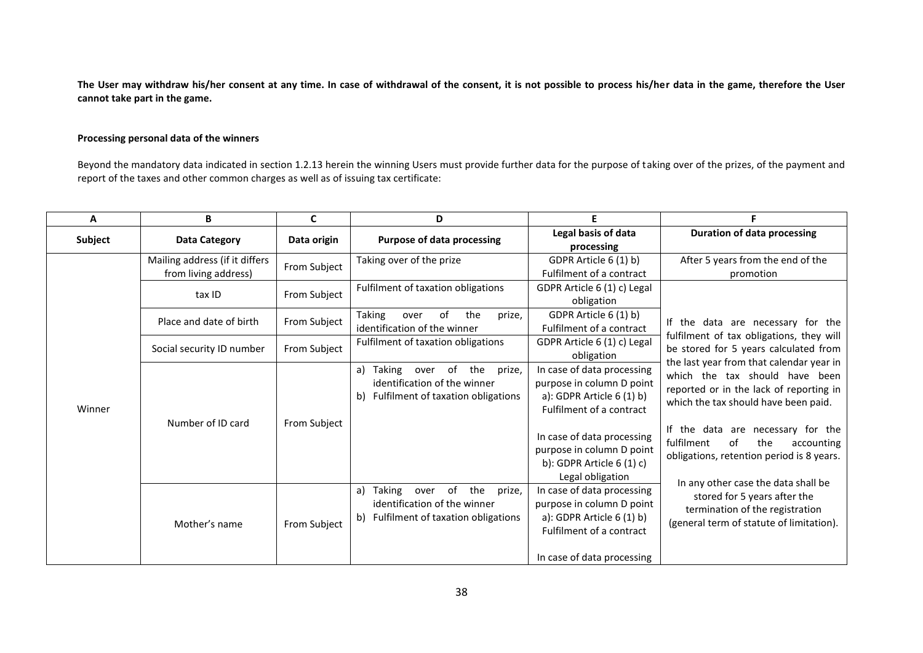**The User may withdraw his/her consent at any time. In case of withdrawal of the consent, it is not possible to process his/her data in the game, therefore the User cannot take part in the game.**

# **Processing personal data of the winners**

Beyond the mandatory data indicated in section 1.2.13 herein the winning Users must provide further data for the purpose of taking over of the prizes, of the payment and report of the taxes and other common charges as well as of issuing tax certificate:

| A       | в                                                      |                     | D.                                                                                                                      |                                                                                                                                                                                                                               |                                                                                                                                                                                                                                                                                          |
|---------|--------------------------------------------------------|---------------------|-------------------------------------------------------------------------------------------------------------------------|-------------------------------------------------------------------------------------------------------------------------------------------------------------------------------------------------------------------------------|------------------------------------------------------------------------------------------------------------------------------------------------------------------------------------------------------------------------------------------------------------------------------------------|
| Subject | <b>Data Category</b>                                   | Data origin         | <b>Purpose of data processing</b>                                                                                       | Legal basis of data<br>processing                                                                                                                                                                                             | <b>Duration of data processing</b>                                                                                                                                                                                                                                                       |
|         | Mailing address (if it differs<br>from living address) | From Subject        | Taking over of the prize                                                                                                | GDPR Article 6 (1) b)<br>Fulfilment of a contract                                                                                                                                                                             | After 5 years from the end of the<br>promotion                                                                                                                                                                                                                                           |
|         | tax ID                                                 | From Subject        | Fulfilment of taxation obligations                                                                                      | GDPR Article 6 (1) c) Legal<br>obligation                                                                                                                                                                                     |                                                                                                                                                                                                                                                                                          |
|         | Place and date of birth                                | From Subject        | Taking<br>the<br>prize,<br>over<br>of<br>identification of the winner                                                   | GDPR Article 6 (1) b)<br>Fulfilment of a contract                                                                                                                                                                             | If the data are necessary for the                                                                                                                                                                                                                                                        |
|         | Social security ID number                              | From Subject        | Fulfilment of taxation obligations                                                                                      | GDPR Article 6 (1) c) Legal<br>obligation                                                                                                                                                                                     | fulfilment of tax obligations, they will<br>be stored for 5 years calculated from                                                                                                                                                                                                        |
| Winner  | Number of ID card                                      | <b>From Subject</b> | Taking over of<br>the<br>prize,<br>a)<br>identification of the winner<br>Fulfilment of taxation obligations<br>b)       | In case of data processing<br>purpose in column D point<br>a): GDPR Article 6 (1) b)<br>Fulfilment of a contract<br>In case of data processing<br>purpose in column D point<br>b): GDPR Article $6(1)$ c)<br>Legal obligation | the last year from that calendar year in<br>which the tax should have been<br>reported or in the lack of reporting in<br>which the tax should have been paid.<br>If the data are necessary for the<br>fulfilment<br>οf<br>the<br>accounting<br>obligations, retention period is 8 years. |
|         | Mother's name                                          | From Subject        | of<br>the<br>prize,<br>Taking<br>a)<br>over<br>identification of the winner<br>Fulfilment of taxation obligations<br>b) | In case of data processing<br>purpose in column D point<br>a): GDPR Article $6(1)$ b)<br>Fulfilment of a contract<br>In case of data processing                                                                               | In any other case the data shall be<br>stored for 5 years after the<br>termination of the registration<br>(general term of statute of limitation).                                                                                                                                       |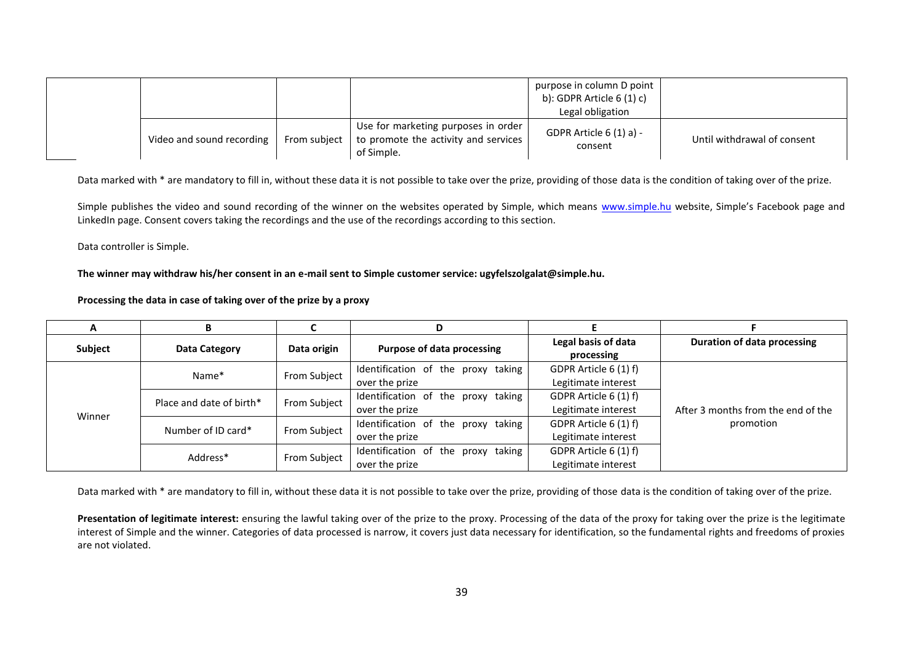|                           |              |                                                                                               | purpose in column D point<br>b): GDPR Article $6(1)$ c)<br>Legal obligation |                             |
|---------------------------|--------------|-----------------------------------------------------------------------------------------------|-----------------------------------------------------------------------------|-----------------------------|
| Video and sound recording | From subject | Use for marketing purposes in order  <br>to promote the activity and services 1<br>of Simple. | GDPR Article $6(1)$ a) -<br>consent                                         | Until withdrawal of consent |

Data marked with \* are mandatory to fill in, without these data it is not possible to take over the prize, providing of those data is the condition of taking over of the prize.

Simple publishes the video and sound recording of the winner on the websites operated by Simple, which means www.simple.hu website, Simple's Facebook page and LinkedIn page. Consent covers taking the recordings and the use of the recordings according to this section.

Data controller is Simple.

**The winner may withdraw his/her consent in an e-mail sent to Simple customer service: ugyfelszolgalat@simple.hu.**

**Processing the data in case of taking over of the prize by a proxy**

| A       | в                        |              |                                    |                                   |                                    |
|---------|--------------------------|--------------|------------------------------------|-----------------------------------|------------------------------------|
| Subject | Data Category            | Data origin  | Purpose of data processing         | Legal basis of data<br>processing | Duration of data processing        |
|         |                          | From Subject | Identification of the proxy taking | GDPR Article 6 (1) f)             |                                    |
|         | Name*                    |              | over the prize                     | Legitimate interest               |                                    |
|         | Place and date of birth* | From Subject | Identification of the proxy taking | GDPR Article 6 (1) f)             | After 3 months from the end of the |
| Winner  |                          |              | over the prize                     | Legitimate interest               |                                    |
|         | Number of ID card*       |              | Identification of the proxy taking | GDPR Article 6 (1) f)             | promotion                          |
|         |                          | From Subject | over the prize                     | Legitimate interest               |                                    |
|         |                          | From Subject | Identification of the proxy taking | GDPR Article 6 (1) f)             |                                    |
|         | Address*                 |              | over the prize                     | Legitimate interest               |                                    |

Data marked with \* are mandatory to fill in, without these data it is not possible to take over the prize, providing of those data is the condition of taking over of the prize.

Presentation of legitimate interest: ensuring the lawful taking over of the prize to the proxy. Processing of the data of the proxy for taking over the prize is the legitimate interest of Simple and the winner. Categories of data processed is narrow, it covers just data necessary for identification, so the fundamental rights and freedoms of proxies are not violated.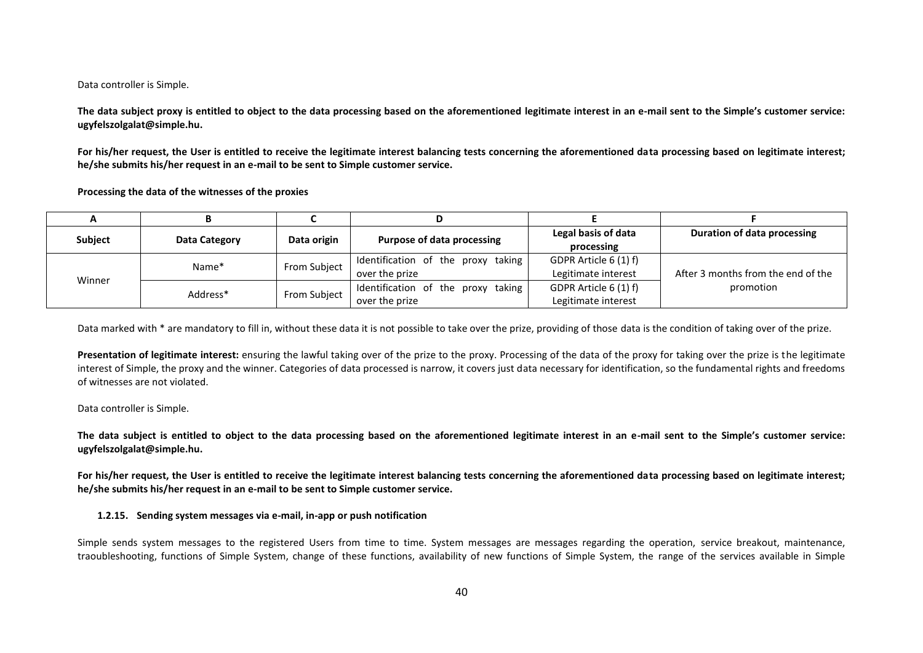#### Data controller is Simple.

**The data subject proxy is entitled to object to the data processing based on the aforementioned legitimate interest in an e-mail sent to the Simple's customer service: ugyfelszolgalat@simple.hu.**

For his/her request, the User is entitled to receive the legitimate interest balancing tests concerning the aforementioned data processing based on legitimate interest; **he/she submits his/her request in an e-mail to be sent to Simple customer service.**

**Processing the data of the witnesses of the proxies**

|         |               | Purpose of data processing<br>Data origin |                                    | Legal basis of data   | Duration of data processing        |
|---------|---------------|-------------------------------------------|------------------------------------|-----------------------|------------------------------------|
| Subject | Data Category |                                           | processing                         |                       |                                    |
| Winner  | Name*         | From Subject                              | Identification of the proxy taking | GDPR Article 6 (1) f) |                                    |
|         |               |                                           | over the prize                     | Legitimate interest   | After 3 months from the end of the |
|         | Address*      | From Subject                              | Identification of the proxy taking | GDPR Article 6 (1) f) | promotion                          |
|         |               |                                           | over the prize                     | Legitimate interest   |                                    |

Data marked with \* are mandatory to fill in, without these data it is not possible to take over the prize, providing of those data is the condition of taking over of the prize.

Presentation of legitimate interest: ensuring the lawful taking over of the prize to the proxy. Processing of the data of the proxy for taking over the prize is the legitimate interest of Simple, the proxy and the winner. Categories of data processed is narrow, it covers just data necessary for identification, so the fundamental rights and freedoms of witnesses are not violated.

Data controller is Simple.

**The data subject is entitled to object to the data processing based on the aforementioned legitimate interest in an e-mail sent to the Simple's customer service: ugyfelszolgalat@simple.hu.**

For his/her request, the User is entitled to receive the legitimate interest balancing tests concerning the aforementioned data processing based on legitimate interest; **he/she submits his/her request in an e-mail to be sent to Simple customer service.**

### **1.2.15. Sending system messages via e-mail, in-app or push notification**

Simple sends system messages to the registered Users from time to time. System messages are messages regarding the operation, service breakout, maintenance, traoubleshooting, functions of Simple System, change of these functions, availability of new functions of Simple System, the range of the services available in Simple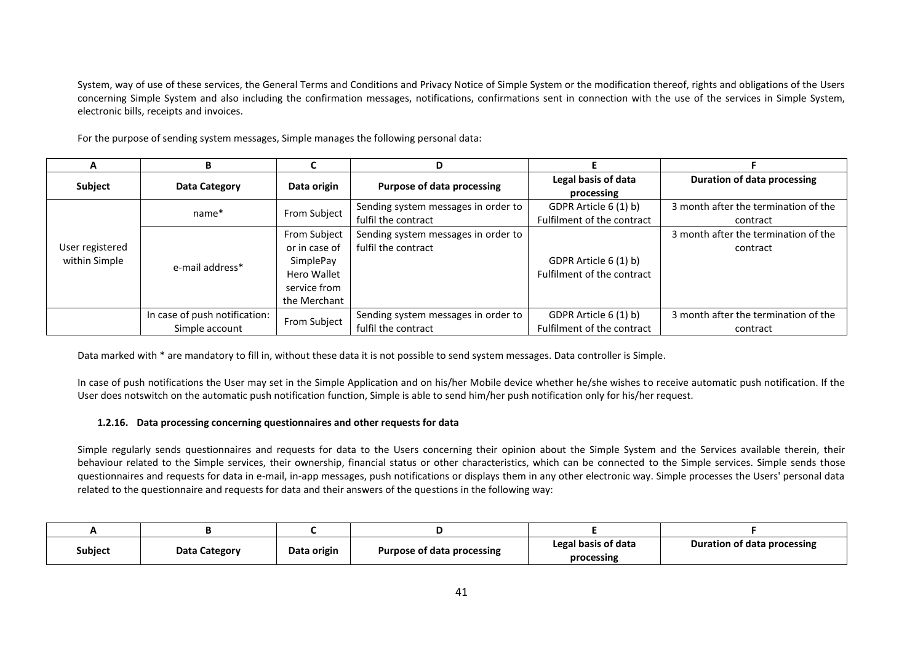System, way of use of these services, the General Terms and Conditions and Privacy Notice of Simple System or the modification thereof, rights and obligations of the Users concerning Simple System and also including the confirmation messages, notifications, confirmations sent in connection with the use of the services in Simple System, electronic bills, receipts and invoices.

For the purpose of sending system messages, Simple manages the following personal data:

| A               | D                             |               | D                                   |                            |                                      |
|-----------------|-------------------------------|---------------|-------------------------------------|----------------------------|--------------------------------------|
| Subject         | Data Category                 | Data origin   | Purpose of data processing          | Legal basis of data        | <b>Duration of data processing</b>   |
|                 |                               |               |                                     | processing                 |                                      |
|                 | name*                         | From Subject  | Sending system messages in order to | GDPR Article 6 (1) b)      | 3 month after the termination of the |
|                 |                               |               | fulfil the contract                 | Fulfilment of the contract | contract                             |
|                 | e-mail address*               | From Subject  | Sending system messages in order to |                            | 3 month after the termination of the |
| User registered |                               | or in case of | fulfil the contract                 |                            | contract                             |
| within Simple   |                               | SimplePay     |                                     | GDPR Article 6 (1) b)      |                                      |
|                 |                               | Hero Wallet   |                                     | Fulfilment of the contract |                                      |
|                 |                               | service from  |                                     |                            |                                      |
|                 |                               | the Merchant  |                                     |                            |                                      |
|                 | In case of push notification: |               | Sending system messages in order to | GDPR Article 6 (1) b)      | 3 month after the termination of the |
|                 | Simple account                | From Subject  | fulfil the contract                 | Fulfilment of the contract | contract                             |

Data marked with \* are mandatory to fill in, without these data it is not possible to send system messages. Data controller is Simple.

In case of push notifications the User may set in the Simple Application and on his/her Mobile device whether he/she wishes to receive automatic push notification. If the User does notswitch on the automatic push notification function, Simple is able to send him/her push notification only for his/her request.

### **1.2.16. Data processing concerning questionnaires and other requests for data**

Simple regularly sends questionnaires and requests for data to the Users concerning their opinion about the Simple System and the Services available therein, their behaviour related to the Simple services, their ownership, financial status or other characteristics, which can be connected to the Simple services. Simple sends those questionnaires and requests for data in e-mail, in-app messages, push notifications or displays them in any other electronic way. Simple processes the Users' personal data related to the questionnaire and requests for data and their answers of the questions in the following way:

|  | Subject<br>Data Category | Data origin | Purpose of data processing | Legal basis of data | Duration of data processing |
|--|--------------------------|-------------|----------------------------|---------------------|-----------------------------|
|  |                          |             |                            | processing          |                             |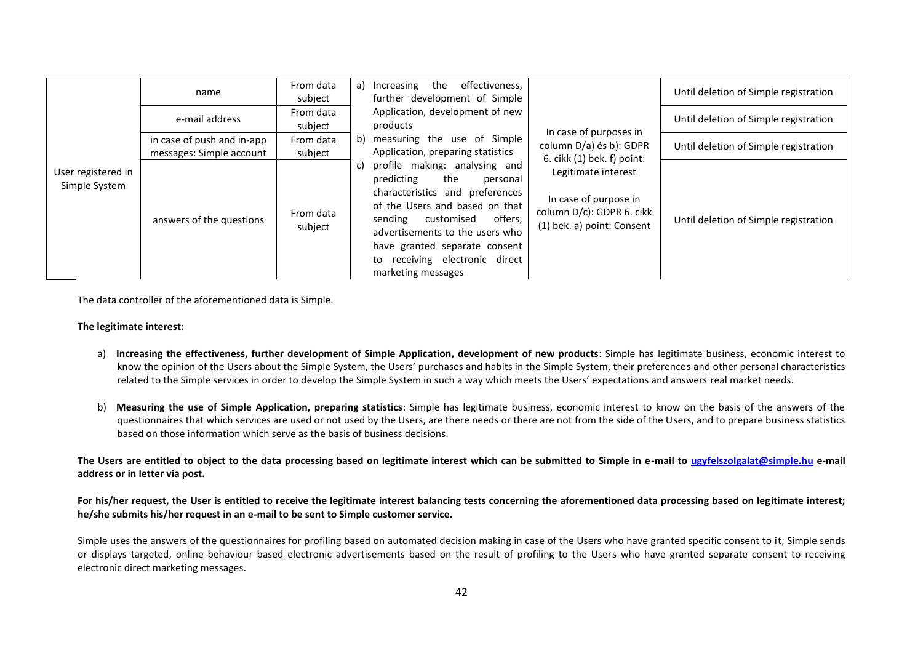|                                     | name                                                   | From data<br>subject                                                                                                                                                                                                                                                                                                                 | effectiveness,<br>a)<br>Increasing<br>the<br>further development of Simple                                                            |                                                   | Until deletion of Simple registration |
|-------------------------------------|--------------------------------------------------------|--------------------------------------------------------------------------------------------------------------------------------------------------------------------------------------------------------------------------------------------------------------------------------------------------------------------------------------|---------------------------------------------------------------------------------------------------------------------------------------|---------------------------------------------------|---------------------------------------|
|                                     | e-mail address                                         | From data<br>subject                                                                                                                                                                                                                                                                                                                 | Application, development of new<br>products<br>measuring the use of Simple<br>b)<br>Application, preparing statistics                 | In case of purposes in<br>column D/a) és b): GDPR | Until deletion of Simple registration |
|                                     | in case of push and in-app<br>messages: Simple account | From data<br>subject                                                                                                                                                                                                                                                                                                                 |                                                                                                                                       |                                                   | Until deletion of Simple registration |
| User registered in<br>Simple System | answers of the questions                               | profile making: analysing and<br>C)<br>predicting<br>the<br>personal<br>characteristics and preferences<br>of the Users and based on that<br>From data<br>offers,<br>sending<br>customised<br>subject<br>advertisements to the users who<br>have granted separate consent<br>receiving electronic direct<br>to<br>marketing messages | 6. cikk (1) bek. f) point:<br>Legitimate interest<br>In case of purpose in<br>column D/c): GDPR 6. cikk<br>(1) bek. a) point: Consent | Until deletion of Simple registration             |                                       |

The data controller of the aforementioned data is Simple.

### **The legitimate interest:**

- a) Increasing the effectiveness, further development of Simple Application, development of new products: Simple has legitimate business, economic interest to know the opinion of the Users about the Simple System, the Users' purchases and habits in the Simple System, their preferences and other personal characteristics related to the Simple services in order to develop the Simple System in such a way which meets the Users' expectations and answers real market needs.
- b) **Measuring the use of Simple Application, preparing statistics**: Simple has legitimate business, economic interest to know on the basis of the answers of the questionnaires that which services are used or not used by the Users, are there needs or there are not from the side of the Users, and to prepare business statistics based on those information which serve as the basis of business decisions.

**The Users are entitled to object to the data processing based on legitimate interest which can be submitted to Simple in e-mail to ugyfelszolgalat@simple.hu e-mail address or in letter via post.** 

# For his/her request, the User is entitled to receive the legitimate interest balancing tests concerning the aforementioned data processing based on legitimate interest; **he/she submits his/her request in an e-mail to be sent to Simple customer service.**

Simple uses the answers of the questionnaires for profiling based on automated decision making in case of the Users who have granted specific consent to it; Simple sends or displays targeted, online behaviour based electronic advertisements based on the result of profiling to the Users who have granted separate consent to receiving electronic direct marketing messages.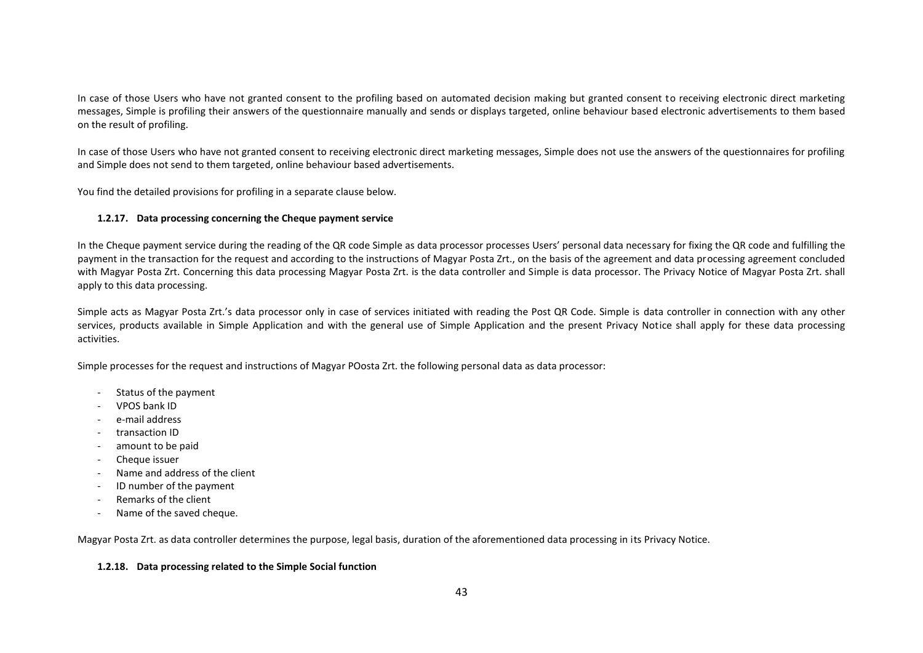In case of those Users who have not granted consent to the profiling based on automated decision making but granted consent to receiving electronic direct marketing messages, Simple is profiling their answers of the questionnaire manually and sends or displays targeted, online behaviour based electronic advertisements to them based on the result of profiling.

In case of those Users who have not granted consent to receiving electronic direct marketing messages, Simple does not use the answers of the questionnaires for profiling and Simple does not send to them targeted, online behaviour based advertisements.

You find the detailed provisions for profiling in a separate clause below.

## **1.2.17. Data processing concerning the Cheque payment service**

In the Cheque payment service during the reading of the QR code Simple as data processor processes Users' personal data necessary for fixing the QR code and fulfilling the payment in the transaction for the request and according to the instructions of Magyar Posta Zrt., on the basis of the agreement and data processing agreement concluded with Magyar Posta Zrt. Concerning this data processing Magyar Posta Zrt. is the data controller and Simple is data processor. The Privacy Notice of Magyar Posta Zrt. shall apply to this data processing.

Simple acts as Magyar Posta Zrt.'s data processor only in case of services initiated with reading the Post QR Code. Simple is data controller in connection with any other services, products available in Simple Application and with the general use of Simple Application and the present Privacy Notice shall apply for these data processing activities.

Simple processes for the request and instructions of Magyar POosta Zrt. the following personal data as data processor:

- Status of the payment
- VPOS bank ID
- e-mail address
- transaction ID
- amount to be paid
- Cheque issuer
- Name and address of the client
- ID number of the payment
- Remarks of the client
- Name of the saved cheque.

Magyar Posta Zrt. as data controller determines the purpose, legal basis, duration of the aforementioned data processing in its Privacy Notice.

### **1.2.18. Data processing related to the Simple Social function**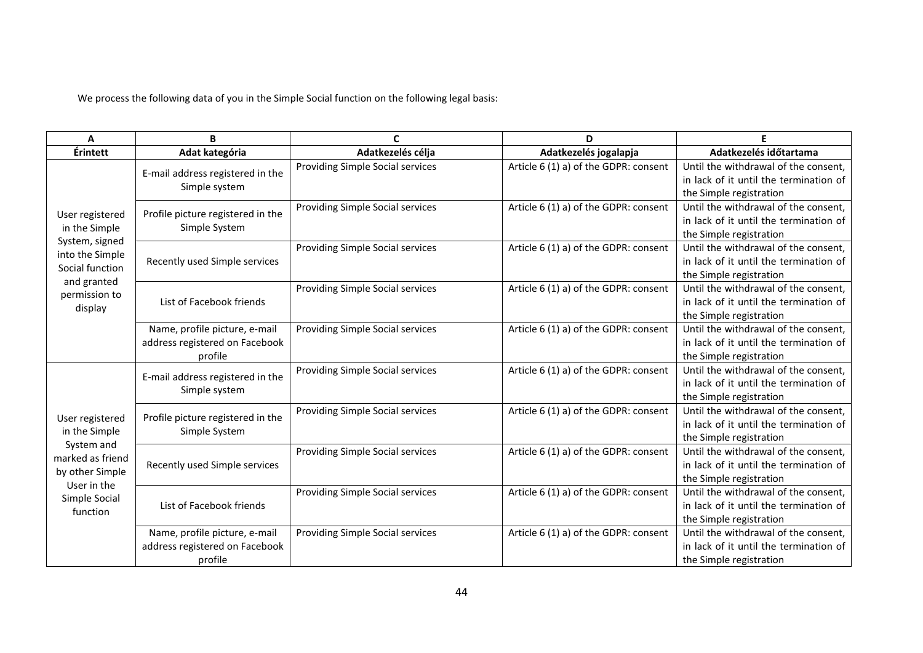We process the following data of you in the Simple Social function on the following legal basis:

| A                                        | B                                                  | C                                       | D                                     | Е                                      |
|------------------------------------------|----------------------------------------------------|-----------------------------------------|---------------------------------------|----------------------------------------|
| Érintett                                 | Adat kategória                                     | Adatkezelés célja                       | Adatkezelés jogalapja                 | Adatkezelés időtartama                 |
|                                          | E-mail address registered in the                   | <b>Providing Simple Social services</b> | Article 6 (1) a) of the GDPR: consent | Until the withdrawal of the consent,   |
|                                          | Simple system                                      |                                         |                                       | in lack of it until the termination of |
|                                          |                                                    |                                         |                                       | the Simple registration                |
|                                          | Profile picture registered in the                  | Providing Simple Social services        | Article 6 (1) a) of the GDPR: consent | Until the withdrawal of the consent,   |
| User registered<br>in the Simple         | Simple System                                      |                                         |                                       | in lack of it until the termination of |
| System, signed                           |                                                    |                                         |                                       | the Simple registration                |
| into the Simple                          |                                                    | Providing Simple Social services        | Article 6 (1) a) of the GDPR: consent | Until the withdrawal of the consent,   |
| Social function                          | Recently used Simple services                      |                                         |                                       | in lack of it until the termination of |
| and granted                              |                                                    |                                         |                                       | the Simple registration                |
| permission to                            |                                                    | Providing Simple Social services        | Article 6 (1) a) of the GDPR: consent | Until the withdrawal of the consent,   |
| display                                  | List of Facebook friends                           |                                         |                                       | in lack of it until the termination of |
|                                          |                                                    |                                         |                                       | the Simple registration                |
|                                          | Name, profile picture, e-mail                      | Providing Simple Social services        | Article 6 (1) a) of the GDPR: consent | Until the withdrawal of the consent,   |
|                                          | address registered on Facebook                     |                                         |                                       | in lack of it until the termination of |
|                                          | profile                                            |                                         |                                       | the Simple registration                |
|                                          | E-mail address registered in the<br>Simple system  | Providing Simple Social services        | Article 6 (1) a) of the GDPR: consent | Until the withdrawal of the consent,   |
|                                          |                                                    |                                         |                                       | in lack of it until the termination of |
|                                          |                                                    |                                         |                                       | the Simple registration                |
| User registered                          | Profile picture registered in the<br>Simple System | Providing Simple Social services        | Article 6 (1) a) of the GDPR: consent | Until the withdrawal of the consent,   |
| in the Simple                            |                                                    |                                         |                                       | in lack of it until the termination of |
| System and                               |                                                    |                                         |                                       | the Simple registration                |
| marked as friend                         |                                                    | Providing Simple Social services        | Article 6 (1) a) of the GDPR: consent | Until the withdrawal of the consent,   |
| by other Simple                          | Recently used Simple services                      |                                         |                                       | in lack of it until the termination of |
| User in the<br>Simple Social<br>function |                                                    |                                         |                                       | the Simple registration                |
|                                          |                                                    | Providing Simple Social services        | Article 6 (1) a) of the GDPR: consent | Until the withdrawal of the consent,   |
|                                          | List of Facebook friends                           |                                         |                                       | in lack of it until the termination of |
|                                          |                                                    |                                         |                                       | the Simple registration                |
|                                          | Name, profile picture, e-mail                      | Providing Simple Social services        | Article 6 (1) a) of the GDPR: consent | Until the withdrawal of the consent,   |
|                                          | address registered on Facebook                     |                                         |                                       | in lack of it until the termination of |
|                                          | profile                                            |                                         |                                       | the Simple registration                |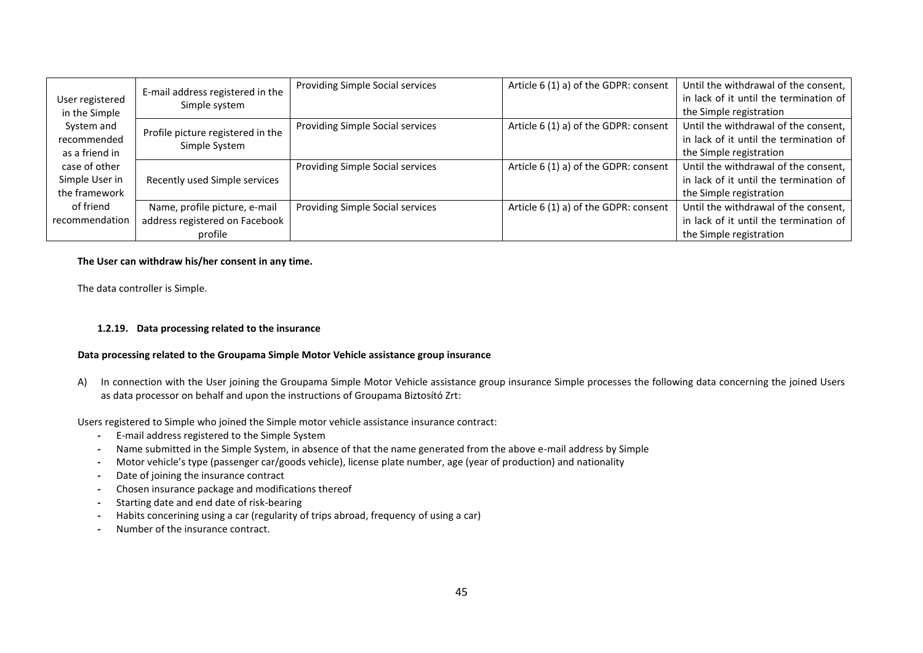|                 | E-mail address registered in the  | Providing Simple Social services | Article 6 (1) a) of the GDPR: consent | Until the withdrawal of the consent,   |
|-----------------|-----------------------------------|----------------------------------|---------------------------------------|----------------------------------------|
| User registered | Simple system                     |                                  |                                       | in lack of it until the termination of |
| in the Simple   |                                   |                                  |                                       | the Simple registration                |
| System and      | Profile picture registered in the | Providing Simple Social services | Article 6 (1) a) of the GDPR: consent | Until the withdrawal of the consent,   |
| recommended     | Simple System                     |                                  |                                       | in lack of it until the termination of |
| as a friend in  |                                   |                                  |                                       | the Simple registration                |
| case of other   |                                   | Providing Simple Social services | Article 6 (1) a) of the GDPR: consent | Until the withdrawal of the consent,   |
| Simple User in  | Recently used Simple services     |                                  |                                       | in lack of it until the termination of |
| the framework   |                                   |                                  |                                       | the Simple registration                |
| of friend       | Name, profile picture, e-mail     | Providing Simple Social services | Article 6 (1) a) of the GDPR: consent | Until the withdrawal of the consent,   |
| recommendation  | address registered on Facebook    |                                  |                                       | in lack of it until the termination of |
|                 | profile                           |                                  |                                       | the Simple registration                |

### **The User can withdraw his/her consent in any time.**

The data controller is Simple.

## **1.2.19. Data processing related to the insurance**

### **Data processing related to the Groupama Simple Motor Vehicle assistance group insurance**

A) In connection with the User joining the Groupama Simple Motor Vehicle assistance group insurance Simple processes the following data concerning the joined Users as data processor on behalf and upon the instructions of Groupama Biztosító Zrt:

Users registered to Simple who joined the Simple motor vehicle assistance insurance contract:

- **-** E-mail address registered to the Simple System
- **-** Name submitted in the Simple System, in absence of that the name generated from the above e-mail address by Simple
- **-** Motor vehicle's type (passenger car/goods vehicle), license plate number, age (year of production) and nationality
- **-** Date of joining the insurance contract
- **-** Chosen insurance package and modifications thereof
- **-** Starting date and end date of risk-bearing
- **-** Habits concerining using a car (regularity of trips abroad, frequency of using a car)
- **-** Number of the insurance contract.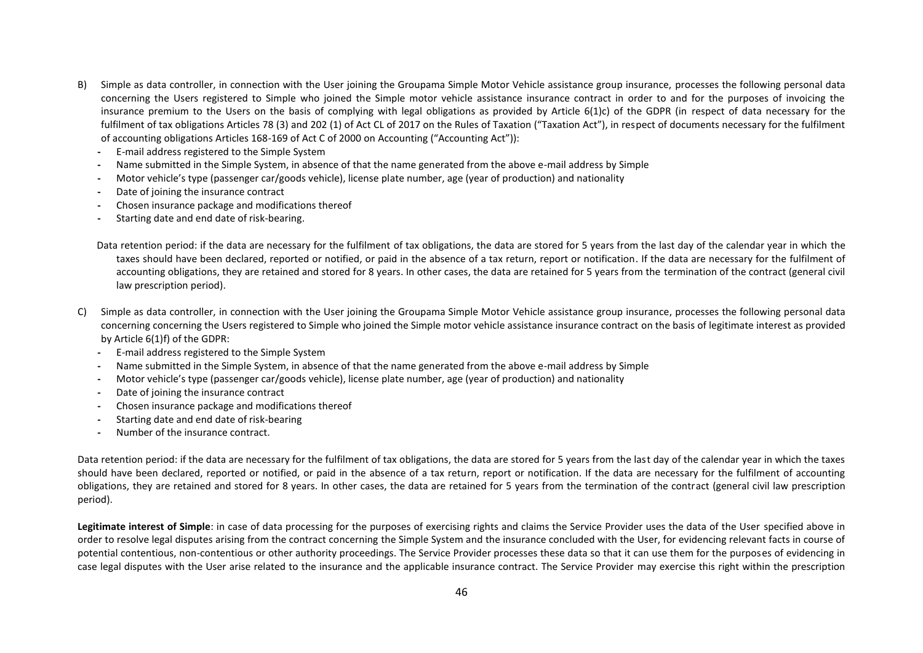- B) Simple as data controller, in connection with the User joining the Groupama Simple Motor Vehicle assistance group insurance, processes the following personal data concerning the Users registered to Simple who joined the Simple motor vehicle assistance insurance contract in order to and for the purposes of invoicing the insurance premium to the Users on the basis of complying with legal obligations as provided by Article 6(1)c) of the GDPR (in respect of data necessary for the fulfilment of tax obligations Articles 78 (3) and 202 (1) of Act CL of 2017 on the Rules of Taxation ("Taxation Act"), in respect of documents necessary for the fulfilment of accounting obligations Articles 168-169 of Act C of 2000 on Accounting ("Accounting Act")):
	- **-** E-mail address registered to the Simple System
	- **-** Name submitted in the Simple System, in absence of that the name generated from the above e-mail address by Simple
	- **-** Motor vehicle's type (passenger car/goods vehicle), license plate number, age (year of production) and nationality
	- **-** Date of joining the insurance contract
	- **-** Chosen insurance package and modifications thereof
	- **-** Starting date and end date of risk-bearing.

Data retention period: if the data are necessary for the fulfilment of tax obligations, the data are stored for 5 years from the last day of the calendar year in which the taxes should have been declared, reported or notified, or paid in the absence of a tax return, report or notification. If the data are necessary for the fulfilment of accounting obligations, they are retained and stored for 8 years. In other cases, the data are retained for 5 years from the termination of the contract (general civil law prescription period).

- C) Simple as data controller, in connection with the User joining the Groupama Simple Motor Vehicle assistance group insurance, processes the following personal data concerning concerning the Users registered to Simple who joined the Simple motor vehicle assistance insurance contract on the basis of legitimate interest as provided by Article 6(1)f) of the GDPR:
	- **-** E-mail address registered to the Simple System
	- **-** Name submitted in the Simple System, in absence of that the name generated from the above e-mail address by Simple
	- **-** Motor vehicle's type (passenger car/goods vehicle), license plate number, age (year of production) and nationality
	- **-** Date of joining the insurance contract
	- **-** Chosen insurance package and modifications thereof
	- **-** Starting date and end date of risk-bearing
	- **-** Number of the insurance contract.

Data retention period: if the data are necessary for the fulfilment of tax obligations, the data are stored for 5 years from the last day of the calendar year in which the taxes should have been declared, reported or notified, or paid in the absence of a tax return, report or notification. If the data are necessary for the fulfilment of accounting obligations, they are retained and stored for 8 years. In other cases, the data are retained for 5 years from the termination of the contract (general civil law prescription period).

Legitimate interest of Simple: in case of data processing for the purposes of exercising rights and claims the Service Provider uses the data of the User specified above in order to resolve legal disputes arising from the contract concerning the Simple System and the insurance concluded with the User, for evidencing relevant facts in course of potential contentious, non-contentious or other authority proceedings. The Service Provider processes these data so that it can use them for the purposes of evidencing in case legal disputes with the User arise related to the insurance and the applicable insurance contract. The Service Provider may exercise this right within the prescription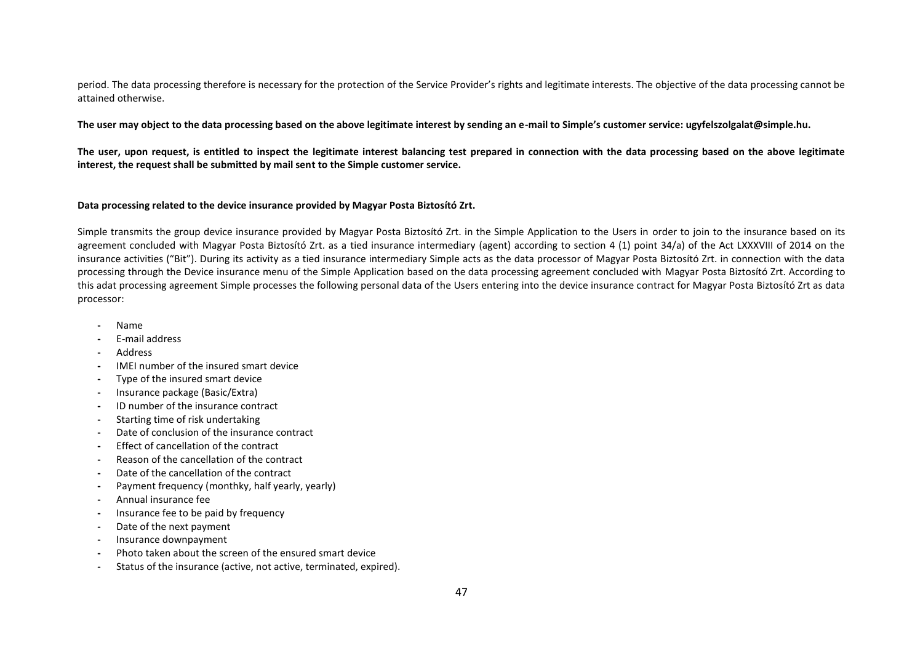period. The data processing therefore is necessary for the protection of the Service Provider's rights and legitimate interests. The objective of the data processing cannot be attained otherwise.

**The user may object to the data processing based on the above legitimate interest by sending an e-mail to Simple's customer service: ugyfelszolgalat@simple.hu.**

**The user, upon request, is entitled to inspect the legitimate interest balancing test prepared in connection with the data processing based on the above legitimate interest, the request shall be submitted by mail sent to the Simple customer service.**

## **Data processing related to the device insurance provided by Magyar Posta Biztosító Zrt.**

Simple transmits the group device insurance provided by Magyar Posta Biztosító Zrt. in the Simple Application to the Users in order to join to the insurance based on its agreement concluded with Magyar Posta Biztosító Zrt. as a tied insurance intermediary (agent) according to section 4 (1) point 34/a) of the Act LXXXVIII of 2014 on the insurance activities ("Bit"). During its activity as a tied insurance intermediary Simple acts as the data processor of Magyar Posta Biztosító Zrt. in connection with the data processing through the Device insurance menu of the Simple Application based on the data processing agreement concluded with Magyar Posta Biztosító Zrt. According to this adat processing agreement Simple processes the following personal data of the Users entering into the device insurance contract for Magyar Posta Biztosító Zrt as data processor:

- **-** Name
- **-** E-mail address
- **-** Address
- **-** IMEI number of the insured smart device
- **-** Type of the insured smart device
- **-** Insurance package (Basic/Extra)
- **-** ID number of the insurance contract
- **-** Starting time of risk undertaking
- **-** Date of conclusion of the insurance contract
- **-** Effect of cancellation of the contract
- **-** Reason of the cancellation of the contract
- **-** Date of the cancellation of the contract
- **-** Payment frequency (monthky, half yearly, yearly)
- **-** Annual insurance fee
- **-** Insurance fee to be paid by frequency
- **-** Date of the next payment
- **-** Insurance downpayment
- **-** Photo taken about the screen of the ensured smart device
- **-** Status of the insurance (active, not active, terminated, expired).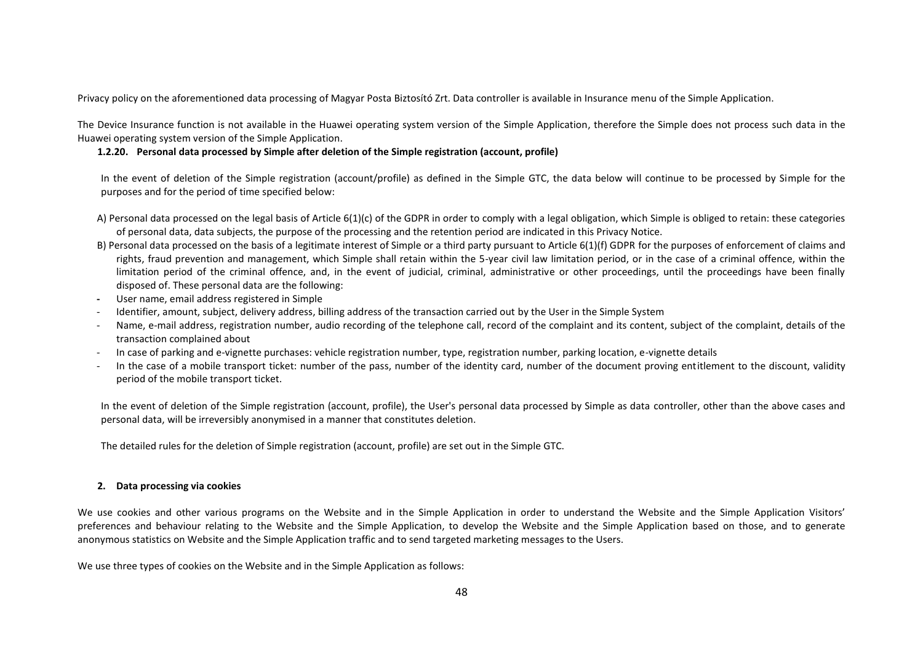Privacy policy on the aforementioned data processing of Magyar Posta Biztosító Zrt. Data controller is available in Insurance menu of the Simple Application.

The Device Insurance function is not available in the Huawei operating system version of the Simple Application, therefore the Simple does not process such data in the Huawei operating system version of the Simple Application.

## **1.2.20. Personal data processed by Simple after deletion of the Simple registration (account, profile)**

In the event of deletion of the Simple registration (account/profile) as defined in the Simple GTC, the data below will continue to be processed by Simple for the purposes and for the period of time specified below:

- A) Personal data processed on the legal basis of Article 6(1)(c) of the GDPR in order to comply with a legal obligation, which Simple is obliged to retain: these categories of personal data, data subjects, the purpose of the processing and the retention period are indicated in this Privacy Notice.
- B) Personal data processed on the basis of a legitimate interest of Simple or a third party pursuant to Article 6(1)(f) GDPR for the purposes of enforcement of claims and rights, fraud prevention and management, which Simple shall retain within the 5-year civil law limitation period, or in the case of a criminal offence, within the limitation period of the criminal offence, and, in the event of judicial, criminal, administrative or other proceedings, until the proceedings have been finally disposed of. These personal data are the following:
- **-** User name, email address registered in Simple
- Identifier, amount, subject, delivery address, billing address of the transaction carried out by the User in the Simple System
- Name, e-mail address, registration number, audio recording of the telephone call, record of the complaint and its content, subject of the complaint, details of the transaction complained about
- In case of parking and e-vignette purchases: vehicle registration number, type, registration number, parking location, e-vignette details
- In the case of a mobile transport ticket: number of the pass, number of the identity card, number of the document proving entitlement to the discount, validity period of the mobile transport ticket.

In the event of deletion of the Simple registration (account, profile), the User's personal data processed by Simple as data controller, other than the above cases and personal data, will be irreversibly anonymised in a manner that constitutes deletion.

The detailed rules for the deletion of Simple registration (account, profile) are set out in the Simple GTC.

## **2. Data processing via cookies**

We use cookies and other various programs on the Website and in the Simple Application in order to understand the Website and the Simple Application Visitors' preferences and behaviour relating to the Website and the Simple Application, to develop the Website and the Simple Application based on those, and to generate anonymous statistics on Website and the Simple Application traffic and to send targeted marketing messages to the Users.

We use three types of cookies on the Website and in the Simple Application as follows: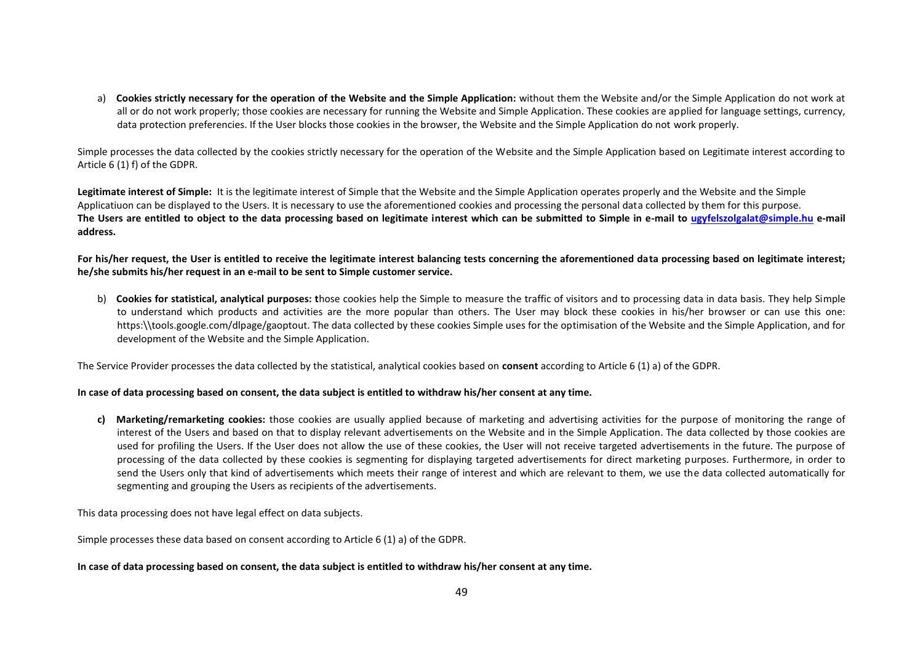a) **Cookies strictly necessary for the operation of the Website and the Simple Application:** without them the Website and/or the Simple Application do not work at all or do not work properly; those cookies are necessary for running the Website and Simple Application. These cookies are applied for language settings, currency, data protection preferencies. If the User blocks those cookies in the browser, the Website and the Simple Application do not work properly.

Simple processes the data collected by the cookies strictly necessary for the operation of the Website and the Simple Application based on Legitimate interest according to Article 6 (1) f) of the GDPR.

Legitimate interest of Simple: It is the legitimate interest of Simple that the Website and the Simple Application operates properly and the Website and the Simple Applicatiuon can be displayed to the Users. It is necessary to use the aforementioned cookies and processing the personal data collected by them for this purpose. **The Users are entitled to object to the data processing based on legitimate interest which can be submitted to Simple in e-mail to ugyfelszolgalat@simple.hu e-mail address.** 

**For his/her request, the User is entitled to receive the legitimate interest balancing tests concerning the aforementioned data processing based on legitimate interest; he/she submits his/her request in an e-mail to be sent to Simple customer service.**

b) **Cookies for statistical, analytical purposes: t**hose cookies help the Simple to measure the traffic of visitors and to processing data in data basis. They help Simple to understand which products and activities are the more popular than others. The User may block these cookies in his/her browser or can use this one: https:\\tools.google.com/dlpage/gaoptout. The data collected by these cookies Simple uses for the optimisation of the Website and the Simple Application, and for development of the Website and the Simple Application.

The Service Provider processes the data collected by the statistical, analytical cookies based on **consent** according to Article 6 (1) a) of the GDPR.

### **In case of data processing based on consent, the data subject is entitled to withdraw his/her consent at any time.**

**c) Marketing/remarketing cookies:** those cookies are usually applied because of marketing and advertising activities for the purpose of monitoring the range of interest of the Users and based on that to display relevant advertisements on the Website and in the Simple Application. The data collected by those cookies are used for profiling the Users. If the User does not allow the use of these cookies, the User will not receive targeted advertisements in the future. The purpose of processing of the data collected by these cookies is segmenting for displaying targeted advertisements for direct marketing purposes. Furthermore, in order to send the Users only that kind of advertisements which meets their range of interest and which are relevant to them, we use the data collected automatically for segmenting and grouping the Users as recipients of the advertisements.

This data processing does not have legal effect on data subjects.

Simple processes these data based on consent according to Article 6 (1) a) of the GDPR.

## **In case of data processing based on consent, the data subject is entitled to withdraw his/her consent at any time.**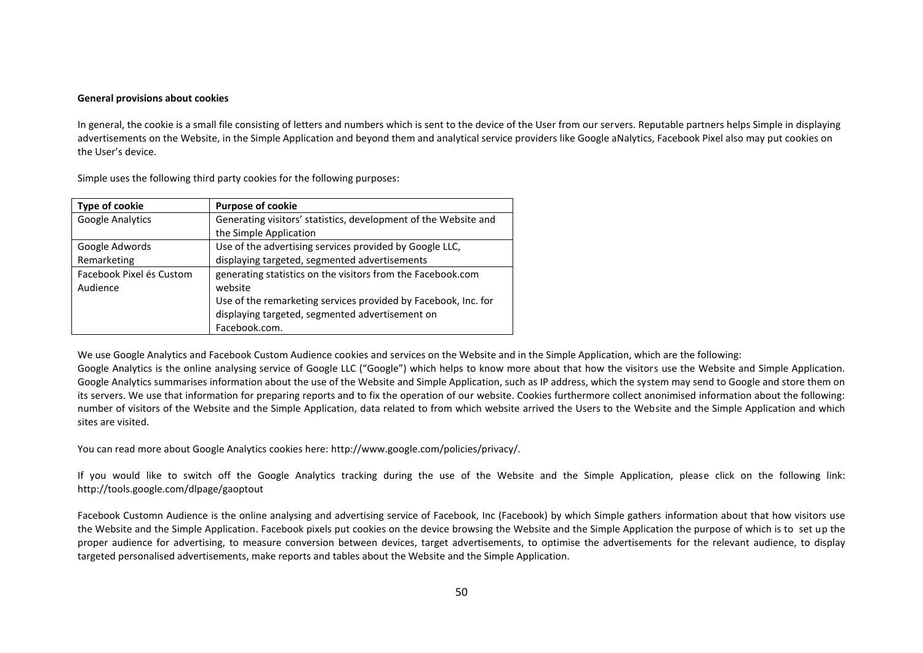#### **General provisions about cookies**

In general, the cookie is a small file consisting of letters and numbers which is sent to the device of the User from our servers. Reputable partners helps Simple in displaying advertisements on the Website, in the Simple Application and beyond them and analytical service providers like Google aNalytics, Facebook Pixel also may put cookies on the User's device.

| Type of cookie           | <b>Purpose of cookie</b>                                        |  |
|--------------------------|-----------------------------------------------------------------|--|
| <b>Google Analytics</b>  | Generating visitors' statistics, development of the Website and |  |
|                          | the Simple Application                                          |  |
| Google Adwords           | Use of the advertising services provided by Google LLC,         |  |
| Remarketing              | displaying targeted, segmented advertisements                   |  |
| Facebook Pixel és Custom | generating statistics on the visitors from the Facebook.com     |  |
| Audience                 | website                                                         |  |
|                          | Use of the remarketing services provided by Facebook, Inc. for  |  |
|                          | displaying targeted, segmented advertisement on                 |  |
|                          | Facebook.com.                                                   |  |

Simple uses the following third party cookies for the following purposes:

We use Google Analytics and Facebook Custom Audience cookies and services on the Website and in the Simple Application, which are the following:

Google Analytics is the online analysing service of Google LLC ("Google") which helps to know more about that how the visitors use the Website and Simple Application. Google Analytics summarises information about the use of the Website and Simple Application, such as IP address, which the system may send to Google and store them on its servers. We use that information for preparing reports and to fix the operation of our website. Cookies furthermore collect anonimised information about the following: number of visitors of the Website and the Simple Application, data related to from which website arrived the Users to the Website and the Simple Application and which sites are visited.

You can read more about Google Analytics cookies here: http://www.google.com/policies/privacy/.

If you would like to switch off the Google Analytics tracking during the use of the Website and the Simple Application, please click on the following link: http://tools.google.com/dlpage/gaoptout

Facebook Customn Audience is the online analysing and advertising service of Facebook, Inc (Facebook) by which Simple gathers information about that how visitors use the Website and the Simple Application. Facebook pixels put cookies on the device browsing the Website and the Simple Application the purpose of which is to set up the proper audience for advertising, to measure conversion between devices, target advertisements, to optimise the advertisements for the relevant audience, to display targeted personalised advertisements, make reports and tables about the Website and the Simple Application.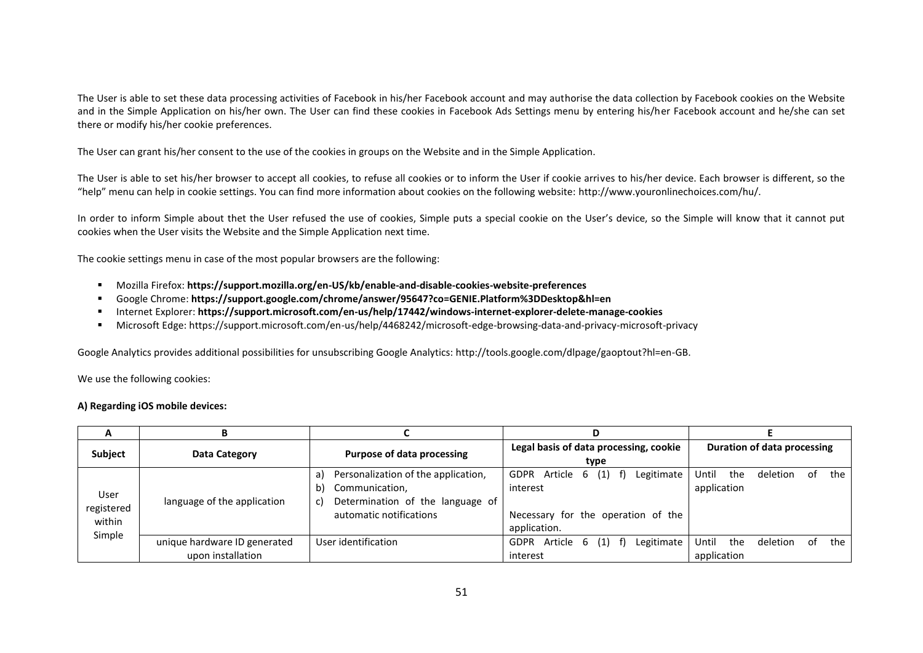The User is able to set these data processing activities of Facebook in his/her Facebook account and may authorise the data collection by Facebook cookies on the Website and in the Simple Application on his/her own. The User can find these cookies in Facebook Ads Settings menu by entering his/her Facebook account and he/she can set there or modify his/her cookie preferences.

The User can grant his/her consent to the use of the cookies in groups on the Website and in the Simple Application.

The User is able to set his/her browser to accept all cookies, to refuse all cookies or to inform the User if cookie arrives to his/her device. Each browser is different, so the "help" menu can help in cookie settings. You can find more information about cookies on the following website: http://www.youronlinechoices.com/hu/.

In order to inform Simple about thet the User refused the use of cookies, Simple puts a special cookie on the User's device, so the Simple will know that it cannot put cookies when the User visits the Website and the Simple Application next time.

The cookie settings menu in case of the most popular browsers are the following:

- Mozilla Firefox: **https://support.mozilla.org/en-US/kb/enable-and-disable-cookies-website-preferences**
- Google Chrome: **https://support.google.com/chrome/answer/95647?co=GENIE.Platform%3DDesktop&hl=en**
- Internet Explorer: **https://support.microsoft.com/en-us/help/17442/windows-internet-explorer-delete-manage-cookies**
- Microsoft Edge: https://support.microsoft.com/en-us/help/4468242/microsoft-edge-browsing-data-and-privacy-microsoft-privacy

Google Analytics provides additional possibilities for unsubscribing Google Analytics: http://tools.google.com/dlpage/gaoptout?hl=en-GB.

We use the following cookies:

#### **A) Regarding iOS mobile devices:**

| A                            | В                            |                                                                                                                                        | D                                                                                                        |                                                      |
|------------------------------|------------------------------|----------------------------------------------------------------------------------------------------------------------------------------|----------------------------------------------------------------------------------------------------------|------------------------------------------------------|
| <b>Subject</b>               | Data Category                | Purpose of data processing                                                                                                             | Legal basis of data processing, cookie<br>type                                                           | Duration of data processing                          |
| User<br>registered<br>within | language of the application  | Personalization of the application,<br>a)<br>Communication,<br>b)<br>Determination of the language of<br>C)<br>automatic notifications | Legitimate<br>Article 6 (1) f)<br>GDPR<br>interest<br>Necessary for the operation of the<br>application. | Until<br>the<br>deletion<br>the<br>of<br>application |
| Simple                       | unique hardware ID generated | User identification                                                                                                                    | Article $6(1)$ f)<br>Legitimate<br><b>GDPR</b>                                                           | Until<br>the<br>the<br>deletion<br>. of              |
|                              | upon installation            |                                                                                                                                        | interest                                                                                                 | application                                          |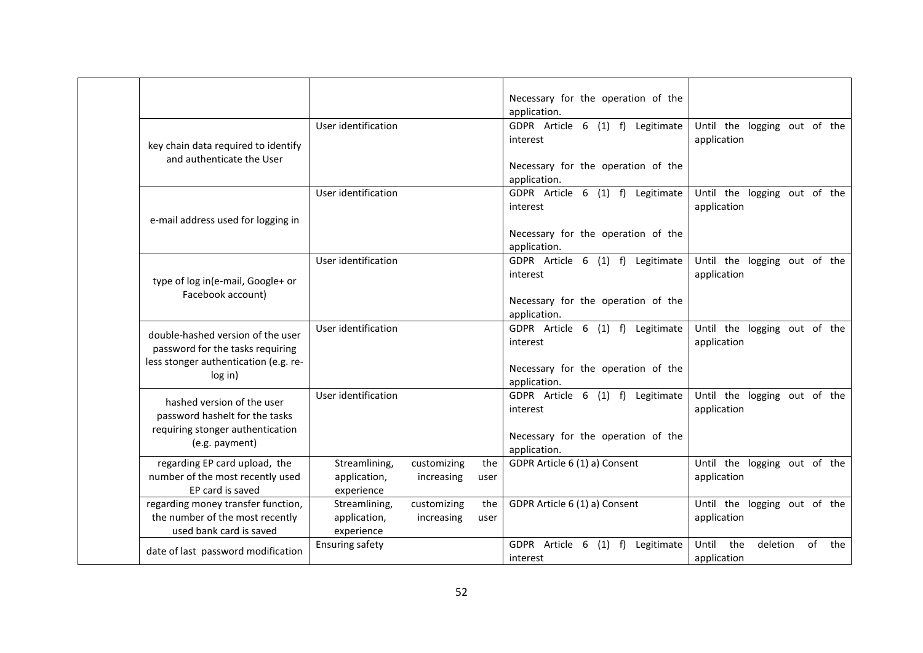|                                                                                                                           |                                             |                           |             | Necessary for the operation of the<br>application.                                                 |                                                      |
|---------------------------------------------------------------------------------------------------------------------------|---------------------------------------------|---------------------------|-------------|----------------------------------------------------------------------------------------------------|------------------------------------------------------|
| key chain data required to identify<br>and authenticate the User                                                          | User identification                         |                           |             | GDPR Article 6 (1) f) Legitimate<br>interest<br>Necessary for the operation of the<br>application. | Until the logging out of the<br>application          |
| e-mail address used for logging in                                                                                        | User identification                         |                           |             | GDPR Article 6 (1) f) Legitimate<br>interest<br>Necessary for the operation of the<br>application. | Until the logging out of the<br>application          |
| type of log in(e-mail, Google+ or<br>Facebook account)                                                                    | User identification                         |                           |             | GDPR Article 6 (1) f) Legitimate<br>interest<br>Necessary for the operation of the<br>application. | Until the logging out of the<br>application          |
| double-hashed version of the user<br>password for the tasks requiring<br>less stonger authentication (e.g. re-<br>log in) | User identification                         |                           |             | GDPR Article 6 (1) f) Legitimate<br>interest<br>Necessary for the operation of the<br>application. | Until the logging out of the<br>application          |
| hashed version of the user<br>password hashelt for the tasks<br>requiring stonger authentication<br>(e.g. payment)        | User identification                         |                           |             | GDPR Article 6 (1) f) Legitimate<br>interest<br>Necessary for the operation of the<br>application. | Until the logging out of the<br>application          |
| regarding EP card upload, the<br>number of the most recently used<br>EP card is saved                                     | Streamlining,<br>application,<br>experience | customizing<br>increasing | the<br>user | GDPR Article 6 (1) a) Consent                                                                      | Until the logging out of the<br>application          |
| regarding money transfer function,<br>the number of the most recently<br>used bank card is saved                          | Streamlining,<br>application,<br>experience | customizing<br>increasing | the<br>user | GDPR Article 6 (1) a) Consent                                                                      | Until the logging out of the<br>application          |
| date of last password modification                                                                                        | <b>Ensuring safety</b>                      |                           |             | GDPR Article 6 (1) f) Legitimate<br>interest                                                       | the<br>Until<br>deletion<br>of<br>the<br>application |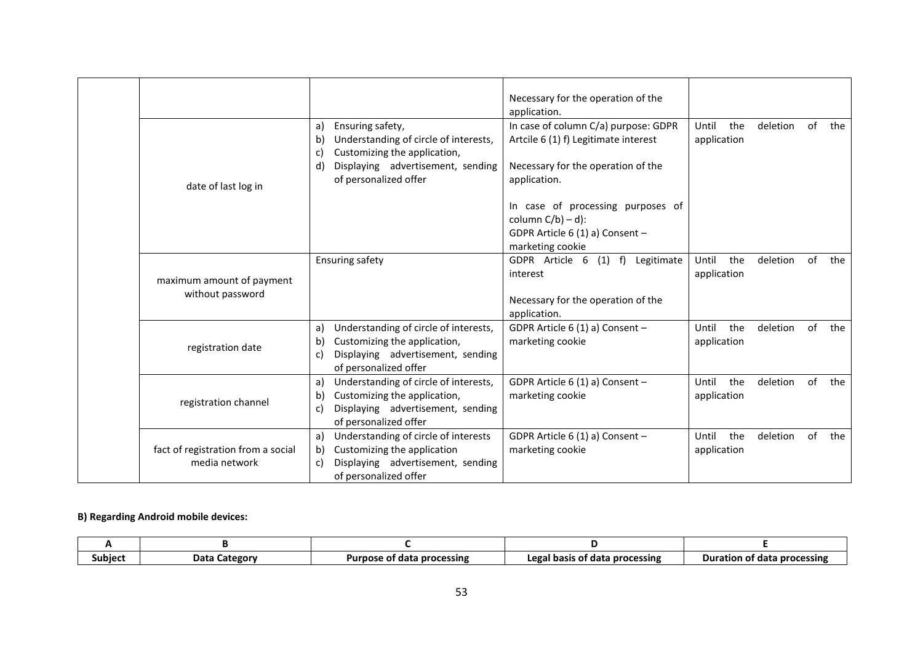| date of last log in                                 | Ensuring safety,<br>a)<br>Understanding of circle of interests,<br>b)<br>Customizing the application,<br>C.<br>Displaying advertisement, sending<br>d.<br>of personalized offer | Necessary for the operation of the<br>application.<br>In case of column C/a) purpose: GDPR<br>Artcile 6 (1) f) Legitimate interest<br>Necessary for the operation of the<br>application.<br>In case of processing purposes of<br>column $C/b$ ) – d):<br>GDPR Article 6 (1) a) Consent -<br>marketing cookie | the<br>Until<br>application | deletion | of | the |
|-----------------------------------------------------|---------------------------------------------------------------------------------------------------------------------------------------------------------------------------------|--------------------------------------------------------------------------------------------------------------------------------------------------------------------------------------------------------------------------------------------------------------------------------------------------------------|-----------------------------|----------|----|-----|
| maximum amount of payment<br>without password       | <b>Ensuring safety</b>                                                                                                                                                          | GDPR Article 6 (1) f) Legitimate<br>interest<br>Necessary for the operation of the<br>application.                                                                                                                                                                                                           | Until<br>the<br>application | deletion | of | the |
| registration date                                   | Understanding of circle of interests,<br>a)<br>Customizing the application,<br>b)<br>Displaying advertisement, sending<br>C.<br>of personalized offer                           | GDPR Article 6 (1) a) Consent -<br>marketing cookie                                                                                                                                                                                                                                                          | Until<br>the<br>application | deletion | of | the |
| registration channel                                | Understanding of circle of interests,<br>a)<br>Customizing the application,<br>b)<br>Displaying advertisement, sending<br>C.<br>of personalized offer                           | GDPR Article 6 (1) a) Consent -<br>marketing cookie                                                                                                                                                                                                                                                          | Until<br>the<br>application | deletion | of | the |
| fact of registration from a social<br>media network | Understanding of circle of interests<br>a)<br>Customizing the application<br>b)<br>Displaying advertisement, sending<br>C)<br>of personalized offer                             | GDPR Article 6 (1) a) Consent -<br>marketing cookie                                                                                                                                                                                                                                                          | Until<br>the<br>application | deletion | of | the |

# **B) Regarding Android mobile devices:**

| Subiec | Data<br>Category | `ta processing<br>Pur<br>חכם<br>аата<br>n | of data processing<br>Legal<br>l basıs | Duration<br>, processing<br>ωt<br>. of data |
|--------|------------------|-------------------------------------------|----------------------------------------|---------------------------------------------|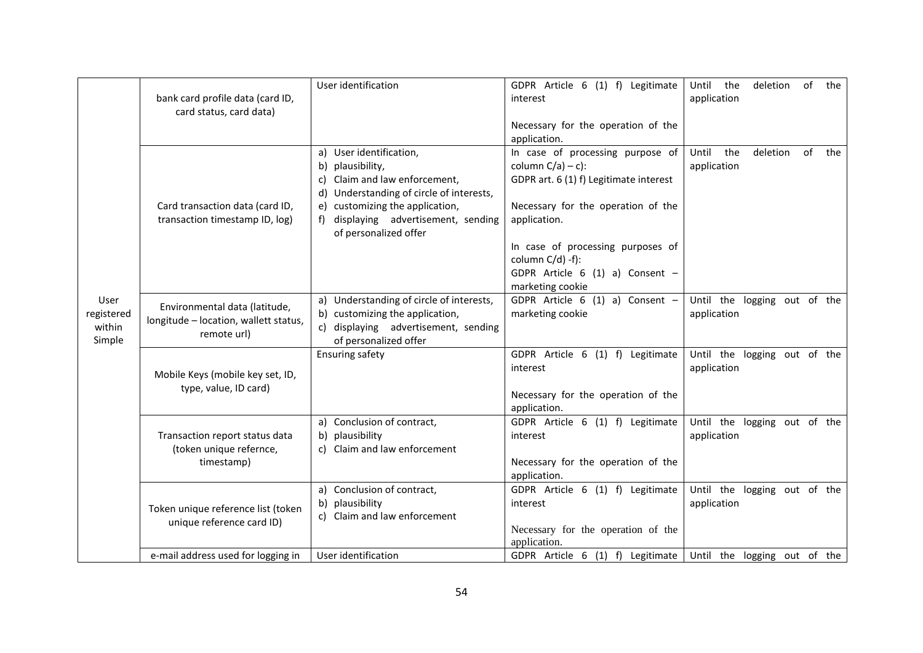|                    |                                                           | User identification                                                         | GDPR Article 6 (1) f) Legitimate                    | of<br>Until<br>the<br>deletion<br>the       |
|--------------------|-----------------------------------------------------------|-----------------------------------------------------------------------------|-----------------------------------------------------|---------------------------------------------|
|                    | bank card profile data (card ID,                          |                                                                             | interest                                            | application                                 |
|                    | card status, card data)                                   |                                                                             | Necessary for the operation of the                  |                                             |
|                    |                                                           |                                                                             | application.                                        |                                             |
|                    |                                                           | User identification,<br>a)                                                  | In case of processing purpose of                    | Until<br>the<br>deletion<br>of<br>the       |
|                    |                                                           | plausibility,<br>b)                                                         | column $C/a$ ) – c):                                | application                                 |
|                    |                                                           | Claim and law enforcement,<br>c)                                            | GDPR art. 6 (1) f) Legitimate interest              |                                             |
|                    |                                                           | Understanding of circle of interests,<br>d)                                 |                                                     |                                             |
|                    | Card transaction data (card ID,                           | customizing the application,<br>e)                                          | Necessary for the operation of the                  |                                             |
|                    | transaction timestamp ID, log)                            | displaying advertisement, sending<br>of personalized offer                  | application.                                        |                                             |
|                    |                                                           |                                                                             | In case of processing purposes of                   |                                             |
|                    |                                                           |                                                                             | column $C/d$ ) -f):                                 |                                             |
|                    |                                                           |                                                                             | GDPR Article $6(1)$ a) Consent -                    |                                             |
|                    |                                                           |                                                                             | marketing cookie                                    |                                             |
| User<br>registered | Environmental data (latitude,                             | a) Understanding of circle of interests,<br>b) customizing the application, | GDPR Article 6 (1) a) Consent -<br>marketing cookie | Until the logging out of the<br>application |
| within             | longitude - location, wallett status,                     | c) displaying advertisement, sending                                        |                                                     |                                             |
| Simple             | remote url)                                               | of personalized offer                                                       |                                                     |                                             |
|                    |                                                           | <b>Ensuring safety</b>                                                      | GDPR Article 6 (1) f) Legitimate                    | Until the logging out of the                |
|                    | Mobile Keys (mobile key set, ID,                          |                                                                             | interest                                            | application                                 |
|                    | type, value, ID card)                                     |                                                                             |                                                     |                                             |
|                    |                                                           |                                                                             | Necessary for the operation of the                  |                                             |
|                    |                                                           |                                                                             | application.                                        |                                             |
|                    |                                                           | a) Conclusion of contract,                                                  | GDPR Article 6 (1) f) Legitimate<br>interest        | Until the logging out of the                |
|                    | Transaction report status data<br>(token unique refernce, | plausibility<br>b)<br>c) Claim and law enforcement                          |                                                     | application                                 |
|                    | timestamp)                                                |                                                                             | Necessary for the operation of the                  |                                             |
|                    |                                                           |                                                                             | application.                                        |                                             |
|                    |                                                           | a) Conclusion of contract,                                                  | GDPR Article 6 (1) f) Legitimate                    | Until the logging out of the                |
|                    | Token unique reference list (token                        | plausibility<br>b)                                                          | interest                                            | application                                 |
|                    | unique reference card ID)                                 | c) Claim and law enforcement                                                |                                                     |                                             |
|                    |                                                           |                                                                             | Necessary for the operation of the                  |                                             |
|                    |                                                           |                                                                             | application.                                        |                                             |
|                    | e-mail address used for logging in                        | User identification                                                         | GDPR Article 6 (1) f) Legitimate                    | Until the logging out of the                |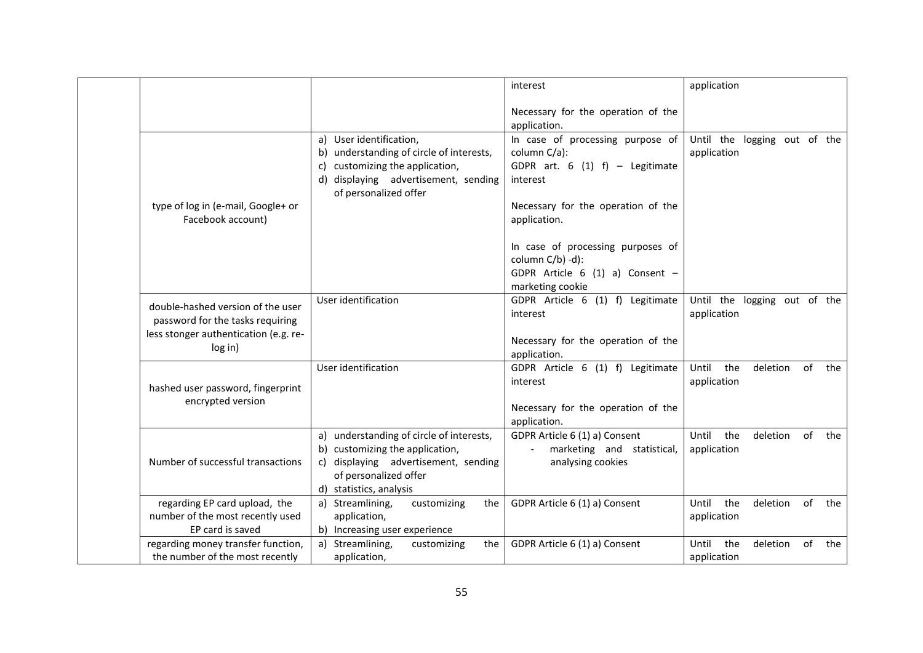|                                                                                                                           |                                                                                                                                                                                  | interest                                                                                                                                                                                                                                           | application                                          |
|---------------------------------------------------------------------------------------------------------------------------|----------------------------------------------------------------------------------------------------------------------------------------------------------------------------------|----------------------------------------------------------------------------------------------------------------------------------------------------------------------------------------------------------------------------------------------------|------------------------------------------------------|
|                                                                                                                           |                                                                                                                                                                                  | Necessary for the operation of the<br>application.                                                                                                                                                                                                 |                                                      |
| type of log in (e-mail, Google+ or<br>Facebook account)                                                                   | a) User identification,<br>understanding of circle of interests,<br>b)<br>customizing the application,<br>C)<br>displaying advertisement, sending<br>d)<br>of personalized offer | In case of processing purpose of<br>column C/a):<br>GDPR art. $6(1) f$ – Legitimate<br>interest<br>Necessary for the operation of the<br>application.<br>In case of processing purposes of<br>column C/b) -d):<br>GDPR Article $6(1)$ a) Consent - | Until the logging out of the<br>application          |
| double-hashed version of the user<br>password for the tasks requiring<br>less stonger authentication (e.g. re-<br>log in) | User identification                                                                                                                                                              | marketing cookie<br>GDPR Article 6 (1) f) Legitimate<br>interest<br>Necessary for the operation of the                                                                                                                                             | Until the logging out of the<br>application          |
| hashed user password, fingerprint<br>encrypted version                                                                    | User identification                                                                                                                                                              | application.<br>GDPR Article 6 (1) f) Legitimate<br>interest<br>Necessary for the operation of the<br>application.                                                                                                                                 | Until<br>the<br>deletion<br>of<br>the<br>application |
| Number of successful transactions                                                                                         | a) understanding of circle of interests,<br>customizing the application,<br>c) displaying advertisement, sending<br>of personalized offer<br>d) statistics, analysis             | GDPR Article 6 (1) a) Consent<br>marketing and statistical,<br>analysing cookies                                                                                                                                                                   | the<br>of<br>Until<br>deletion<br>the<br>application |
| regarding EP card upload, the<br>number of the most recently used<br>EP card is saved                                     | a) Streamlining,<br>customizing<br>the<br>application,<br>b) Increasing user experience                                                                                          | GDPR Article 6 (1) a) Consent                                                                                                                                                                                                                      | of<br>Until<br>the<br>deletion<br>the<br>application |
| regarding money transfer function,<br>the number of the most recently                                                     | Streamlining,<br>customizing<br>the<br>a)<br>application,                                                                                                                        | GDPR Article 6 (1) a) Consent                                                                                                                                                                                                                      | Until<br>the<br>deletion<br>of<br>the<br>application |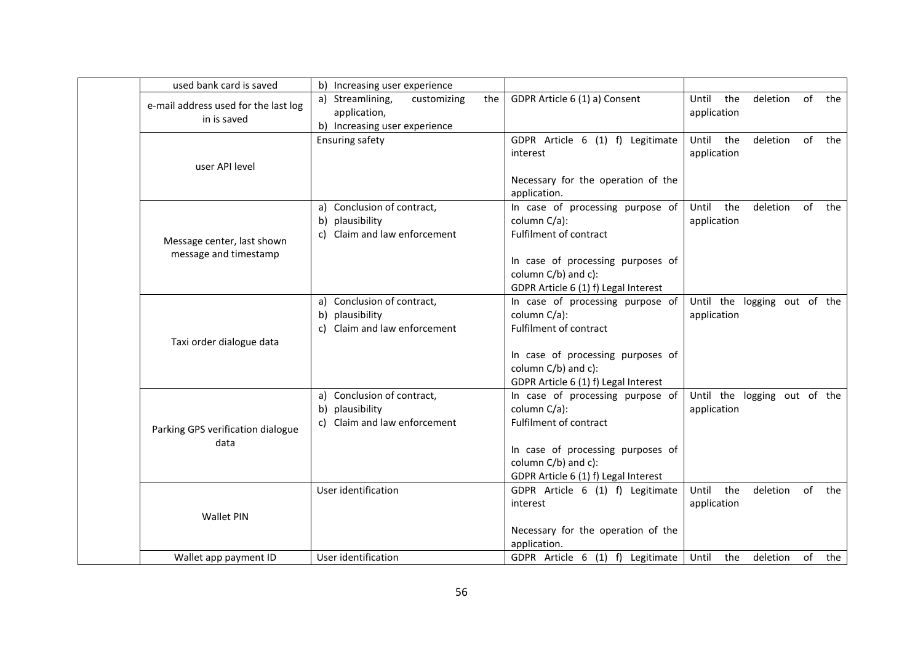| used bank card is saved              | b) Increasing user experience          |                                                                          |                                          |
|--------------------------------------|----------------------------------------|--------------------------------------------------------------------------|------------------------------------------|
| e-mail address used for the last log | a) Streamlining,<br>customizing<br>the | GDPR Article 6 (1) a) Consent                                            | of<br>Until<br>the<br>deletion<br>the    |
| in is saved                          | application,                           |                                                                          | application                              |
|                                      | b) Increasing user experience          |                                                                          | Until                                    |
|                                      | <b>Ensuring safety</b>                 | GDPR Article 6 (1) f) Legitimate<br>interest                             | the<br>deletion of<br>the<br>application |
| user API level                       |                                        |                                                                          |                                          |
|                                      |                                        | Necessary for the operation of the                                       |                                          |
|                                      |                                        | application.                                                             |                                          |
|                                      | a) Conclusion of contract,             | In case of processing purpose of                                         | the<br>Until<br>deletion<br>of<br>the    |
|                                      | plausibility<br>b)                     | column C/a):                                                             | application                              |
| Message center, last shown           | c) Claim and law enforcement           | Fulfilment of contract                                                   |                                          |
| message and timestamp                |                                        |                                                                          |                                          |
|                                      |                                        | In case of processing purposes of                                        |                                          |
|                                      |                                        | column C/b) and c):                                                      |                                          |
|                                      | a) Conclusion of contract,             | GDPR Article 6 (1) f) Legal Interest<br>In case of processing purpose of | Until the logging out of the             |
|                                      | plausibility<br>b)                     | column C/a):                                                             | application                              |
|                                      | c) Claim and law enforcement           | Fulfilment of contract                                                   |                                          |
| Taxi order dialogue data             |                                        |                                                                          |                                          |
|                                      |                                        | In case of processing purposes of                                        |                                          |
|                                      |                                        | column C/b) and c):                                                      |                                          |
|                                      |                                        | GDPR Article 6 (1) f) Legal Interest                                     |                                          |
|                                      | a) Conclusion of contract,             | In case of processing purpose of                                         | Until the logging out of the             |
|                                      | plausibility<br>b)                     | column C/a):                                                             | application                              |
| Parking GPS verification dialogue    | c) Claim and law enforcement           | Fulfilment of contract                                                   |                                          |
| data                                 |                                        | In case of processing purposes of                                        |                                          |
|                                      |                                        | column C/b) and c):                                                      |                                          |
|                                      |                                        | GDPR Article 6 (1) f) Legal Interest                                     |                                          |
|                                      | User identification                    | GDPR Article 6 (1) f) Legitimate                                         | Until<br>the<br>deletion of<br>the       |
|                                      |                                        | interest                                                                 | application                              |
| <b>Wallet PIN</b>                    |                                        |                                                                          |                                          |
|                                      |                                        | Necessary for the operation of the                                       |                                          |
|                                      |                                        | application.                                                             |                                          |
| Wallet app payment ID                | User identification                    | GDPR Article 6 (1) f) Legitimate                                         | of<br>Until<br>the<br>deletion<br>the    |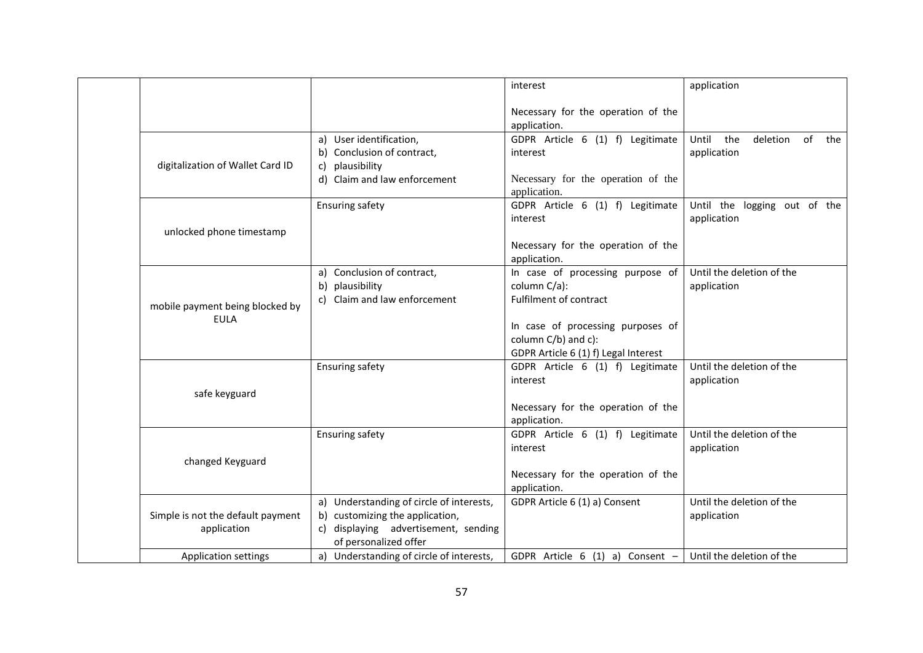|                                                  |                                                                                                                                                                                          | interest                                                                                                                                                                       | application                                                           |
|--------------------------------------------------|------------------------------------------------------------------------------------------------------------------------------------------------------------------------------------------|--------------------------------------------------------------------------------------------------------------------------------------------------------------------------------|-----------------------------------------------------------------------|
|                                                  |                                                                                                                                                                                          | Necessary for the operation of the<br>application.                                                                                                                             |                                                                       |
| digitalization of Wallet Card ID                 | a) User identification,<br>b) Conclusion of contract,<br>c) plausibility<br>d) Claim and law enforcement                                                                                 | GDPR Article 6 (1) f) Legitimate<br>interest<br>Necessary for the operation of the<br>application.                                                                             | Until the<br>deletion of<br>the<br>application                        |
| unlocked phone timestamp                         | <b>Ensuring safety</b>                                                                                                                                                                   | GDPR Article 6 (1) f) Legitimate<br>interest<br>Necessary for the operation of the<br>application.                                                                             | Until the logging out of the<br>application                           |
| mobile payment being blocked by<br><b>EULA</b>   | a) Conclusion of contract,<br>b) plausibility<br>Claim and law enforcement                                                                                                               | In case of processing purpose of<br>column C/a):<br>Fulfilment of contract<br>In case of processing purposes of<br>column C/b) and c):<br>GDPR Article 6 (1) f) Legal Interest | Until the deletion of the<br>application                              |
| safe keyguard                                    | <b>Ensuring safety</b>                                                                                                                                                                   | GDPR Article 6 (1) f) Legitimate<br>interest<br>Necessary for the operation of the<br>application.                                                                             | Until the deletion of the<br>application                              |
| changed Keyguard                                 | <b>Ensuring safety</b>                                                                                                                                                                   | GDPR Article 6 (1) f) Legitimate<br>interest<br>Necessary for the operation of the<br>application.                                                                             | Until the deletion of the<br>application                              |
| Simple is not the default payment<br>application | a) Understanding of circle of interests,<br>b) customizing the application,<br>c) displaying advertisement, sending<br>of personalized offer<br>a) Understanding of circle of interests, | GDPR Article 6 (1) a) Consent<br>GDPR Article $6(1)$ a) Consent -                                                                                                              | Until the deletion of the<br>application<br>Until the deletion of the |
| <b>Application settings</b>                      |                                                                                                                                                                                          |                                                                                                                                                                                |                                                                       |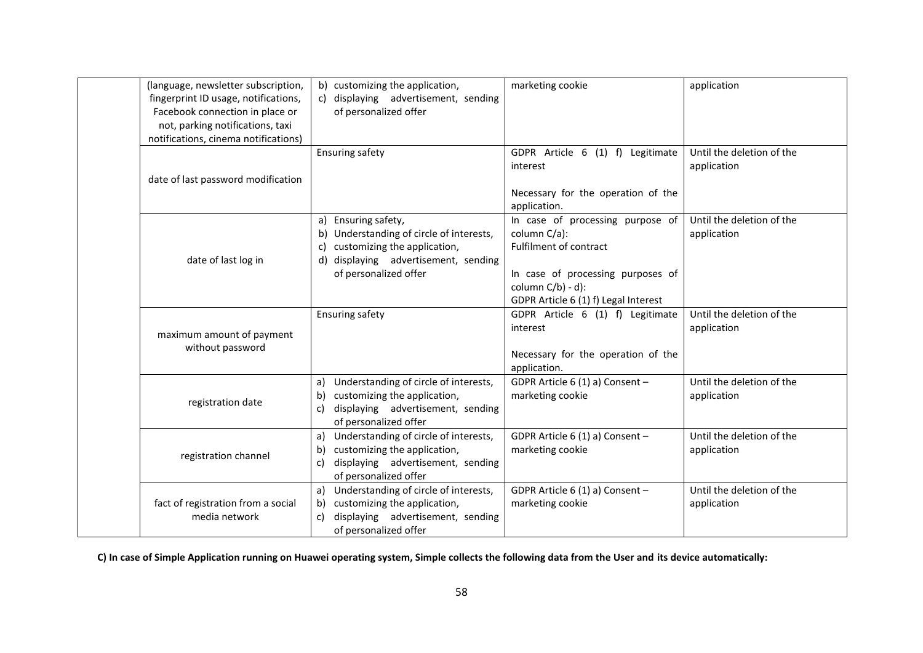| (language, newsletter subscription,<br>fingerprint ID usage, notifications,<br>Facebook connection in place or<br>not, parking notifications, taxi<br>notifications, cinema notifications) | b) customizing the application,<br>displaying advertisement, sending<br>of personalized offer                                                                                | marketing cookie                                                                                                                                                                       | application                              |
|--------------------------------------------------------------------------------------------------------------------------------------------------------------------------------------------|------------------------------------------------------------------------------------------------------------------------------------------------------------------------------|----------------------------------------------------------------------------------------------------------------------------------------------------------------------------------------|------------------------------------------|
| date of last password modification                                                                                                                                                         | Ensuring safety                                                                                                                                                              | GDPR Article 6 (1) f) Legitimate<br>interest<br>Necessary for the operation of the<br>application.                                                                                     | Until the deletion of the<br>application |
| date of last log in                                                                                                                                                                        | Ensuring safety,<br>a)<br>Understanding of circle of interests,<br>b)<br>customizing the application,<br>C)<br>d) displaying advertisement, sending<br>of personalized offer | In case of processing purpose of<br>column C/a):<br><b>Fulfilment of contract</b><br>In case of processing purposes of<br>column $C/b$ ) - d):<br>GDPR Article 6 (1) f) Legal Interest | Until the deletion of the<br>application |
| maximum amount of payment<br>without password                                                                                                                                              | <b>Ensuring safety</b>                                                                                                                                                       | GDPR Article 6 (1) f) Legitimate<br>interest<br>Necessary for the operation of the<br>application.                                                                                     | Until the deletion of the<br>application |
| registration date                                                                                                                                                                          | Understanding of circle of interests,<br>a)<br>customizing the application,<br>b)<br>displaying advertisement, sending<br>C)<br>of personalized offer                        | GDPR Article 6 (1) a) Consent -<br>marketing cookie                                                                                                                                    | Until the deletion of the<br>application |
| registration channel                                                                                                                                                                       | Understanding of circle of interests,<br>a)<br>customizing the application,<br>b)<br>displaying advertisement, sending<br>c)<br>of personalized offer                        | GDPR Article 6 (1) a) Consent -<br>marketing cookie                                                                                                                                    | Until the deletion of the<br>application |
| fact of registration from a social<br>media network                                                                                                                                        | Understanding of circle of interests,<br>a)<br>customizing the application,<br>b)<br>displaying advertisement, sending<br>c)<br>of personalized offer                        | GDPR Article 6 (1) a) Consent -<br>marketing cookie                                                                                                                                    | Until the deletion of the<br>application |

**C) In case of Simple Application running on Huawei operating system, Simple collects the following data from the User and its device automatically:**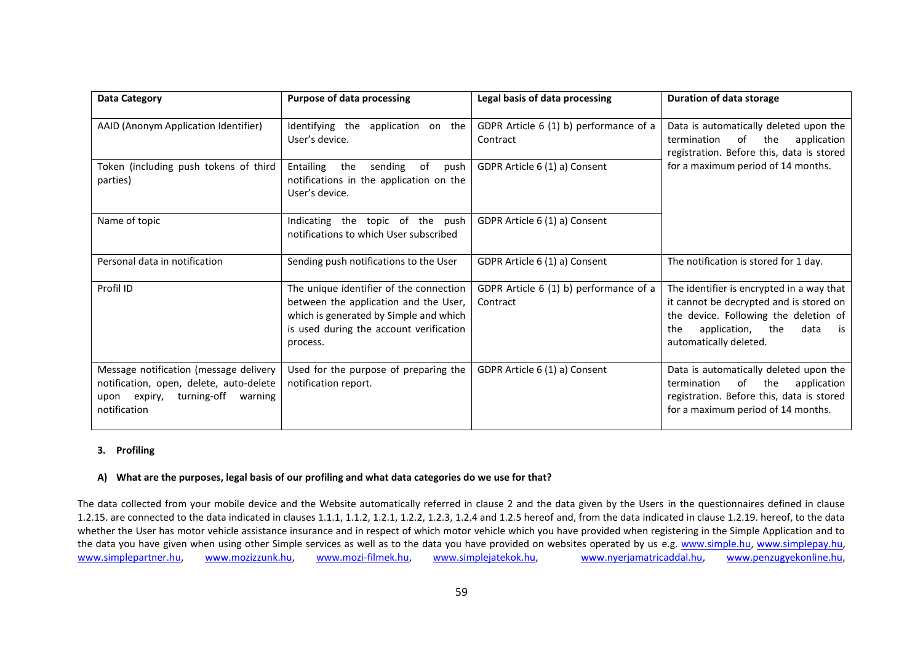| <b>Data Category</b>                                                                                                                        | <b>Purpose of data processing</b>                                                                                                                                                 | Legal basis of data processing                     | <b>Duration of data storage</b>                                                                                                                                                                     |
|---------------------------------------------------------------------------------------------------------------------------------------------|-----------------------------------------------------------------------------------------------------------------------------------------------------------------------------------|----------------------------------------------------|-----------------------------------------------------------------------------------------------------------------------------------------------------------------------------------------------------|
| AAID (Anonym Application Identifier)                                                                                                        | Identifying<br>the application on the<br>User's device.                                                                                                                           | GDPR Article 6 (1) b) performance of a<br>Contract | Data is automatically deleted upon the<br>of the<br>termination<br>application<br>registration. Before this, data is stored                                                                         |
| Token (including push tokens of third<br>parties)                                                                                           | Entailing<br>sending<br>of<br>the<br>push<br>notifications in the application on the<br>User's device.                                                                            | GDPR Article 6 (1) a) Consent                      | for a maximum period of 14 months.                                                                                                                                                                  |
| Name of topic                                                                                                                               | Indicating the topic of the push<br>notifications to which User subscribed                                                                                                        | GDPR Article 6 (1) a) Consent                      |                                                                                                                                                                                                     |
| Personal data in notification                                                                                                               | Sending push notifications to the User                                                                                                                                            | GDPR Article 6 (1) a) Consent                      | The notification is stored for 1 day.                                                                                                                                                               |
| Profil ID                                                                                                                                   | The unique identifier of the connection<br>between the application and the User,<br>which is generated by Simple and which<br>is used during the account verification<br>process. | GDPR Article 6 (1) b) performance of a<br>Contract | The identifier is encrypted in a way that<br>it cannot be decrypted and is stored on<br>the device. Following the deletion of<br>application,<br>the<br>data<br>the<br>is<br>automatically deleted. |
| Message notification (message delivery<br>notification, open, delete, auto-delete<br>turning-off<br>upon expiry,<br>warning<br>notification | Used for the purpose of preparing the<br>notification report.                                                                                                                     | GDPR Article 6 (1) a) Consent                      | Data is automatically deleted upon the<br>termination<br>of the<br>application<br>registration. Before this, data is stored<br>for a maximum period of 14 months.                                   |

## **3. Profiling**

### **A) What are the purposes, legal basis of our profiling and what data categories do we use for that?**

The data collected from your mobile device and the Website automatically referred in clause 2 and the data given by the Users in the questionnaires defined in clause 1.2.15. are connected to the data indicated in clauses 1.1.1, 1.1.2, 1.2.1, 1.2.2, 1.2.3, 1.2.4 and 1.2.5 hereof and, from the data indicated in clause 1.2.19. hereof, to the data whether the User has motor vehicle assistance insurance and in respect of which motor vehicle which you have provided when registering in the Simple Application and to the data you have given when using other Simple services as well as to the data you have provided on websites operated by us e.g. www.simple.hu, www.simplepay.hu, www.simplepartner.hu, www.mozizzunk.hu, www.mozi-filmek.hu, www.simplejatekok.hu, www.nyerjamatricaddal.hu, www.penzugyekonline.hu,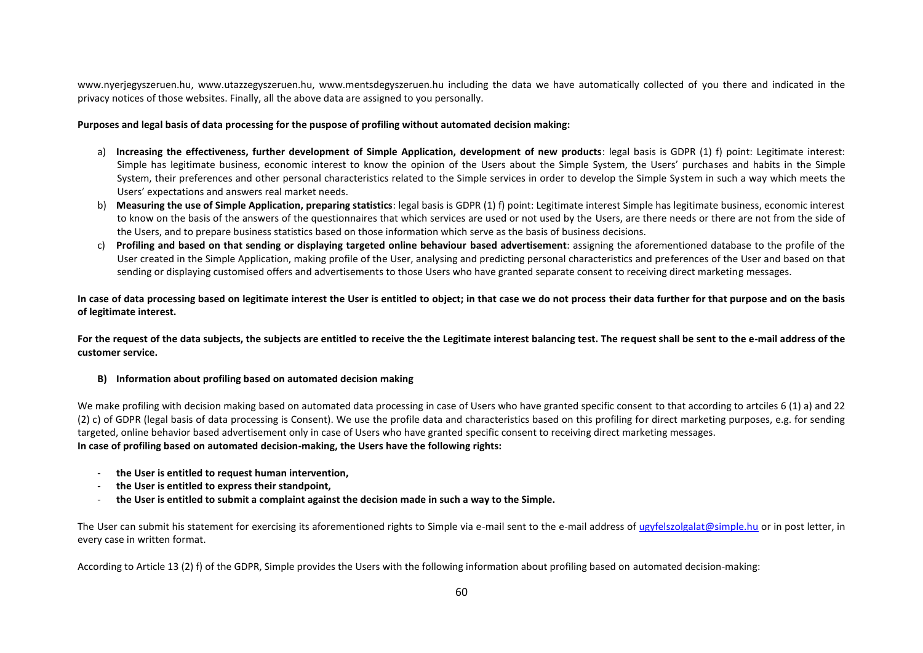www.nyerjegyszeruen.hu, www.utazzegyszeruen.hu, www.mentsdegyszeruen.hu including the data we have automatically collected of you there and indicated in the privacy notices of those websites. Finally, all the above data are assigned to you personally.

### **Purposes and legal basis of data processing for the puspose of profiling without automated decision making:**

- a) Increasing the effectiveness, further development of Simple Application, development of new products: legal basis is GDPR (1) f) point: Legitimate interest: Simple has legitimate business, economic interest to know the opinion of the Users about the Simple System, the Users' purchases and habits in the Simple System, their preferences and other personal characteristics related to the Simple services in order to develop the Simple System in such a way which meets the Users' expectations and answers real market needs.
- b) **Measuring the use of Simple Application, preparing statistics**: legal basis is GDPR (1) f) point: Legitimate interest Simple has legitimate business, economic interest to know on the basis of the answers of the questionnaires that which services are used or not used by the Users, are there needs or there are not from the side of the Users, and to prepare business statistics based on those information which serve as the basis of business decisions.
- c) **Profiling and based on that sending or displaying targeted online behaviour based advertisement**: assigning the aforementioned database to the profile of the User created in the Simple Application, making profile of the User, analysing and predicting personal characteristics and preferences of the User and based on that sending or displaying customised offers and advertisements to those Users who have granted separate consent to receiving direct marketing messages.

**In case of data processing based on legitimate interest the User is entitled to object; in that case we do not process their data further for that purpose and on the basis of legitimate interest.**

**For the request of the data subjects, the subjects are entitled to receive the the Legitimate interest balancing test. The request shall be sent to the e-mail address of the customer service.**

### **B) Information about profiling based on automated decision making**

We make profiling with decision making based on automated data processing in case of Users who have granted specific consent to that according to artciles 6 (1) a) and 22 (2) c) of GDPR (legal basis of data processing is Consent). We use the profile data and characteristics based on this profiling for direct marketing purposes, e.g. for sending targeted, online behavior based advertisement only in case of Users who have granted specific consent to receiving direct marketing messages. **In case of profiling based on automated decision-making, the Users have the following rights:**

- **the User is entitled to request human intervention,**
- **the User is entitled to express their standpoint,**
- **the User is entitled to submit a complaint against the decision made in such a way to the Simple.**

The User can submit his statement for exercising its aforementioned rights to Simple via e-mail sent to the e-mail address of ugyfelszolgalat@simple.hu or in post letter, in every case in written format.

According to Article 13 (2) f) of the GDPR, Simple provides the Users with the following information about profiling based on automated decision-making: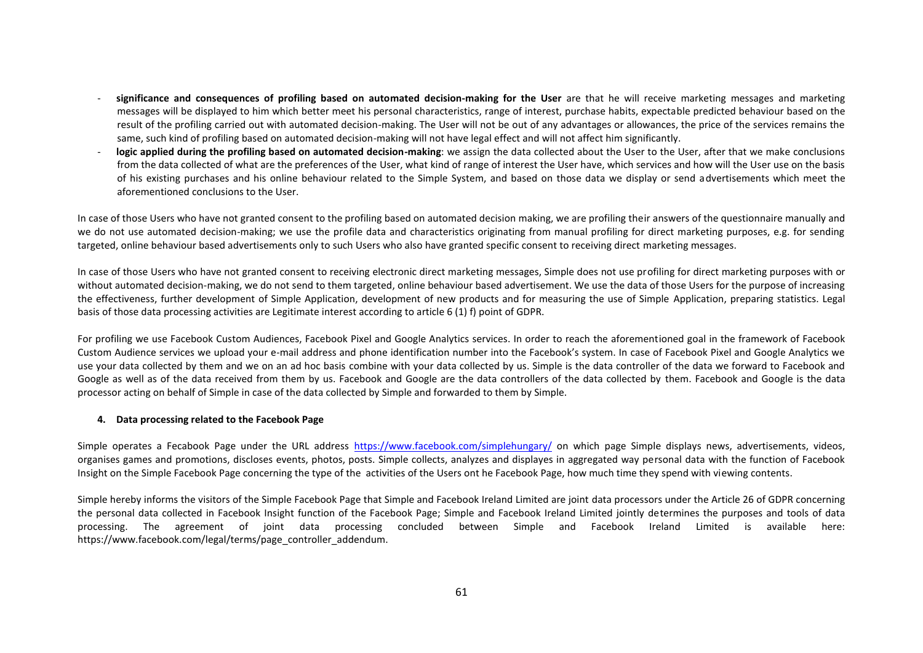- **significance and consequences of profiling based on automated decision-making for the User** are that he will receive marketing messages and marketing messages will be displayed to him which better meet his personal characteristics, range of interest, purchase habits, expectable predicted behaviour based on the result of the profiling carried out with automated decision-making. The User will not be out of any advantages or allowances, the price of the services remains the same, such kind of profiling based on automated decision-making will not have legal effect and will not affect him significantly.
- logic applied during the profiling based on automated decision-making: we assign the data collected about the User to the User, after that we make conclusions from the data collected of what are the preferences of the User, what kind of range of interest the User have, which services and how will the User use on the basis of his existing purchases and his online behaviour related to the Simple System, and based on those data we display or send advertisements which meet the aforementioned conclusions to the User.

In case of those Users who have not granted consent to the profiling based on automated decision making, we are profiling their answers of the questionnaire manually and we do not use automated decision-making; we use the profile data and characteristics originating from manual profiling for direct marketing purposes, e.g. for sending targeted, online behaviour based advertisements only to such Users who also have granted specific consent to receiving direct marketing messages.

In case of those Users who have not granted consent to receiving electronic direct marketing messages, Simple does not use profiling for direct marketing purposes with or without automated decision-making, we do not send to them targeted, online behaviour based advertisement. We use the data of those Users for the purpose of increasing the effectiveness, further development of Simple Application, development of new products and for measuring the use of Simple Application, preparing statistics. Legal basis of those data processing activities are Legitimate interest according to article 6 (1) f) point of GDPR.

For profiling we use Facebook Custom Audiences, Facebook Pixel and Google Analytics services. In order to reach the aforementioned goal in the framework of Facebook Custom Audience services we upload your e-mail address and phone identification number into the Facebook's system. In case of Facebook Pixel and Google Analytics we use your data collected by them and we on an ad hoc basis combine with your data collected by us. Simple is the data controller of the data we forward to Facebook and Google as well as of the data received from them by us. Facebook and Google are the data controllers of the data collected by them. Facebook and Google is the data processor acting on behalf of Simple in case of the data collected by Simple and forwarded to them by Simple.

#### **4. Data processing related to the Facebook Page**

Simple operates a Fecabook Page under the URL address https://www.facebook.com/simplehungary/ on which page Simple displays news, advertisements, videos, organises games and promotions, discloses events, photos, posts. Simple collects, analyzes and displayes in aggregated way personal data with the function of Facebook Insight on the Simple Facebook Page concerning the type of the activities of the Users ont he Facebook Page, how much time they spend with viewing contents.

Simple hereby informs the visitors of the Simple Facebook Page that Simple and Facebook Ireland Limited are joint data processors under the Article 26 of GDPR concerning the personal data collected in Facebook Insight function of the Facebook Page; Simple and Facebook Ireland Limited jointly determines the purposes and tools of data processing. The agreement of joint data processing concluded between Simple and Facebook Ireland Limited is available here: https://www.facebook.com/legal/terms/page\_controller\_addendum.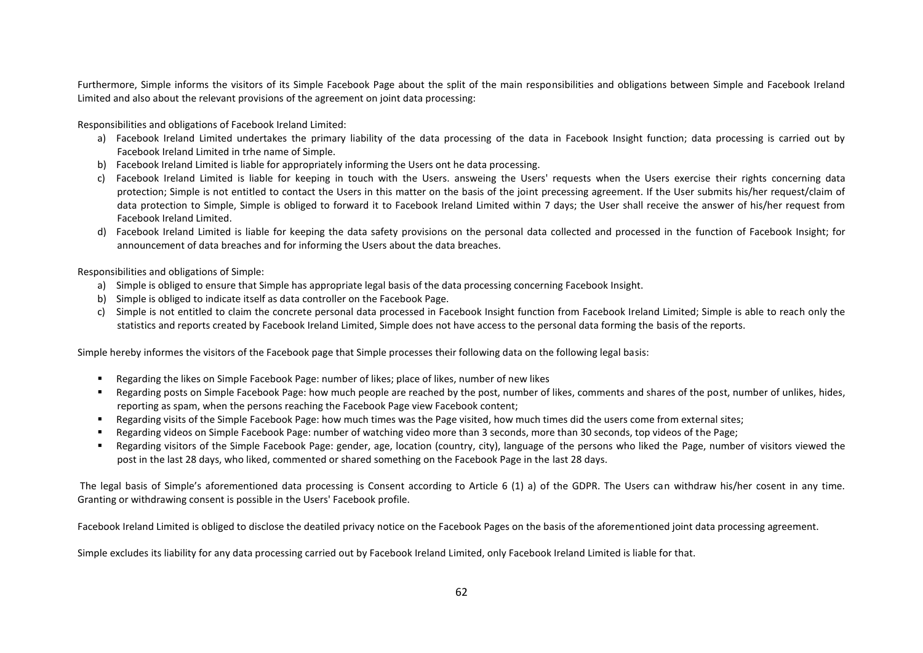Furthermore, Simple informs the visitors of its Simple Facebook Page about the split of the main responsibilities and obligations between Simple and Facebook Ireland Limited and also about the relevant provisions of the agreement on joint data processing:

Responsibilities and obligations of Facebook Ireland Limited:

- a) Facebook Ireland Limited undertakes the primary liability of the data processing of the data in Facebook Insight function; data processing is carried out by Facebook Ireland Limited in trhe name of Simple.
- b) Facebook Ireland Limited is liable for appropriately informing the Users ont he data processing.
- c) Facebook Ireland Limited is liable for keeping in touch with the Users. answeing the Users' requests when the Users exercise their rights concerning data protection; Simple is not entitled to contact the Users in this matter on the basis of the joint precessing agreement. If the User submits his/her request/claim of data protection to Simple, Simple is obliged to forward it to Facebook Ireland Limited within 7 days; the User shall receive the answer of his/her request from Facebook Ireland Limited.
- d) Facebook Ireland Limited is liable for keeping the data safety provisions on the personal data collected and processed in the function of Facebook Insight; for announcement of data breaches and for informing the Users about the data breaches.

Responsibilities and obligations of Simple:

- a) Simple is obliged to ensure that Simple has appropriate legal basis of the data processing concerning Facebook Insight.
- b) Simple is obliged to indicate itself as data controller on the Facebook Page.
- c) Simple is not entitled to claim the concrete personal data processed in Facebook Insight function from Facebook Ireland Limited; Simple is able to reach only the statistics and reports created by Facebook Ireland Limited, Simple does not have access to the personal data forming the basis of the reports.

Simple hereby informes the visitors of the Facebook page that Simple processes their following data on the following legal basis:

- Regarding the likes on Simple Facebook Page: number of likes; place of likes, number of new likes
- Regarding posts on Simple Facebook Page: how much people are reached by the post, number of likes, comments and shares of the post, number of unlikes, hides, reporting as spam, when the persons reaching the Facebook Page view Facebook content;
- Regarding visits of the Simple Facebook Page: how much times was the Page visited, how much times did the users come from external sites;
- Regarding videos on Simple Facebook Page: number of watching video more than 3 seconds, more than 30 seconds, top videos of the Page;
- Regarding visitors of the Simple Facebook Page: gender, age, location (country, city), language of the persons who liked the Page, number of visitors viewed the post in the last 28 days, who liked, commented or shared something on the Facebook Page in the last 28 days.

The legal basis of Simple's aforementioned data processing is Consent according to Article 6 (1) a) of the GDPR. The Users can withdraw his/her cosent in any time. Granting or withdrawing consent is possible in the Users' Facebook profile.

Facebook Ireland Limited is obliged to disclose the deatiled privacy notice on the Facebook Pages on the basis of the aforementioned joint data processing agreement.

Simple excludes its liability for any data processing carried out by Facebook Ireland Limited, only Facebook Ireland Limited is liable for that.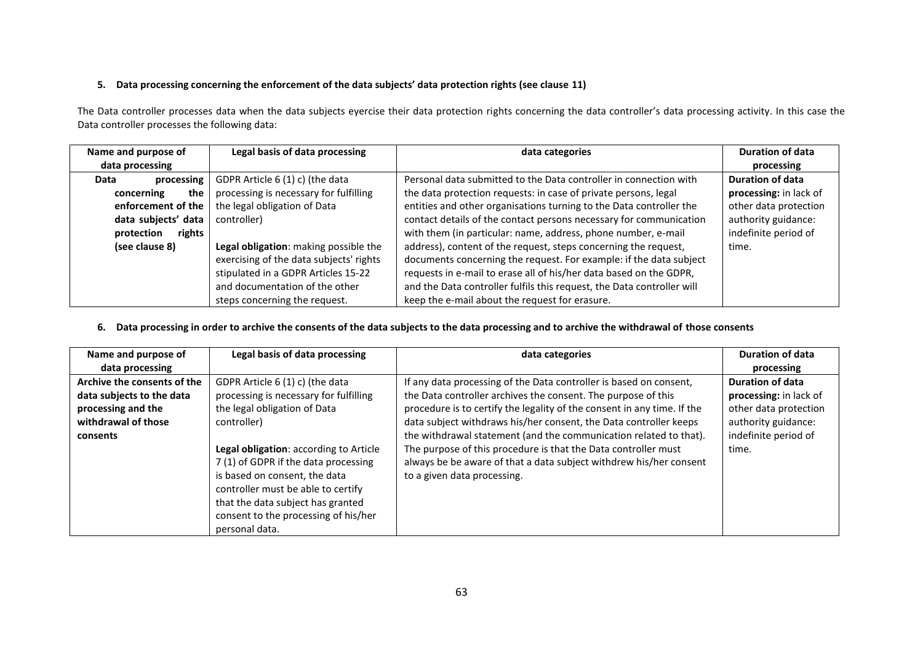# **5. Data processing concerning the enforcement of the data subjects' data protection rights (see clause 11)**

The Data controller processes data when the data subjects eyercise their data protection rights concerning the data controller's data processing activity. In this case the Data controller processes the following data:

| Name and purpose of         | Legal basis of data processing          | data categories                                                        | <b>Duration of data</b> |
|-----------------------------|-----------------------------------------|------------------------------------------------------------------------|-------------------------|
| data processing             |                                         |                                                                        | processing              |
| processing<br>Data          | GDPR Article 6 (1) c) (the data         | Personal data submitted to the Data controller in connection with      | <b>Duration of data</b> |
| the<br>concerning           | processing is necessary for fulfilling  | the data protection requests: in case of private persons, legal        | processing: in lack of  |
| enforcement of the          | the legal obligation of Data            | entities and other organisations turning to the Data controller the    | other data protection   |
| data subjects' data         | controller)                             | contact details of the contact persons necessary for communication     | authority guidance:     |
| <b>rights</b><br>protection |                                         | with them (in particular: name, address, phone number, e-mail          | indefinite period of    |
| (see clause 8)              | Legal obligation: making possible the   | address), content of the request, steps concerning the request,        | time.                   |
|                             | exercising of the data subjects' rights | documents concerning the request. For example: if the data subject     |                         |
|                             | stipulated in a GDPR Articles 15-22     | requests in e-mail to erase all of his/her data based on the GDPR,     |                         |
|                             | and documentation of the other          | and the Data controller fulfils this request, the Data controller will |                         |
|                             | steps concerning the request.           | keep the e-mail about the request for erasure.                         |                         |

# **6. Data processing in order to archive the consents of the data subjects to the data processing and to archive the withdrawal of those consents**

| Name and purpose of         | Legal basis of data processing         | data categories                                                         | <b>Duration of data</b> |
|-----------------------------|----------------------------------------|-------------------------------------------------------------------------|-------------------------|
| data processing             |                                        |                                                                         | processing              |
| Archive the consents of the | GDPR Article 6 (1) c) (the data        | If any data processing of the Data controller is based on consent,      | <b>Duration of data</b> |
| data subjects to the data   | processing is necessary for fulfilling | the Data controller archives the consent. The purpose of this           | processing: in lack of  |
| processing and the          | the legal obligation of Data           | procedure is to certify the legality of the consent in any time. If the | other data protection   |
| withdrawal of those         | controller)                            | data subject withdraws his/her consent, the Data controller keeps       | authority guidance:     |
| consents                    |                                        | the withdrawal statement (and the communication related to that).       | indefinite period of    |
|                             | Legal obligation: according to Article | The purpose of this procedure is that the Data controller must          | time.                   |
|                             | 7(1) of GDPR if the data processing    | always be be aware of that a data subject withdrew his/her consent      |                         |
|                             | is based on consent, the data          | to a given data processing.                                             |                         |
|                             | controller must be able to certify     |                                                                         |                         |
|                             | that the data subject has granted      |                                                                         |                         |
|                             | consent to the processing of his/her   |                                                                         |                         |
|                             | personal data.                         |                                                                         |                         |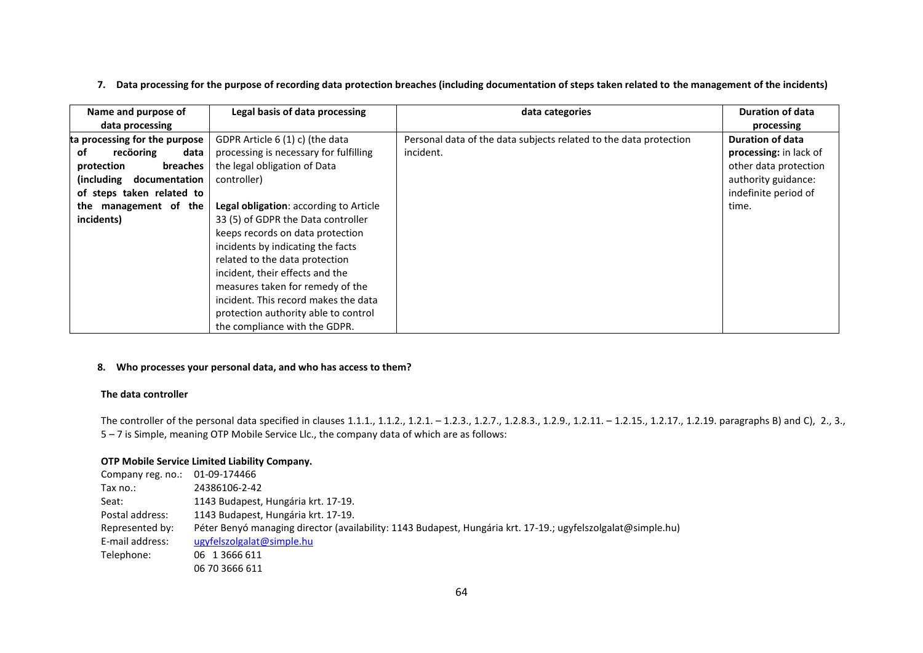# **7. Data processing for the purpose of recording data protection breaches (including documentation of steps taken related to the management of the incidents)**

| Name and purpose of           | Legal basis of data processing         | data categories                                                   | <b>Duration of data</b> |
|-------------------------------|----------------------------------------|-------------------------------------------------------------------|-------------------------|
| data processing               |                                        |                                                                   | processing              |
| ta processing for the purpose | GDPR Article 6 (1) c) (the data        | Personal data of the data subjects related to the data protection | Duration of data        |
| recöoring<br>data<br>οf       | processing is necessary for fulfilling | incident.                                                         | processing: in lack of  |
| protection<br>breaches        | the legal obligation of Data           |                                                                   | other data protection   |
| (including<br>documentation   | controller)                            |                                                                   | authority guidance:     |
| of steps taken related to     |                                        |                                                                   | indefinite period of    |
| management of the<br>the      | Legal obligation: according to Article |                                                                   | time.                   |
| incidents)                    | 33 (5) of GDPR the Data controller     |                                                                   |                         |
|                               | keeps records on data protection       |                                                                   |                         |
|                               | incidents by indicating the facts      |                                                                   |                         |
|                               | related to the data protection         |                                                                   |                         |
|                               | incident, their effects and the        |                                                                   |                         |
|                               | measures taken for remedy of the       |                                                                   |                         |
|                               | incident. This record makes the data   |                                                                   |                         |
|                               | protection authority able to control   |                                                                   |                         |
|                               | the compliance with the GDPR.          |                                                                   |                         |

## **8. Who processes your personal data, and who has access to them?**

## **The data controller**

The controller of the personal data specified in clauses 1.1.1., 1.1.2., 1.2.1. – 1.2.3., 1.2.7., 1.2.8.3., 1.2.11. – 1.2.15., 1.2.17., 1.2.19. paragraphs B) and C), 2., 3., 5 – 7 is Simple, meaning OTP Mobile Service Llc., the company data of which are as follows:

# **OTP Mobile Service Limited Liability Company.**

| Company reg. no.: | 01-09-174466                                                                                                 |
|-------------------|--------------------------------------------------------------------------------------------------------------|
| Tax no.:          | 24386106-2-42                                                                                                |
| Seat:             | 1143 Budapest, Hungária krt. 17-19.                                                                          |
| Postal address:   | 1143 Budapest, Hungária krt. 17-19.                                                                          |
| Represented by:   | Péter Benyó managing director (availability: 1143 Budapest, Hungária krt. 17-19.; ugyfelszolgalat@simple.hu) |
| E-mail address:   | ugyfelszolgalat@simple.hu                                                                                    |
| Telephone:        | 06 1 3666 611                                                                                                |
|                   | 06 70 3666 611                                                                                               |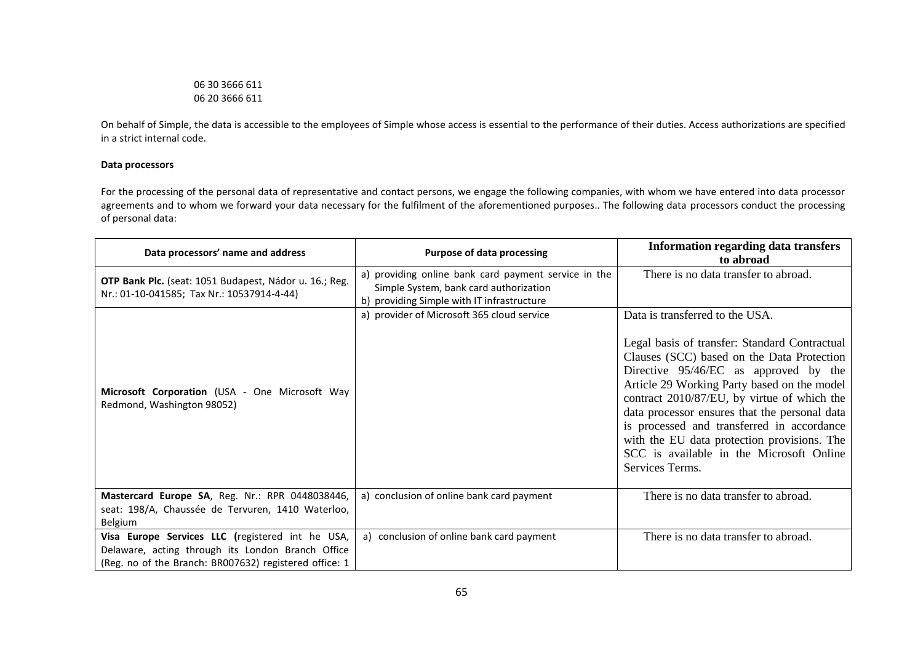06 30 3666 611 06 20 3666 611

On behalf of Simple, the data is accessible to the employees of Simple whose access is essential to the performance of their duties. Access authorizations are specified in a strict internal code.

## **Data processors**

For the processing of the personal data of representative and contact persons, we engage the following companies, with whom we have entered into data processor agreements and to whom we forward your data necessary for the fulfilment of the aforementioned purposes.. The following data processors conduct the processing of personal data:

| Data processors' name and address                                                                                                                               | <b>Purpose of data processing</b>                                                                                                            | <b>Information regarding data transfers</b><br>to abroad                                                                                                                                                                                                                                                                                                                                                                                                                           |
|-----------------------------------------------------------------------------------------------------------------------------------------------------------------|----------------------------------------------------------------------------------------------------------------------------------------------|------------------------------------------------------------------------------------------------------------------------------------------------------------------------------------------------------------------------------------------------------------------------------------------------------------------------------------------------------------------------------------------------------------------------------------------------------------------------------------|
| OTP Bank Plc. (seat: 1051 Budapest, Nádor u. 16.; Reg.<br>Nr.: 01-10-041585; Tax Nr.: 10537914-4-44)                                                            | a) providing online bank card payment service in the<br>Simple System, bank card authorization<br>b) providing Simple with IT infrastructure | There is no data transfer to abroad.                                                                                                                                                                                                                                                                                                                                                                                                                                               |
| Microsoft Corporation (USA - One Microsoft Way<br>Redmond, Washington 98052)                                                                                    | a) provider of Microsoft 365 cloud service                                                                                                   | Data is transferred to the USA.<br>Legal basis of transfer: Standard Contractual<br>Clauses (SCC) based on the Data Protection<br>Directive 95/46/EC as approved by the<br>Article 29 Working Party based on the model<br>contract 2010/87/EU, by virtue of which the<br>data processor ensures that the personal data<br>is processed and transferred in accordance<br>with the EU data protection provisions. The<br>SCC is available in the Microsoft Online<br>Services Terms. |
| Mastercard Europe SA, Reg. Nr.: RPR 0448038446,<br>seat: 198/A, Chaussée de Tervuren, 1410 Waterloo,<br>Belgium                                                 | a) conclusion of online bank card payment                                                                                                    | There is no data transfer to abroad.                                                                                                                                                                                                                                                                                                                                                                                                                                               |
| Visa Europe Services LLC (registered int he USA,<br>Delaware, acting through its London Branch Office<br>(Reg. no of the Branch: BR007632) registered office: 1 | a) conclusion of online bank card payment                                                                                                    | There is no data transfer to abroad.                                                                                                                                                                                                                                                                                                                                                                                                                                               |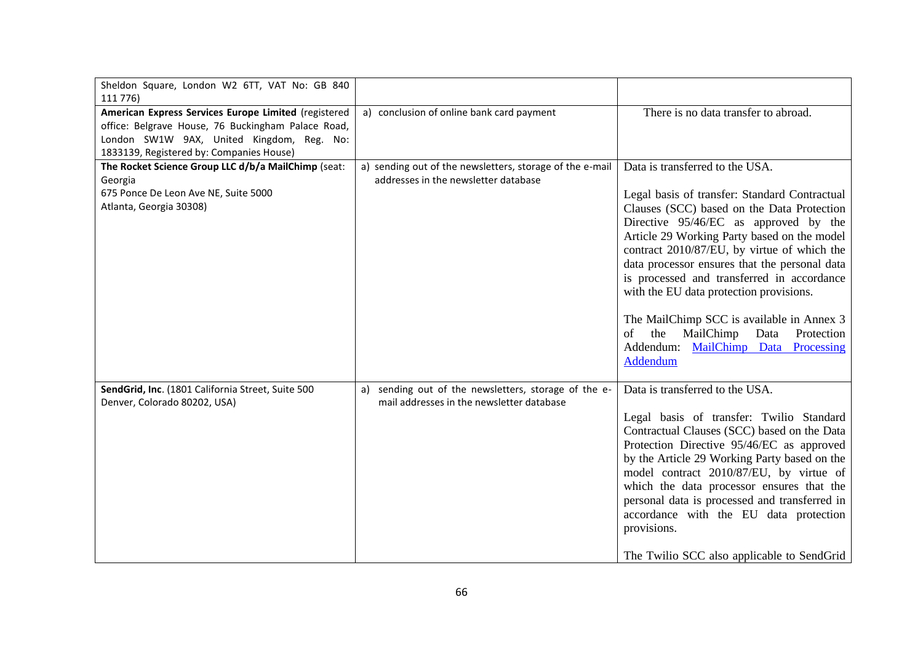| Sheldon Square, London W2 6TT, VAT No: GB 840<br>111 776)                                                                                                                     |                                                                                                   |                                                                                                                                                                                                                                                                                                                                                                                                                                                                                                                                                  |
|-------------------------------------------------------------------------------------------------------------------------------------------------------------------------------|---------------------------------------------------------------------------------------------------|--------------------------------------------------------------------------------------------------------------------------------------------------------------------------------------------------------------------------------------------------------------------------------------------------------------------------------------------------------------------------------------------------------------------------------------------------------------------------------------------------------------------------------------------------|
| American Express Services Europe Limited (registered<br>office: Belgrave House, 76 Buckingham Palace Road,<br>London SW1W 9AX, United Kingdom, Reg. No:                       | a) conclusion of online bank card payment                                                         | There is no data transfer to abroad.                                                                                                                                                                                                                                                                                                                                                                                                                                                                                                             |
| 1833139, Registered by: Companies House)<br>The Rocket Science Group LLC d/b/a MailChimp (seat:<br>Georgia<br>675 Ponce De Leon Ave NE, Suite 5000<br>Atlanta, Georgia 30308) | a) sending out of the newsletters, storage of the e-mail<br>addresses in the newsletter database  | Data is transferred to the USA.<br>Legal basis of transfer: Standard Contractual<br>Clauses (SCC) based on the Data Protection<br>Directive 95/46/EC as approved by the<br>Article 29 Working Party based on the model<br>contract 2010/87/EU, by virtue of which the<br>data processor ensures that the personal data<br>is processed and transferred in accordance<br>with the EU data protection provisions.<br>The MailChimp SCC is available in Annex 3<br>the<br>MailChimp Data<br>Protection<br>of<br>Addendum: MailChimp Data Processing |
|                                                                                                                                                                               |                                                                                                   | Addendum                                                                                                                                                                                                                                                                                                                                                                                                                                                                                                                                         |
| SendGrid, Inc. (1801 California Street, Suite 500<br>Denver, Colorado 80202, USA)                                                                                             | a) sending out of the newsletters, storage of the e-<br>mail addresses in the newsletter database | Data is transferred to the USA.<br>Legal basis of transfer: Twilio Standard<br>Contractual Clauses (SCC) based on the Data<br>Protection Directive 95/46/EC as approved<br>by the Article 29 Working Party based on the<br>model contract 2010/87/EU, by virtue of<br>which the data processor ensures that the<br>personal data is processed and transferred in<br>accordance with the EU data protection<br>provisions.<br>The Twilio SCC also applicable to SendGrid                                                                          |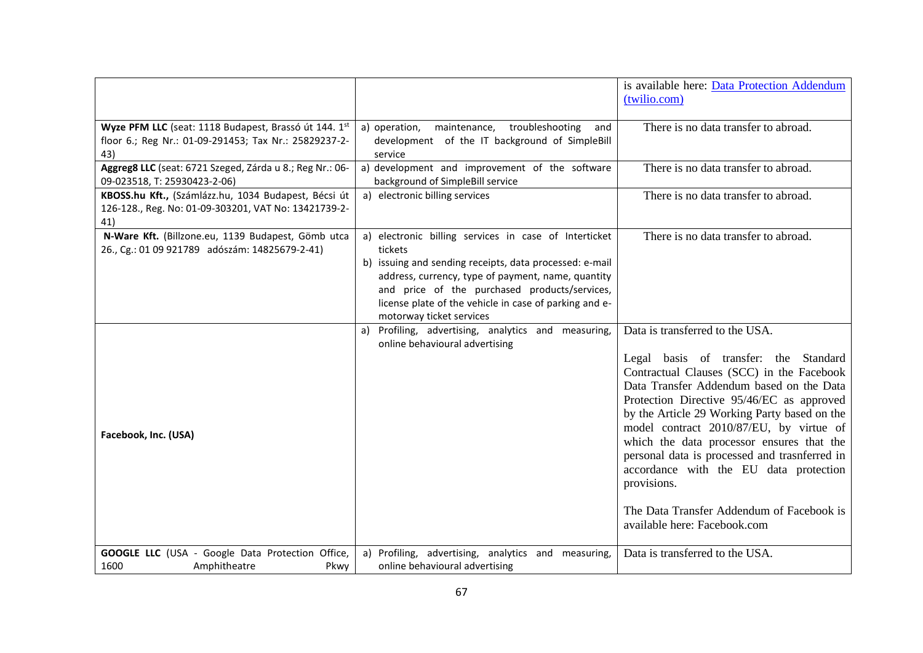|                                                                                                                       |                                                                                                                                                                                                                                                                                                                          | is available here: Data Protection Addendum                                                                                                                                                                                                                                                                                                                                                                                                                                                                                                   |
|-----------------------------------------------------------------------------------------------------------------------|--------------------------------------------------------------------------------------------------------------------------------------------------------------------------------------------------------------------------------------------------------------------------------------------------------------------------|-----------------------------------------------------------------------------------------------------------------------------------------------------------------------------------------------------------------------------------------------------------------------------------------------------------------------------------------------------------------------------------------------------------------------------------------------------------------------------------------------------------------------------------------------|
|                                                                                                                       |                                                                                                                                                                                                                                                                                                                          | (twilio.com)                                                                                                                                                                                                                                                                                                                                                                                                                                                                                                                                  |
| Wyze PFM LLC (seat: 1118 Budapest, Brassó út 144. 1st<br>floor 6.; Reg Nr.: 01-09-291453; Tax Nr.: 25829237-2-<br>43) | a) operation,<br>maintenance, troubleshooting<br>and<br>development of the IT background of SimpleBill<br>service                                                                                                                                                                                                        | There is no data transfer to abroad.                                                                                                                                                                                                                                                                                                                                                                                                                                                                                                          |
| Aggreg8 LLC (seat: 6721 Szeged, Zárda u 8.; Reg Nr.: 06-<br>09-023518, T: 25930423-2-06)                              | a) development and improvement of the software<br>background of SimpleBill service                                                                                                                                                                                                                                       | There is no data transfer to abroad.                                                                                                                                                                                                                                                                                                                                                                                                                                                                                                          |
| KBOSS.hu Kft., (Számlázz.hu, 1034 Budapest, Bécsi út<br>126-128., Reg. No: 01-09-303201, VAT No: 13421739-2-<br>41)   | a) electronic billing services                                                                                                                                                                                                                                                                                           | There is no data transfer to abroad.                                                                                                                                                                                                                                                                                                                                                                                                                                                                                                          |
| N-Ware Kft. (Billzone.eu, 1139 Budapest, Gömb utca<br>26., Cg.: 01 09 921789 adószám: 14825679-2-41)                  | a) electronic billing services in case of Interticket<br>tickets<br>b) issuing and sending receipts, data processed: e-mail<br>address, currency, type of payment, name, quantity<br>and price of the purchased products/services,<br>license plate of the vehicle in case of parking and e-<br>motorway ticket services | There is no data transfer to abroad.                                                                                                                                                                                                                                                                                                                                                                                                                                                                                                          |
| Facebook, Inc. (USA)                                                                                                  | a) Profiling, advertising, analytics and measuring,<br>online behavioural advertising                                                                                                                                                                                                                                    | Data is transferred to the USA.<br>Legal basis of transfer: the Standard<br>Contractual Clauses (SCC) in the Facebook<br>Data Transfer Addendum based on the Data<br>Protection Directive 95/46/EC as approved<br>by the Article 29 Working Party based on the<br>model contract 2010/87/EU, by virtue of<br>which the data processor ensures that the<br>personal data is processed and trasnferred in<br>accordance with the EU data protection<br>provisions.<br>The Data Transfer Addendum of Facebook is<br>available here: Facebook.com |
| GOOGLE LLC (USA - Google Data Protection Office,<br>1600<br>Amphitheatre<br>Pkwy                                      | a) Profiling, advertising, analytics and measuring,<br>online behavioural advertising                                                                                                                                                                                                                                    | Data is transferred to the USA.                                                                                                                                                                                                                                                                                                                                                                                                                                                                                                               |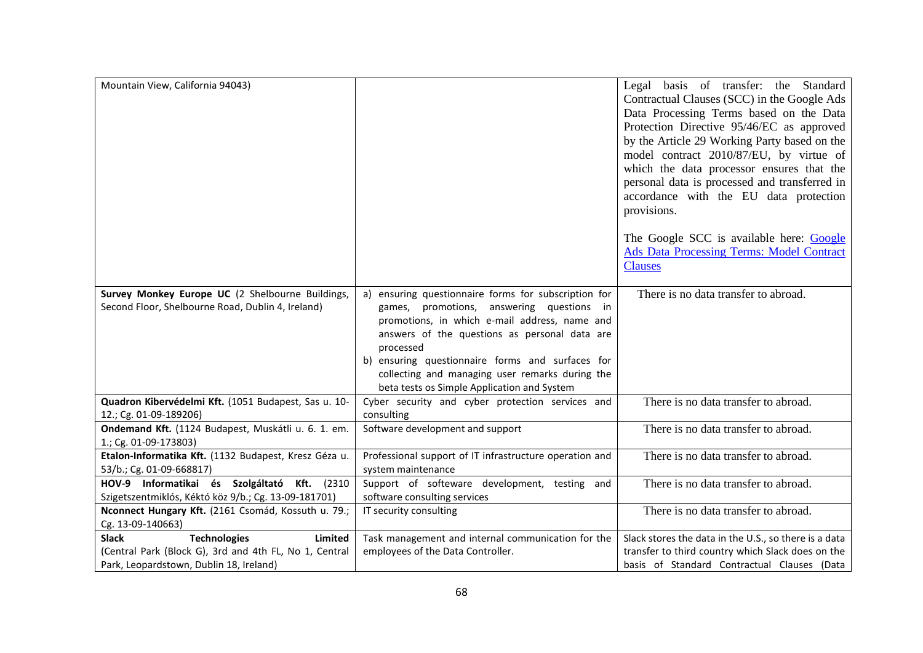| Mountain View, California 94043)                                                                                                                    |                                                                                                                                                                                                                                                                                                                                                                        | Legal basis of transfer: the Standard<br>Contractual Clauses (SCC) in the Google Ads<br>Data Processing Terms based on the Data<br>Protection Directive 95/46/EC as approved<br>by the Article 29 Working Party based on the<br>model contract 2010/87/EU, by virtue of<br>which the data processor ensures that the |
|-----------------------------------------------------------------------------------------------------------------------------------------------------|------------------------------------------------------------------------------------------------------------------------------------------------------------------------------------------------------------------------------------------------------------------------------------------------------------------------------------------------------------------------|----------------------------------------------------------------------------------------------------------------------------------------------------------------------------------------------------------------------------------------------------------------------------------------------------------------------|
|                                                                                                                                                     |                                                                                                                                                                                                                                                                                                                                                                        | personal data is processed and transferred in<br>accordance with the EU data protection<br>provisions.                                                                                                                                                                                                               |
|                                                                                                                                                     |                                                                                                                                                                                                                                                                                                                                                                        | The Google SCC is available here: Google<br>Ads Data Processing Terms: Model Contract<br><b>Clauses</b>                                                                                                                                                                                                              |
| Survey Monkey Europe UC (2 Shelbourne Buildings,<br>Second Floor, Shelbourne Road, Dublin 4, Ireland)                                               | a) ensuring questionnaire forms for subscription for<br>games, promotions, answering questions in<br>promotions, in which e-mail address, name and<br>answers of the questions as personal data are<br>processed<br>b) ensuring questionnaire forms and surfaces for<br>collecting and managing user remarks during the<br>beta tests os Simple Application and System | There is no data transfer to abroad.                                                                                                                                                                                                                                                                                 |
| Quadron Kibervédelmi Kft. (1051 Budapest, Sas u. 10-<br>12.; Cg. 01-09-189206)                                                                      | Cyber security and cyber protection services and<br>consulting                                                                                                                                                                                                                                                                                                         | There is no data transfer to abroad.                                                                                                                                                                                                                                                                                 |
| Ondemand Kft. (1124 Budapest, Muskátli u. 6. 1. em.<br>1.; Cg. 01-09-173803)                                                                        | Software development and support                                                                                                                                                                                                                                                                                                                                       | There is no data transfer to abroad.                                                                                                                                                                                                                                                                                 |
| Etalon-Informatika Kft. (1132 Budapest, Kresz Géza u.<br>53/b.; Cg. 01-09-668817)                                                                   | Professional support of IT infrastructure operation and<br>system maintenance                                                                                                                                                                                                                                                                                          | There is no data transfer to abroad.                                                                                                                                                                                                                                                                                 |
| HOV-9 Informatikai és Szolgáltató Kft. (2310<br>Szigetszentmiklós, Kéktó köz 9/b.; Cg. 13-09-181701)                                                | Support of softeware development, testing and<br>software consulting services                                                                                                                                                                                                                                                                                          | There is no data transfer to abroad.                                                                                                                                                                                                                                                                                 |
| Nconnect Hungary Kft. (2161 Csomád, Kossuth u. 79.;<br>Cg. 13-09-140663)                                                                            | IT security consulting                                                                                                                                                                                                                                                                                                                                                 | There is no data transfer to abroad.                                                                                                                                                                                                                                                                                 |
| <b>Slack</b><br>Limited<br><b>Technologies</b><br>(Central Park (Block G), 3rd and 4th FL, No 1, Central<br>Park, Leopardstown, Dublin 18, Ireland) | Task management and internal communication for the<br>employees of the Data Controller.                                                                                                                                                                                                                                                                                | Slack stores the data in the U.S., so there is a data<br>transfer to third country which Slack does on the<br>basis of Standard Contractual Clauses (Data                                                                                                                                                            |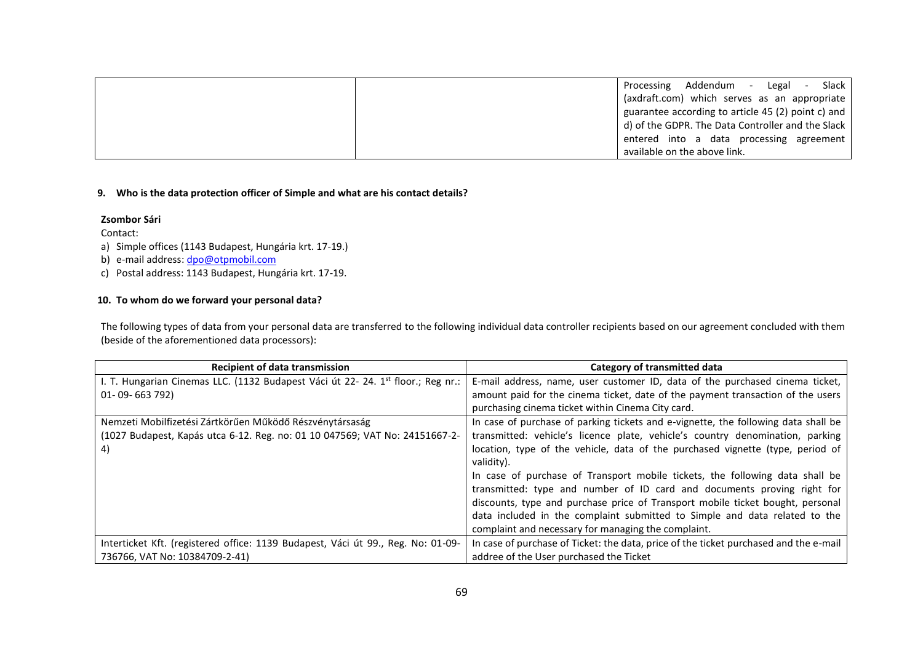Processing Addendum - Legal - Slack (axdraft.com) which serves as an appropriate guarantee according to article 45 (2) point c) and d) of the GDPR. The Data Controller and the Slack entered into a data processing agreement available on the above link.

#### **9. Who is the data protection officer of Simple and what are his contact details?**

#### **Zsombor Sári**

#### Contact:

a) Simple offices (1143 Budapest, Hungária krt. 17-19.)

b) e-mail address: dpo@otpmobil.com

c) Postal address: 1143 Budapest, Hungária krt. 17-19.

# **10. To whom do we forward your personal data?**

The following types of data from your personal data are transferred to the following individual data controller recipients based on our agreement concluded with them (beside of the aforementioned data processors):

| <b>Recipient of data transmission</b>                                                        | Category of transmitted data                                                          |
|----------------------------------------------------------------------------------------------|---------------------------------------------------------------------------------------|
| I. T. Hungarian Cinemas LLC. (1132 Budapest Váci út 22- 24. 1 <sup>st</sup> floor.; Reg nr.: | E-mail address, name, user customer ID, data of the purchased cinema ticket,          |
| 01-09-663 792)                                                                               | amount paid for the cinema ticket, date of the payment transaction of the users       |
|                                                                                              | purchasing cinema ticket within Cinema City card.                                     |
| Nemzeti Mobilfizetési Zártkörűen Működő Részvénytársaság                                     | In case of purchase of parking tickets and e-vignette, the following data shall be    |
| (1027 Budapest, Kapás utca 6-12. Reg. no: 01 10 047569; VAT No: 24151667-2-                  | transmitted: vehicle's licence plate, vehicle's country denomination, parking         |
| 4)                                                                                           | location, type of the vehicle, data of the purchased vignette (type, period of        |
|                                                                                              | validity).                                                                            |
|                                                                                              | In case of purchase of Transport mobile tickets, the following data shall be          |
|                                                                                              | transmitted: type and number of ID card and documents proving right for               |
|                                                                                              | discounts, type and purchase price of Transport mobile ticket bought, personal        |
|                                                                                              | data included in the complaint submitted to Simple and data related to the            |
|                                                                                              | complaint and necessary for managing the complaint.                                   |
| Interticket Kft. (registered office: 1139 Budapest, Váci út 99., Reg. No: 01-09-             | In case of purchase of Ticket: the data, price of the ticket purchased and the e-mail |
| 736766, VAT No: 10384709-2-41)                                                               | addree of the User purchased the Ticket                                               |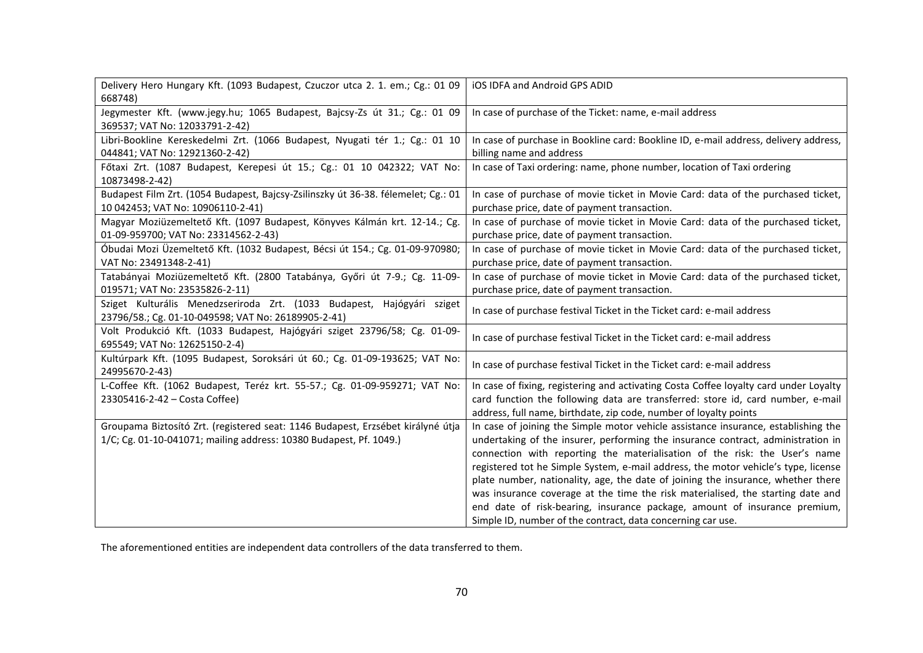| Delivery Hero Hungary Kft. (1093 Budapest, Czuczor utca 2. 1. em.; Cg.: 01 09<br>668748)                                      | iOS IDFA and Android GPS ADID                                                         |
|-------------------------------------------------------------------------------------------------------------------------------|---------------------------------------------------------------------------------------|
| Jegymester Kft. (www.jegy.hu; 1065 Budapest, Bajcsy-Zs út 31.; Cg.: 01 09<br>369537; VAT No: 12033791-2-42)                   | In case of purchase of the Ticket: name, e-mail address                               |
| Libri-Bookline Kereskedelmi Zrt. (1066 Budapest, Nyugati tér 1.; Cg.: 01 10                                                   | In case of purchase in Bookline card: Bookline ID, e-mail address, delivery address,  |
| 044841; VAT No: 12921360-2-42)                                                                                                | billing name and address                                                              |
| Főtaxi Zrt. (1087 Budapest, Kerepesi út 15.; Cg.: 01 10 042322; VAT No:                                                       | In case of Taxi ordering: name, phone number, location of Taxi ordering               |
| 10873498-2-42)                                                                                                                |                                                                                       |
| Budapest Film Zrt. (1054 Budapest, Bajcsy-Zsilinszky út 36-38. félemelet; Cg.: 01                                             | In case of purchase of movie ticket in Movie Card: data of the purchased ticket,      |
| 10 042453; VAT No: 10906110-2-41)                                                                                             | purchase price, date of payment transaction.                                          |
| Magyar Moziüzemeltető Kft. (1097 Budapest, Könyves Kálmán krt. 12-14.; Cg.                                                    | In case of purchase of movie ticket in Movie Card: data of the purchased ticket,      |
| 01-09-959700; VAT No: 23314562-2-43)                                                                                          | purchase price, date of payment transaction.                                          |
| Óbudai Mozi Üzemeltető Kft. (1032 Budapest, Bécsi út 154.; Cg. 01-09-970980;                                                  | In case of purchase of movie ticket in Movie Card: data of the purchased ticket,      |
| VAT No: 23491348-2-41)                                                                                                        | purchase price, date of payment transaction.                                          |
| Tatabányai Moziüzemeltető Kft. (2800 Tatabánya, Győri út 7-9.; Cg. 11-09-                                                     | In case of purchase of movie ticket in Movie Card: data of the purchased ticket,      |
| 019571; VAT No: 23535826-2-11)                                                                                                | purchase price, date of payment transaction.                                          |
| Sziget Kulturális Menedzseriroda Zrt. (1033 Budapest, Hajógyári sziget<br>23796/58.; Cg. 01-10-049598; VAT No: 26189905-2-41) | In case of purchase festival Ticket in the Ticket card: e-mail address                |
| Volt Produkció Kft. (1033 Budapest, Hajógyári sziget 23796/58; Cg. 01-09-<br>695549; VAT No: 12625150-2-4)                    | In case of purchase festival Ticket in the Ticket card: e-mail address                |
| Kultúrpark Kft. (1095 Budapest, Soroksári út 60.; Cg. 01-09-193625; VAT No:<br>24995670-2-43)                                 | In case of purchase festival Ticket in the Ticket card: e-mail address                |
| L-Coffee Kft. (1062 Budapest, Teréz krt. 55-57.; Cg. 01-09-959271; VAT No:                                                    | In case of fixing, registering and activating Costa Coffee loyalty card under Loyalty |
| 23305416-2-42 - Costa Coffee)                                                                                                 | card function the following data are transferred: store id, card number, e-mail       |
|                                                                                                                               | address, full name, birthdate, zip code, number of loyalty points                     |
| Groupama Biztosító Zrt. (registered seat: 1146 Budapest, Erzsébet királyné útja                                               | In case of joining the Simple motor vehicle assistance insurance, establishing the    |
| 1/C; Cg. 01-10-041071; mailing address: 10380 Budapest, Pf. 1049.)                                                            | undertaking of the insurer, performing the insurance contract, administration in      |
|                                                                                                                               | connection with reporting the materialisation of the risk: the User's name            |
|                                                                                                                               | registered tot he Simple System, e-mail address, the motor vehicle's type, license    |
|                                                                                                                               | plate number, nationality, age, the date of joining the insurance, whether there      |
|                                                                                                                               | was insurance coverage at the time the risk materialised, the starting date and       |
|                                                                                                                               | end date of risk-bearing, insurance package, amount of insurance premium,             |
|                                                                                                                               | Simple ID, number of the contract, data concerning car use.                           |

The aforementioned entities are independent data controllers of the data transferred to them.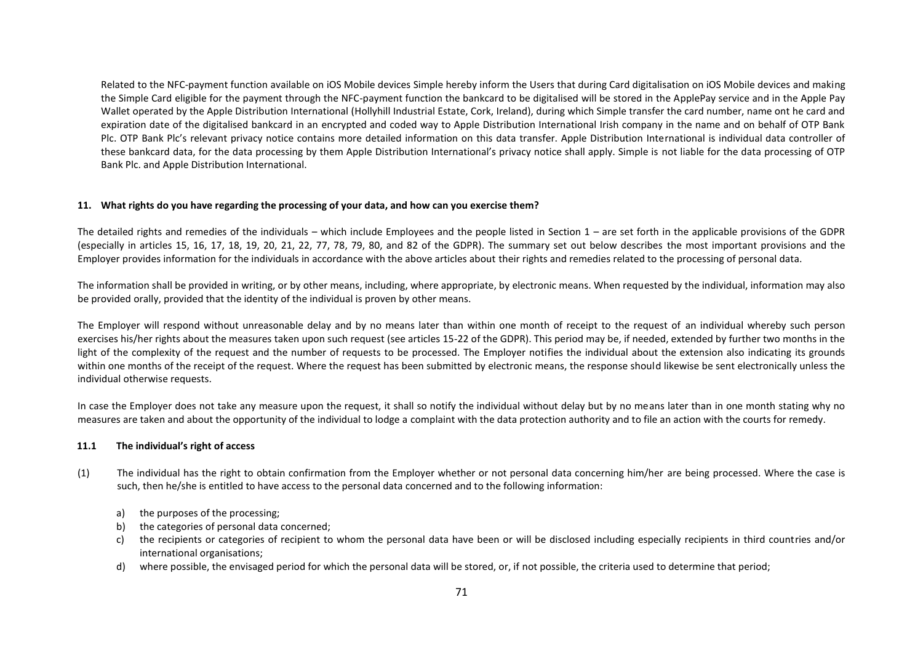Related to the NFC-payment function available on iOS Mobile devices Simple hereby inform the Users that during Card digitalisation on iOS Mobile devices and making the Simple Card eligible for the payment through the NFC-payment function the bankcard to be digitalised will be stored in the ApplePay service and in the Apple Pay Wallet operated by the Apple Distribution International (Hollyhill Industrial Estate, Cork, Ireland), during which Simple transfer the card number, name ont he card and expiration date of the digitalised bankcard in an encrypted and coded way to Apple Distribution International Irish company in the name and on behalf of OTP Bank Plc. OTP Bank Plc's relevant privacy notice contains more detailed information on this data transfer. Apple Distribution International is individual data controller of these bankcard data, for the data processing by them Apple Distribution International's privacy notice shall apply. Simple is not liable for the data processing of OTP Bank Plc. and Apple Distribution International.

#### **11. What rights do you have regarding the processing of your data, and how can you exercise them?**

The detailed rights and remedies of the individuals – which include Employees and the people listed in Section 1 – are set forth in the applicable provisions of the GDPR (especially in articles 15, 16, 17, 18, 19, 20, 21, 22, 77, 78, 79, 80, and 82 of the GDPR). The summary set out below describes the most important provisions and the Employer provides information for the individuals in accordance with the above articles about their rights and remedies related to the processing of personal data.

The information shall be provided in writing, or by other means, including, where appropriate, by electronic means. When requested by the individual, information may also be provided orally, provided that the identity of the individual is proven by other means.

The Employer will respond without unreasonable delay and by no means later than within one month of receipt to the request of an individual whereby such person exercises his/her rights about the measures taken upon such request (see articles 15-22 of the GDPR). This period may be, if needed, extended by further two months in the light of the complexity of the request and the number of requests to be processed. The Employer notifies the individual about the extension also indicating its grounds within one months of the receipt of the request. Where the request has been submitted by electronic means, the response should likewise be sent electronically unless the individual otherwise requests.

In case the Employer does not take any measure upon the request, it shall so notify the individual without delay but by no means later than in one month stating why no measures are taken and about the opportunity of the individual to lodge a complaint with the data protection authority and to file an action with the courts for remedy.

#### **11.1 The individual's right of access**

- (1) The individual has the right to obtain confirmation from the Employer whether or not personal data concerning him/her are being processed. Where the case is such, then he/she is entitled to have access to the personal data concerned and to the following information:
	- a) the purposes of the processing;
	- b) the categories of personal data concerned;
	- c) the recipients or categories of recipient to whom the personal data have been or will be disclosed including especially recipients in third countries and/or international organisations;
	- d) where possible, the envisaged period for which the personal data will be stored, or, if not possible, the criteria used to determine that period;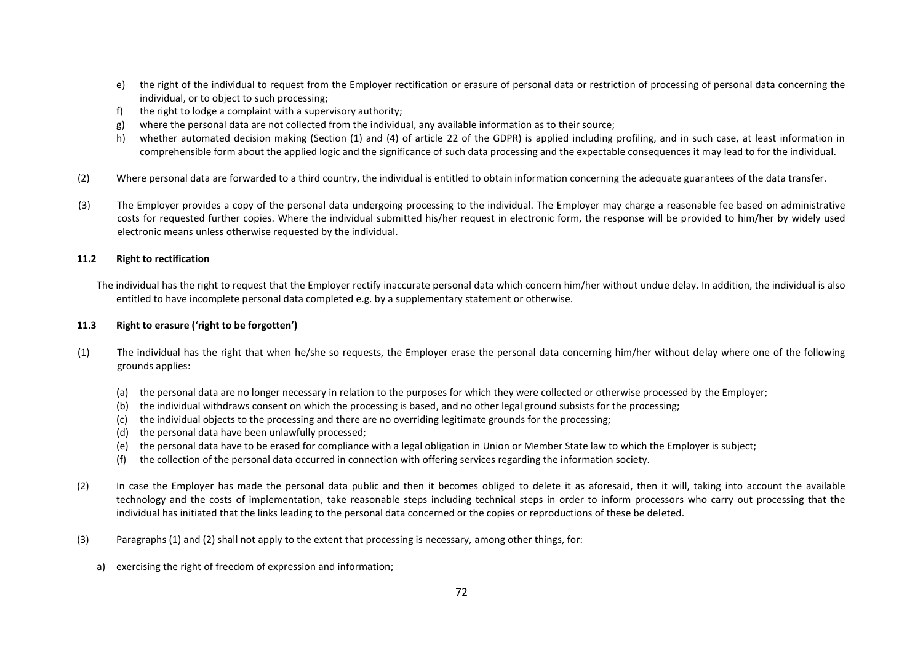- e) the right of the individual to request from the Employer rectification or erasure of personal data or restriction of processing of personal data concerning the individual, or to object to such processing;
- f) the right to lodge a complaint with a supervisory authority;
- g) where the personal data are not collected from the individual, any available information as to their source;
- h) whether automated decision making (Section (1) and (4) of article 22 of the GDPR) is applied including profiling, and in such case, at least information in comprehensible form about the applied logic and the significance of such data processing and the expectable consequences it may lead to for the individual.
- (2) Where personal data are forwarded to a third country, the individual is entitled to obtain information concerning the adequate guarantees of the data transfer.
- (3) The Employer provides a copy of the personal data undergoing processing to the individual. The Employer may charge a reasonable fee based on administrative costs for requested further copies. Where the individual submitted his/her request in electronic form, the response will be provided to him/her by widely used electronic means unless otherwise requested by the individual.

#### **11.2 Right to rectification**

The individual has the right to request that the Employer rectify inaccurate personal data which concern him/her without undue delay. In addition, the individual is also entitled to have incomplete personal data completed e.g. by a supplementary statement or otherwise.

#### **11.3 Right to erasure ('right to be forgotten')**

- (1) The individual has the right that when he/she so requests, the Employer erase the personal data concerning him/her without delay where one of the following grounds applies:
	- (a) the personal data are no longer necessary in relation to the purposes for which they were collected or otherwise processed by the Employer;
	- (b) the individual withdraws consent on which the processing is based, and no other legal ground subsists for the processing;
	- (c) the individual objects to the processing and there are no overriding legitimate grounds for the processing;
	- (d) the personal data have been unlawfully processed;
	- (e) the personal data have to be erased for compliance with a legal obligation in Union or Member State law to which the Employer is subject;
	- (f) the collection of the personal data occurred in connection with offering services regarding the information society.
- (2) In case the Employer has made the personal data public and then it becomes obliged to delete it as aforesaid, then it will, taking into account the available technology and the costs of implementation, take reasonable steps including technical steps in order to inform processors who carry out processing that the individual has initiated that the links leading to the personal data concerned or the copies or reproductions of these be deleted.
- (3) Paragraphs (1) and (2) shall not apply to the extent that processing is necessary, among other things, for:
	- a) exercising the right of freedom of expression and information;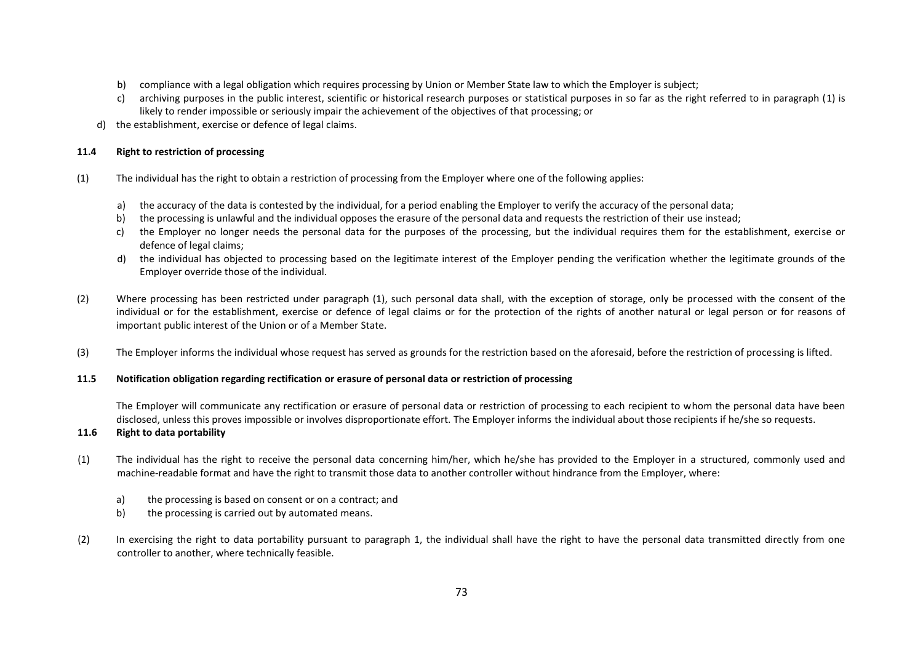- b) compliance with a legal obligation which requires processing by Union or Member State law to which the Employer is subject;
- c) archiving purposes in the public interest, scientific or historical research purposes or statistical purposes in so far as the right referred to in paragraph (1) is likely to render impossible or seriously impair the achievement of the objectives of that processing; or
- d) the establishment, exercise or defence of legal claims.

# **11.4 Right to restriction of processing**

- (1) The individual has the right to obtain a restriction of processing from the Employer where one of the following applies:
	- a) the accuracy of the data is contested by the individual, for a period enabling the Employer to verify the accuracy of the personal data;
	- b) the processing is unlawful and the individual opposes the erasure of the personal data and requests the restriction of their use instead;
	- c) the Employer no longer needs the personal data for the purposes of the processing, but the individual requires them for the establishment, exercise or defence of legal claims;
	- d) the individual has objected to processing based on the legitimate interest of the Employer pending the verification whether the legitimate grounds of the Employer override those of the individual.
- (2) Where processing has been restricted under paragraph (1), such personal data shall, with the exception of storage, only be processed with the consent of the individual or for the establishment, exercise or defence of legal claims or for the protection of the rights of another natural or legal person or for reasons of important public interest of the Union or of a Member State.
- (3) The Employer informs the individual whose request has served as grounds for the restriction based on the aforesaid, before the restriction of processing is lifted.

# **11.5 Notification obligation regarding rectification or erasure of personal data or restriction of processing**

The Employer will communicate any rectification or erasure of personal data or restriction of processing to each recipient to whom the personal data have been disclosed, unless this proves impossible or involves disproportionate effort. The Employer informs the individual about those recipients if he/she so requests.

# **11.6 Right to data portability**

- (1) The individual has the right to receive the personal data concerning him/her, which he/she has provided to the Employer in a structured, commonly used and machine-readable format and have the right to transmit those data to another controller without hindrance from the Employer, where:
	- a) the processing is based on consent or on a contract; and
	- b) the processing is carried out by automated means.
- (2) In exercising the right to data portability pursuant to paragraph 1, the individual shall have the right to have the personal data transmitted directly from one controller to another, where technically feasible.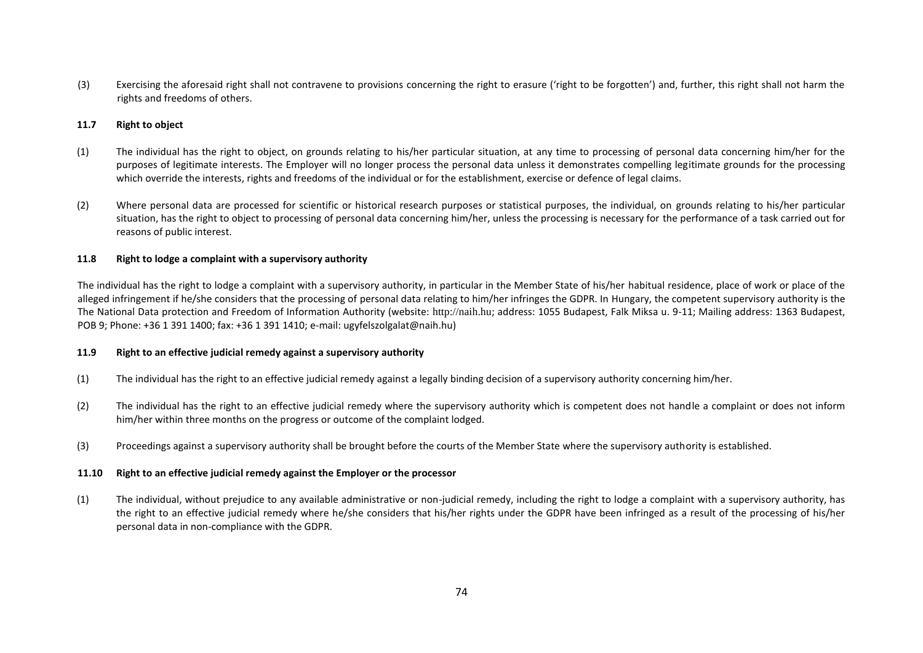(3) Exercising the aforesaid right shall not contravene to provisions concerning the right to erasure ('right to be forgotten') and, further, this right shall not harm the rights and freedoms of others.

### **11.7 Right to object**

- (1) The individual has the right to object, on grounds relating to his/her particular situation, at any time to processing of personal data concerning him/her for the purposes of legitimate interests. The Employer will no longer process the personal data unless it demonstrates compelling legitimate grounds for the processing which override the interests, rights and freedoms of the individual or for the establishment, exercise or defence of legal claims.
- (2) Where personal data are processed for scientific or historical research purposes or statistical purposes, the individual, on grounds relating to his/her particular situation, has the right to object to processing of personal data concerning him/her, unless the processing is necessary for the performance of a task carried out for reasons of public interest.

### **11.8 Right to lodge a complaint with a supervisory authority**

The individual has the right to lodge a complaint with a supervisory authority, in particular in the Member State of his/her habitual residence, place of work or place of the alleged infringement if he/she considers that the processing of personal data relating to him/her infringes the GDPR. In Hungary, the competent supervisory authority is the The National Data protection and Freedom of Information Authority (website: http://naih.hu; address: 1055 Budapest, Falk Miksa u. 9-11; Mailing address: 1363 Budapest, POB 9; Phone: +36 1 391 1400; fax: +36 1 391 1410; e-mail: ugyfelszolgalat@naih.hu)

### **11.9 Right to an effective judicial remedy against a supervisory authority**

- (1) The individual has the right to an effective judicial remedy against a legally binding decision of a supervisory authority concerning him/her.
- (2) The individual has the right to an effective judicial remedy where the supervisory authority which is competent does not handle a complaint or does not inform him/her within three months on the progress or outcome of the complaint lodged.
- (3) Proceedings against a supervisory authority shall be brought before the courts of the Member State where the supervisory authority is established.

### **11.10 Right to an effective judicial remedy against the Employer or the processor**

(1) The individual, without prejudice to any available administrative or non-judicial remedy, including the right to lodge a complaint with a supervisory authority, has the right to an effective judicial remedy where he/she considers that his/her rights under the GDPR have been infringed as a result of the processing of his/her personal data in non-compliance with the GDPR.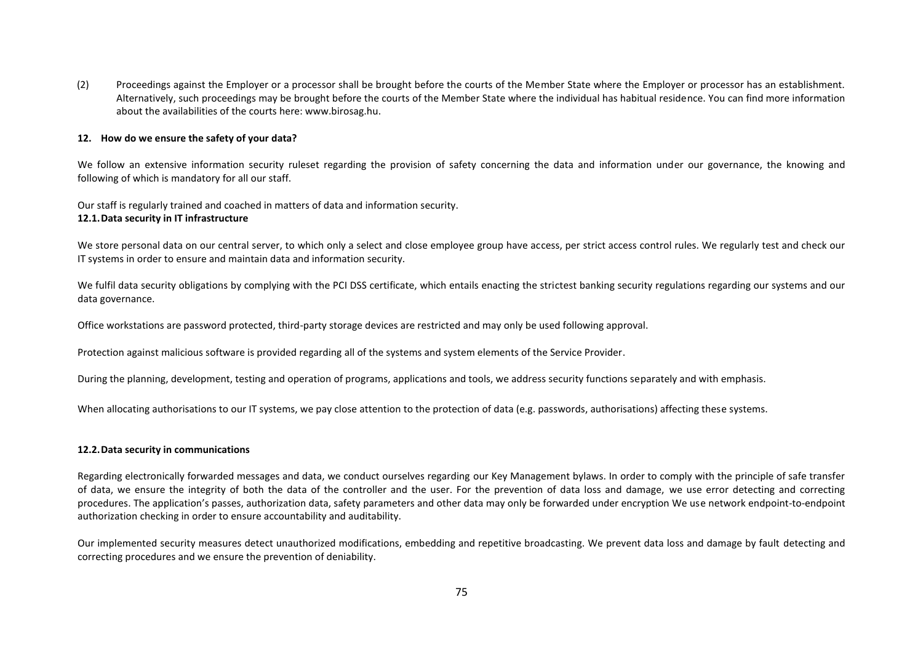(2) Proceedings against the Employer or a processor shall be brought before the courts of the Member State where the Employer or processor has an establishment. Alternatively, such proceedings may be brought before the courts of the Member State where the individual has habitual residence. You can find more information about the availabilities of the courts here: www.birosag.hu.

#### **12. How do we ensure the safety of your data?**

We follow an extensive information security ruleset regarding the provision of safety concerning the data and information under our governance, the knowing and following of which is mandatory for all our staff.

Our staff is regularly trained and coached in matters of data and information security. **12.1.Data security in IT infrastructure**

We store personal data on our central server, to which only a select and close employee group have access, per strict access control rules. We regularly test and check our IT systems in order to ensure and maintain data and information security.

We fulfil data security obligations by complying with the PCI DSS certificate, which entails enacting the strictest banking security regulations regarding our systems and our data governance.

Office workstations are password protected, third-party storage devices are restricted and may only be used following approval.

Protection against malicious software is provided regarding all of the systems and system elements of the Service Provider.

During the planning, development, testing and operation of programs, applications and tools, we address security functions separately and with emphasis.

When allocating authorisations to our IT systems, we pay close attention to the protection of data (e.g. passwords, authorisations) affecting these systems.

#### **12.2.Data security in communications**

Regarding electronically forwarded messages and data, we conduct ourselves regarding our Key Management bylaws. In order to comply with the principle of safe transfer of data, we ensure the integrity of both the data of the controller and the user. For the prevention of data loss and damage, we use error detecting and correcting procedures. The application's passes, authorization data, safety parameters and other data may only be forwarded under encryption We use network endpoint-to-endpoint authorization checking in order to ensure accountability and auditability.

Our implemented security measures detect unauthorized modifications, embedding and repetitive broadcasting. We prevent data loss and damage by fault detecting and correcting procedures and we ensure the prevention of deniability.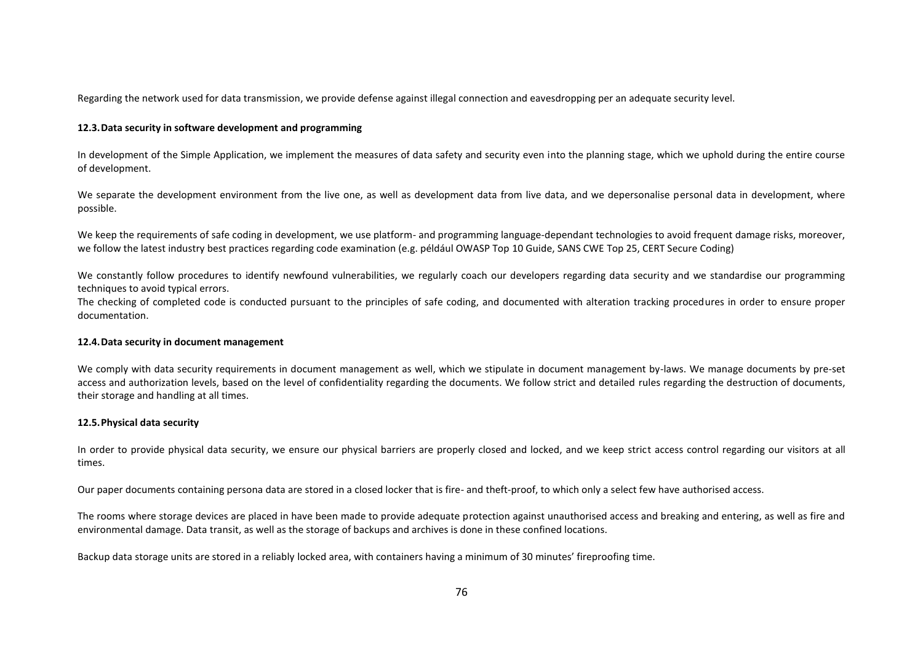Regarding the network used for data transmission, we provide defense against illegal connection and eavesdropping per an adequate security level.

### **12.3.Data security in software development and programming**

In development of the Simple Application, we implement the measures of data safety and security even into the planning stage, which we uphold during the entire course of development.

We separate the development environment from the live one, as well as development data from live data, and we depersonalise personal data in development, where possible.

We keep the requirements of safe coding in development, we use platform- and programming language-dependant technologies to avoid frequent damage risks, moreover, we follow the latest industry best practices regarding code examination (e.g. például OWASP Top 10 Guide, SANS CWE Top 25, CERT Secure Coding)

We constantly follow procedures to identify newfound vulnerabilities, we regularly coach our developers regarding data security and we standardise our programming techniques to avoid typical errors.

The checking of completed code is conducted pursuant to the principles of safe coding, and documented with alteration tracking procedures in order to ensure proper documentation.

### **12.4.Data security in document management**

We comply with data security requirements in document management as well, which we stipulate in document management by-laws. We manage documents by pre-set access and authorization levels, based on the level of confidentiality regarding the documents. We follow strict and detailed rules regarding the destruction of documents, their storage and handling at all times.

# **12.5.Physical data security**

In order to provide physical data security, we ensure our physical barriers are properly closed and locked, and we keep strict access control regarding our visitors at all times.

Our paper documents containing persona data are stored in a closed locker that is fire- and theft-proof, to which only a select few have authorised access.

The rooms where storage devices are placed in have been made to provide adequate protection against unauthorised access and breaking and entering, as well as fire and environmental damage. Data transit, as well as the storage of backups and archives is done in these confined locations.

Backup data storage units are stored in a reliably locked area, with containers having a minimum of 30 minutes' fireproofing time.